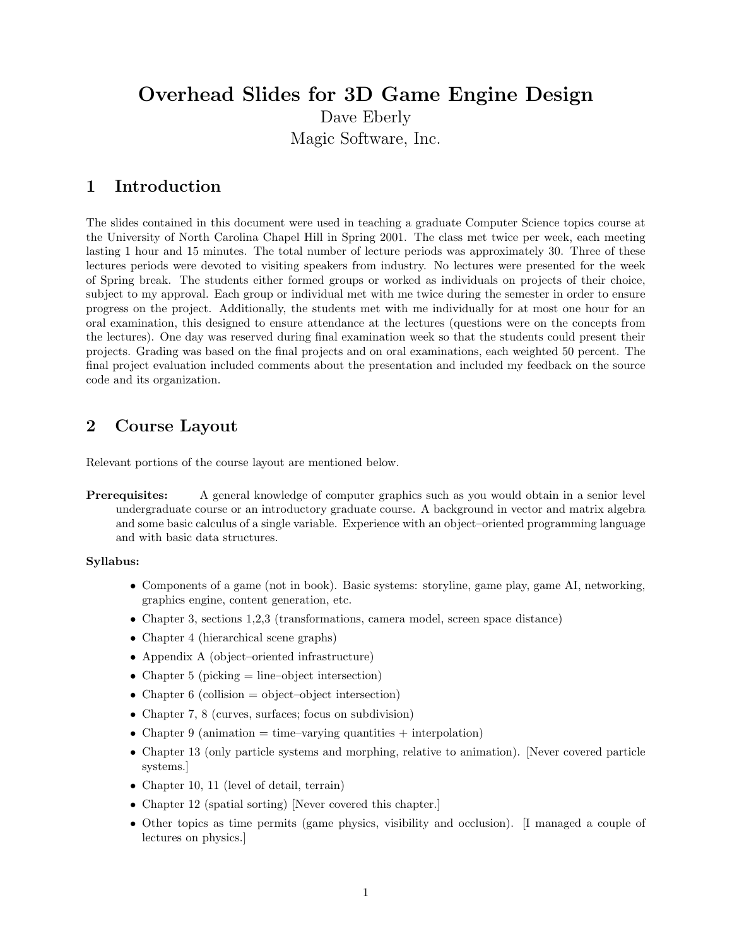# Overhead Slides for 3D Game Engine Design Dave Eberly Magic Software, Inc.

### 1 Introduction

The slides contained in this document were used in teaching a graduate Computer Science topics course at the University of North Carolina Chapel Hill in Spring 2001. The class met twice per week, each meeting lasting 1 hour and 15 minutes. The total number of lecture periods was approximately 30. Three of these lectures periods were devoted to visiting speakers from industry. No lectures were presented for the week of Spring break. The students either formed groups or worked as individuals on projects of their choice, subject to my approval. Each group or individual met with me twice during the semester in order to ensure progress on the project. Additionally, the students met with me individually for at most one hour for an oral examination, this designed to ensure attendance at the lectures (questions were on the concepts from the lectures). One day was reserved during final examination week so that the students could present their projects. Grading was based on the final projects and on oral examinations, each weighted 50 percent. The final project evaluation included comments about the presentation and included my feedback on the source code and its organization.

### 2 Course Layout

Relevant portions of the course layout are mentioned below.

Prerequisites: A general knowledge of computer graphics such as you would obtain in a senior level undergraduate course or an introductory graduate course. A background in vector and matrix algebra and some basic calculus of a single variable. Experience with an object–oriented programming language and with basic data structures.

#### Syllabus:

- Components of a game (not in book). Basic systems: storyline, game play, game AI, networking, graphics engine, content generation, etc.
- Chapter 3, sections 1,2,3 (transformations, camera model, screen space distance)
- Chapter 4 (hierarchical scene graphs)
- Appendix A (object–oriented infrastructure)
- Chapter 5 (picking  $=$  line–object intersection)
- Chapter 6 (collision  $=$  object–object intersection)
- Chapter 7, 8 (curves, surfaces; focus on subdivision)
- Chapter 9 (animation  $=$  time–varying quantities  $+$  interpolation)
- Chapter 13 (only particle systems and morphing, relative to animation). [Never covered particle systems.]
- Chapter 10, 11 (level of detail, terrain)
- Chapter 12 (spatial sorting) [Never covered this chapter.]
- Other topics as time permits (game physics, visibility and occlusion). [I managed a couple of lectures on physics.]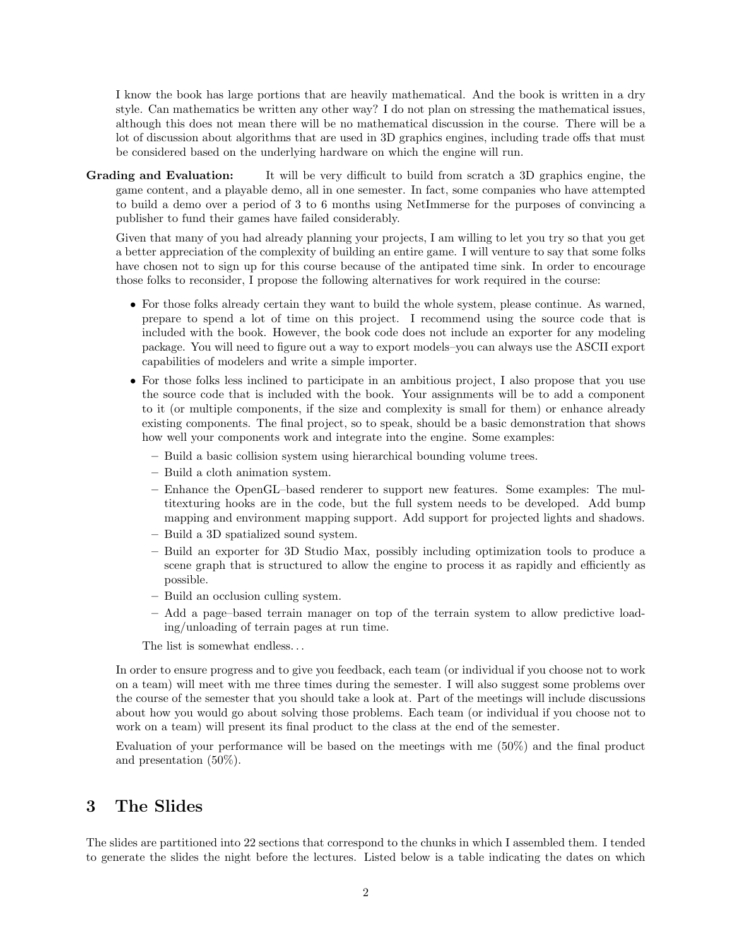I know the book has large portions that are heavily mathematical. And the book is written in a dry style. Can mathematics be written any other way? I do not plan on stressing the mathematical issues, although this does not mean there will be no mathematical discussion in the course. There will be a lot of discussion about algorithms that are used in 3D graphics engines, including trade offs that must be considered based on the underlying hardware on which the engine will run.

Grading and Evaluation: It will be very difficult to build from scratch a 3D graphics engine, the game content, and a playable demo, all in one semester. In fact, some companies who have attempted to build a demo over a period of 3 to 6 months using NetImmerse for the purposes of convincing a publisher to fund their games have failed considerably.

Given that many of you had already planning your projects, I am willing to let you try so that you get a better appreciation of the complexity of building an entire game. I will venture to say that some folks have chosen not to sign up for this course because of the antipated time sink. In order to encourage those folks to reconsider, I propose the following alternatives for work required in the course:

- For those folks already certain they want to build the whole system, please continue. As warned, prepare to spend a lot of time on this project. I recommend using the source code that is included with the book. However, the book code does not include an exporter for any modeling package. You will need to figure out a way to export models–you can always use the ASCII export capabilities of modelers and write a simple importer.
- For those folks less inclined to participate in an ambitious project, I also propose that you use the source code that is included with the book. Your assignments will be to add a component to it (or multiple components, if the size and complexity is small for them) or enhance already existing components. The final project, so to speak, should be a basic demonstration that shows how well your components work and integrate into the engine. Some examples:
	- Build a basic collision system using hierarchical bounding volume trees.
	- Build a cloth animation system.
	- Enhance the OpenGL–based renderer to support new features. Some examples: The multitexturing hooks are in the code, but the full system needs to be developed. Add bump mapping and environment mapping support. Add support for projected lights and shadows.
	- Build a 3D spatialized sound system.
	- Build an exporter for 3D Studio Max, possibly including optimization tools to produce a scene graph that is structured to allow the engine to process it as rapidly and efficiently as possible.
	- Build an occlusion culling system.
	- Add a page–based terrain manager on top of the terrain system to allow predictive loading/unloading of terrain pages at run time.

The list is somewhat endless...

In order to ensure progress and to give you feedback, each team (or individual if you choose not to work on a team) will meet with me three times during the semester. I will also suggest some problems over the course of the semester that you should take a look at. Part of the meetings will include discussions about how you would go about solving those problems. Each team (or individual if you choose not to work on a team) will present its final product to the class at the end of the semester.

Evaluation of your performance will be based on the meetings with me (50%) and the final product and presentation (50%).

### 3 The Slides

The slides are partitioned into 22 sections that correspond to the chunks in which I assembled them. I tended to generate the slides the night before the lectures. Listed below is a table indicating the dates on which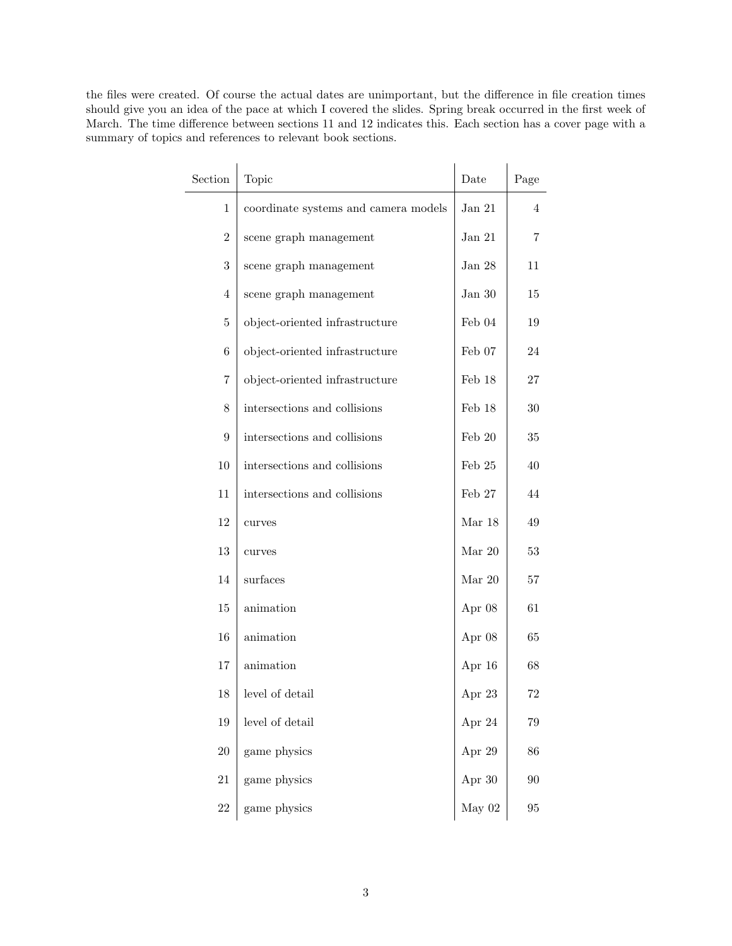the files were created. Of course the actual dates are unimportant, but the difference in file creation times should give you an idea of the pace at which I covered the slides. Spring break occurred in the first week of March. The time difference between sections 11 and 12 indicates this. Each section has a cover page with a summary of topics and references to relevant book sections.

| Section          | Topic                                | Date            | Page     |
|------------------|--------------------------------------|-----------------|----------|
| $\mathbf 1$      | coordinate systems and camera models | Jan $21$        | 4        |
| $\boldsymbol{2}$ | scene graph management               | Jan $21\,$      | 7        |
| 3                | scene graph management               | Jan $28$        | 11       |
| 4                | scene graph management               | Jan $30\,$      | 15       |
| 5                | object-oriented infrastructure       | Feb $04$        | 19       |
| 6                | object-oriented infrastructure       | Feb 07          | 24       |
| 7                | object-oriented infrastructure       | Feb 18          | 27       |
| 8                | intersections and collisions         | Feb 18          | $30\,$   |
| 9                | intersections and collisions         | Feb $20$        | $35\,$   |
| 10               | intersections and collisions         | $\rm{Feb}$ $25$ | 40       |
| 11               | intersections and collisions         | Feb 27          | 44       |
| 12               | curves                               | Mar $18$        | 49       |
| 13               | curves                               | Mar $20$        | 53       |
| 14               | surfaces                             | Mar $20$        | 57       |
| 15               | animation                            | Apr 08          | 61       |
| 16               | animation                            | Apr 08          | 65       |
| 17               | animation                            | Apr 16          | 68       |
| 18               | level of detail                      | Apr 23          | 72       |
| 19               | level of detail                      | Apr 24          | $79\,$   |
| $20\,$           | game physics                         | Apr 29          | 86       |
| $21\,$           | game physics                         | Apr 30          | 90       |
| $22\,$           | game physics                         | May $02$        | $\rm 95$ |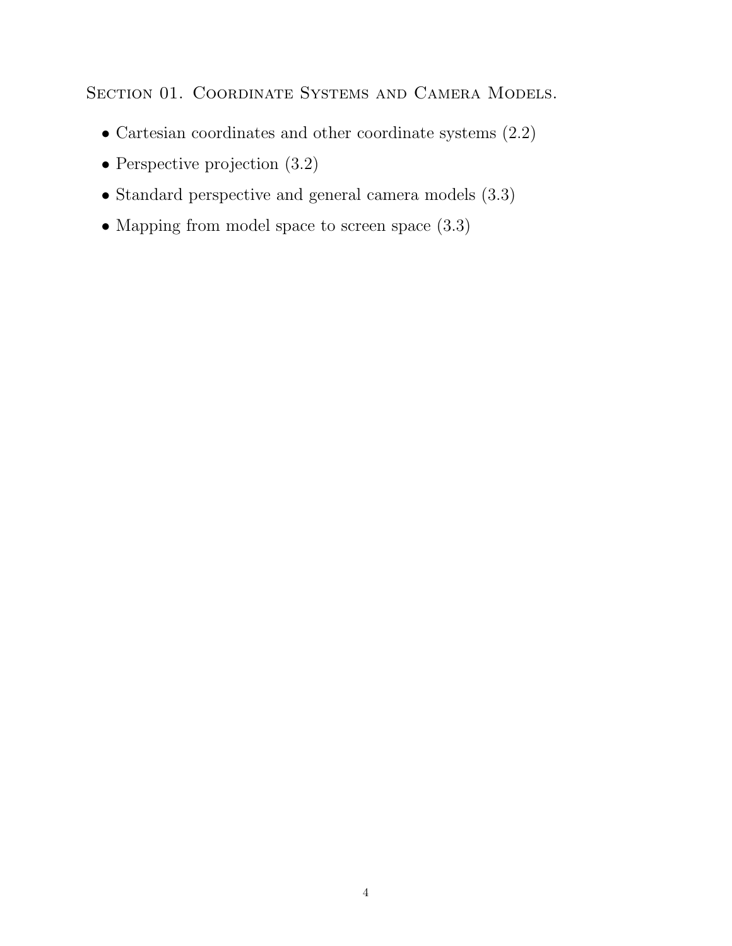SECTION 01. COORDINATE SYSTEMS AND CAMERA MODELS.

- Cartesian coordinates and other coordinate systems (2.2)
- Perspective projection  $(3.2)$
- Standard perspective and general camera models (3.3)
- Mapping from model space to screen space (3.3)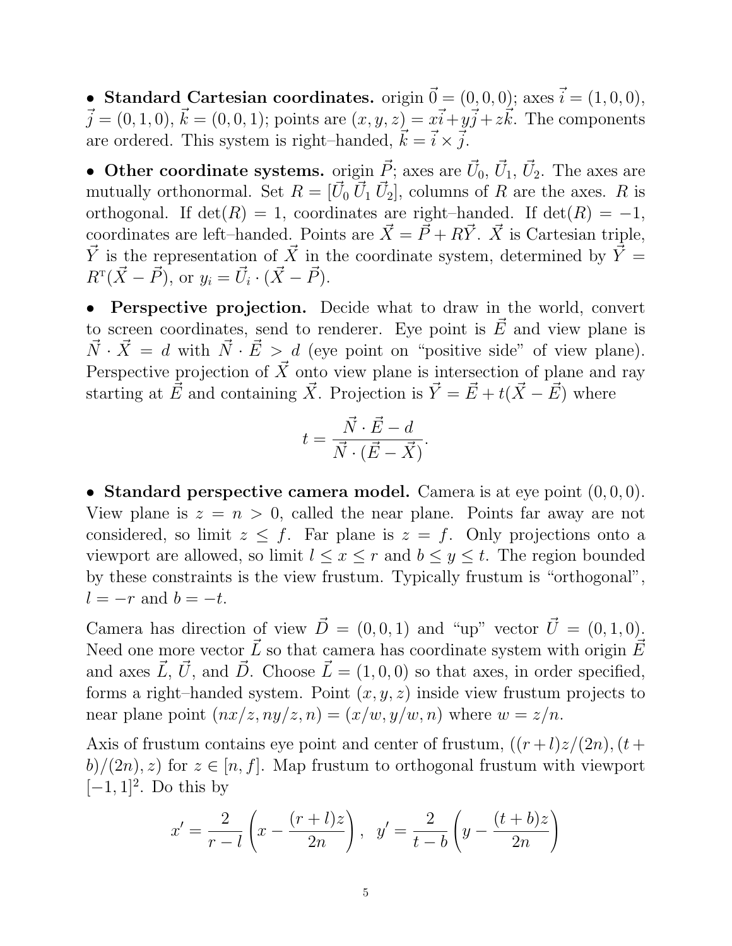• Standard Cartesian coordinates. origin  $\vec{0} = (0, 0, 0)$ ; axes  $\vec{i} = (1, 0, 0)$ ,  $\vec{j} = (0, 1, 0), \vec{k} = (0, 0, 1);$  points are  $(x, y, z) = x\vec{i} + y\vec{j} + z\vec{k}$ . The components are ordered. This system is right–handed,  $\vec{k} = \vec{i} \times \vec{j}$ .

• Other coordinate systems. origin  $\vec{P}$ ; axes are  $\vec{U}_0$ ,  $\vec{U}_1$ ,  $\vec{U}_2$ . The axes are mutually orthonormal. Set  $R = [\vec{U}_0 \ \vec{U}_1 \ \vec{U}_2]$ , columns of R are the axes. R is orthogonal. If  $det(R) = 1$ , coordinates are right–handed. If  $det(R) = -1$ , coordinates are left–handed. Points are  $\vec{X} = \vec{P} + R\vec{Y}$ .  $\vec{X}$  is Cartesian triple,  $\vec{Y}$  is the representation of  $\vec{X}$  in the coordinate system, determined by  $\vec{Y} =$  $R^{T}(\vec{X}-\vec{P}), \text{ or } y_{i}=\vec{U}_{i}\cdot(\vec{X}-\vec{P}).$ 

• Perspective projection. Decide what to draw in the world, convert to screen coordinates, send to renderer. Eye point is  $\vec{E}$  and view plane is  $\vec{N} \cdot \vec{X} = d$  with  $\vec{N} \cdot \vec{E} > d$  (eye point on "positive side" of view plane). Perspective projection of  $\vec{X}$  onto view plane is intersection of plane and ray starting at  $\vec{E}$  and containing  $\vec{X}$ . Projection is  $\vec{Y} = \vec{E} + t(\vec{X} - \vec{E})$  where

$$
t = \frac{\vec{N} \cdot \vec{E} - d}{\vec{N} \cdot (\vec{E} - \vec{X})}.
$$

• Standard perspective camera model. Camera is at eye point  $(0,0,0)$ . View plane is  $z = n > 0$ , called the near plane. Points far away are not considered, so limit  $z \leq f$ . Far plane is  $z = f$ . Only projections onto a viewport are allowed, so limit  $l \leq x \leq r$  and  $b \leq y \leq t$ . The region bounded by these constraints is the view frustum. Typically frustum is "orthogonal",  $l = -r$  and  $b = -t$ .

Camera has direction of view  $\vec{D} = (0, 0, 1)$  and "up" vector  $\vec{U} = (0, 1, 0)$ . Need one more vector  $\vec{L}$  so that camera has coordinate system with origin  $\vec{E}$ and axes  $\vec{L}, \vec{U}$ , and  $\vec{D}$ . Choose  $\vec{L} = (1, 0, 0)$  so that axes, in order specified, forms a right–handed system. Point  $(x, y, z)$  inside view frustum projects to near plane point  $(nx/z, ny/z, n) = (x/w, y/w, n)$  where  $w = z/n$ .

Axis of frustum contains eye point and center of frustum,  $((r+l)z/(2n),(t+$  $b)/(2n)$ , z) for  $z \in [n, f]$ . Map frustum to orthogonal frustum with viewport  $[-1, 1]^2$ . Do this by

$$
x' = \frac{2}{r - l} \left( x - \frac{(r + l)z}{2n} \right), \ \ y' = \frac{2}{t - b} \left( y - \frac{(t + b)z}{2n} \right)
$$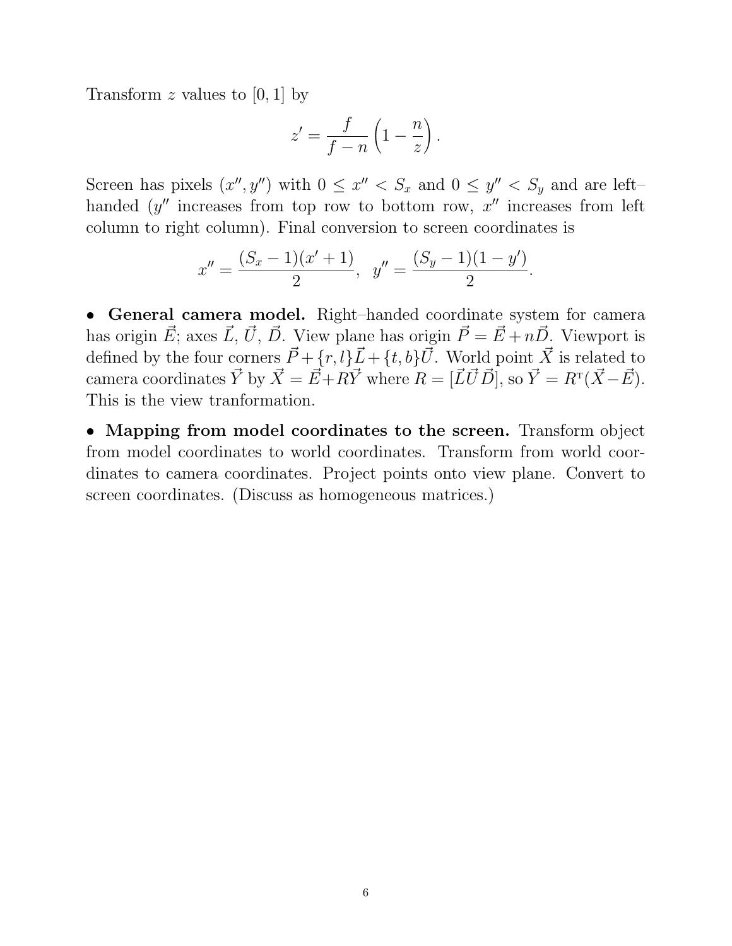Transform  $z$  values to [0, 1] by

$$
z' = \frac{f}{f-n} \left( 1 - \frac{n}{z} \right).
$$

Screen has pixels  $(x'', y'')$  with  $0 \leq x'' < S_x$  and  $0 \leq y'' < S_y$  and are lefthanded  $(y''$  increases from top row to bottom row,  $x''$  increases from left column to right column). Final conversion to screen coordinates is

$$
x'' = \frac{(S_x - 1)(x' + 1)}{2}, \ \ y'' = \frac{(S_y - 1)(1 - y')}{2}.
$$

• General camera model. Right–handed coordinate system for camera has origin  $\vec{E}$ ; axes  $\vec{L}$ ,  $\vec{U}$ ,  $\vec{D}$ . View plane has origin  $\vec{P} = \vec{E} + n\vec{D}$ . Viewport is defined by the four corners  $\vec{P} + \{\vec{r}, \vec{l}\}\vec{L} + \{\vec{t}, \vec{b}\}\vec{U}$ . World point  $\vec{X}$  is related to camera coordinates  $\vec{Y}$  by  $\vec{X} = \vec{E} + R\vec{Y}$  where  $R = [\vec{L}\vec{U}\vec{D}]$ , so  $\vec{Y} = R^{T}(\vec{X} - \vec{E})$ . This is the view tranformation.

• Mapping from model coordinates to the screen. Transform object from model coordinates to world coordinates. Transform from world coordinates to camera coordinates. Project points onto view plane. Convert to screen coordinates. (Discuss as homogeneous matrices.)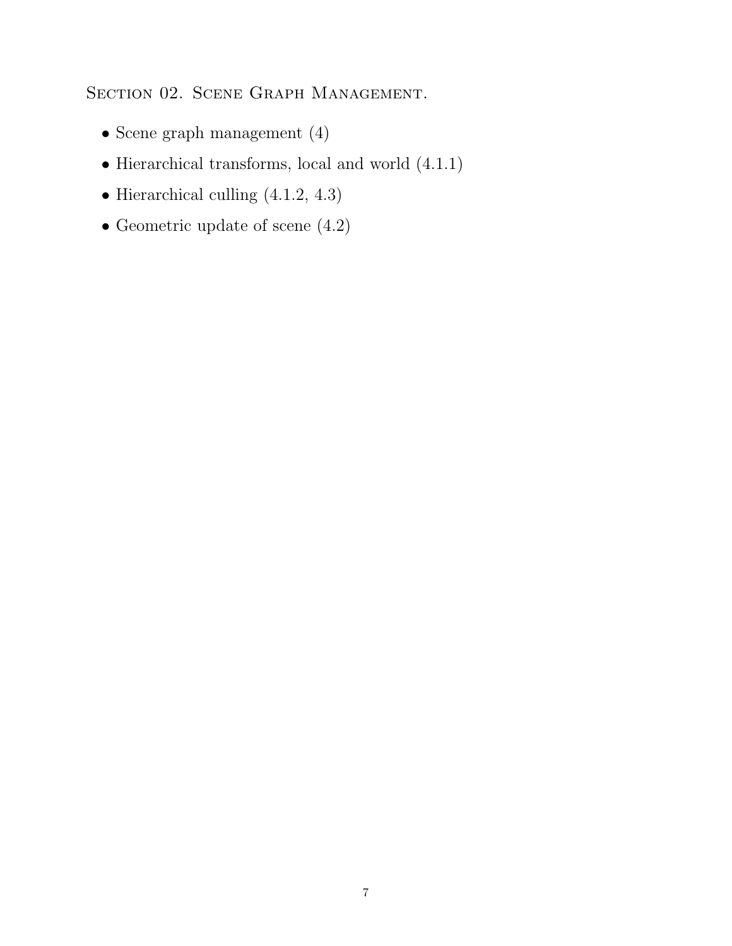SECTION 02. SCENE GRAPH MANAGEMENT.

- Scene graph management (4)
- Hierarchical transforms, local and world (4.1.1)
- Hierarchical culling (4.1.2, 4.3)
- Geometric update of scene (4.2)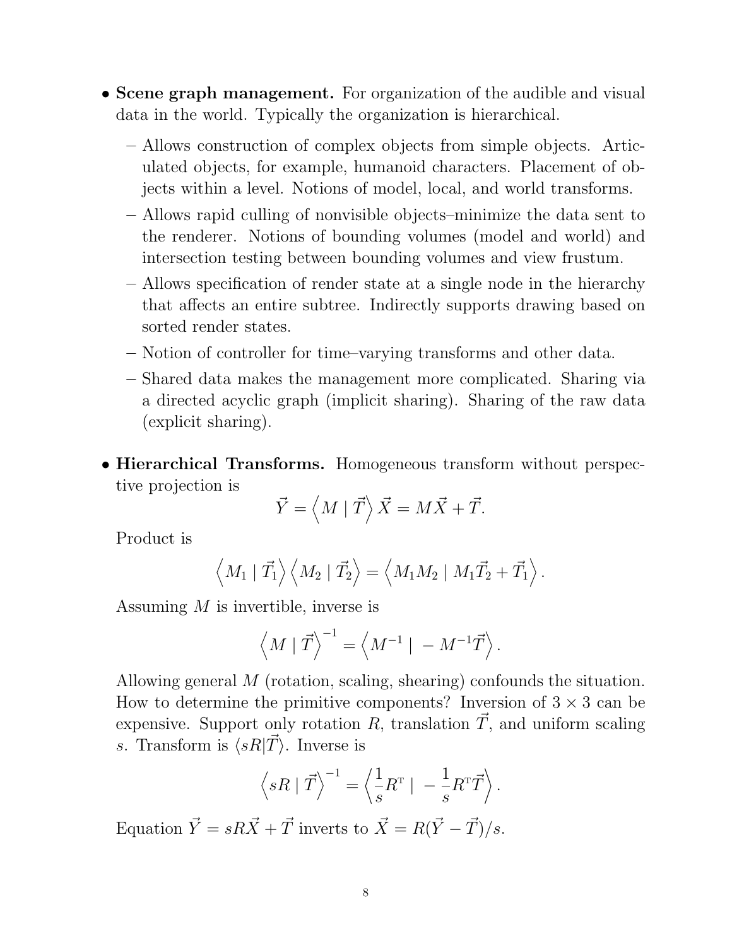- Scene graph management. For organization of the audible and visual data in the world. Typically the organization is hierarchical.
	- Allows construction of complex objects from simple objects. Articulated objects, for example, humanoid characters. Placement of objects within a level. Notions of model, local, and world transforms.
	- Allows rapid culling of nonvisible objects–minimize the data sent to the renderer. Notions of bounding volumes (model and world) and intersection testing between bounding volumes and view frustum.
	- Allows specification of render state at a single node in the hierarchy that affects an entire subtree. Indirectly supports drawing based on sorted render states.
	- Notion of controller for time–varying transforms and other data.
	- Shared data makes the management more complicated. Sharing via a directed acyclic graph (implicit sharing). Sharing of the raw data (explicit sharing).
- Hierarchical Transforms. Homogeneous transform without perspective projection is

$$
\vec{Y} = \langle M | \vec{T} \rangle \vec{X} = M\vec{X} + \vec{T}.
$$

Product is

$$
\left\langle M_1 | \vec{T_1} \right\rangle \left\langle M_2 | \vec{T_2} \right\rangle = \left\langle M_1 M_2 | M_1 \vec{T_2} + \vec{T_1} \right\rangle.
$$

Assuming M is invertible, inverse is

$$
\left\langle M \mid \vec{T} \right\rangle^{-1} = \left\langle M^{-1} \mid \ -M^{-1}\vec{T} \right\rangle.
$$

Allowing general M (rotation, scaling, shearing) confounds the situation. How to determine the primitive components? Inversion of  $3 \times 3$  can be expensive. Support only rotation R, translation  $\vec{T}$ , and uniform scaling s. Transform is  $\langle sR|\vec{T}\rangle$ . Inverse is

$$
\left\langle sR \mid \vec{T} \right\rangle^{-1} = \left\langle \frac{1}{s} R^{T} \mid -\frac{1}{s} R^{T} \vec{T} \right\rangle.
$$

Equation  $\vec{Y} = sR\vec{X} + \vec{T}$  inverts to  $\vec{X} = R(\vec{Y} - \vec{T})/s$ .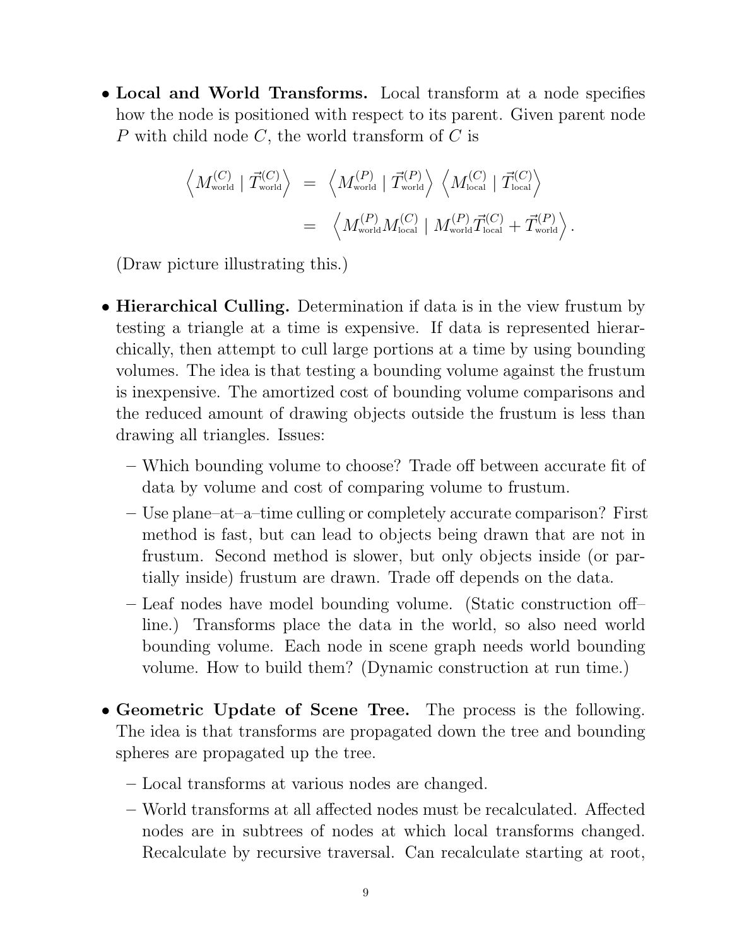• Local and World Transforms. Local transform at a node specifies how the node is positioned with respect to its parent. Given parent node P with child node  $C$ , the world transform of  $C$  is

$$
\left\langle M_{\text{world}}^{(C)} \mid \vec{T}_{\text{world}}^{(C)} \right\rangle = \left\langle M_{\text{world}}^{(P)} \mid \vec{T}_{\text{world}}^{(P)} \right\rangle \left\langle M_{\text{local}}^{(C)} \mid \vec{T}_{\text{local}}^{(C)} \right\rangle
$$
  
= 
$$
\left\langle M_{\text{world}}^{(P)} M_{\text{local}}^{(C)} \mid M_{\text{world}}^{(P)} \vec{T}_{\text{local}}^{(C)} + \vec{T}_{\text{world}}^{(P)} \right\rangle.
$$

(Draw picture illustrating this.)

- Hierarchical Culling. Determination if data is in the view frustum by testing a triangle at a time is expensive. If data is represented hierarchically, then attempt to cull large portions at a time by using bounding volumes. The idea is that testing a bounding volume against the frustum is inexpensive. The amortized cost of bounding volume comparisons and the reduced amount of drawing objects outside the frustum is less than drawing all triangles. Issues:
	- Which bounding volume to choose? Trade off between accurate fit of data by volume and cost of comparing volume to frustum.
	- Use plane–at–a–time culling or completely accurate comparison? First method is fast, but can lead to objects being drawn that are not in frustum. Second method is slower, but only objects inside (or partially inside) frustum are drawn. Trade off depends on the data.
	- Leaf nodes have model bounding volume. (Static construction off– line.) Transforms place the data in the world, so also need world bounding volume. Each node in scene graph needs world bounding volume. How to build them? (Dynamic construction at run time.)
- Geometric Update of Scene Tree. The process is the following. The idea is that transforms are propagated down the tree and bounding spheres are propagated up the tree.
	- Local transforms at various nodes are changed.
	- World transforms at all affected nodes must be recalculated. Affected nodes are in subtrees of nodes at which local transforms changed. Recalculate by recursive traversal. Can recalculate starting at root,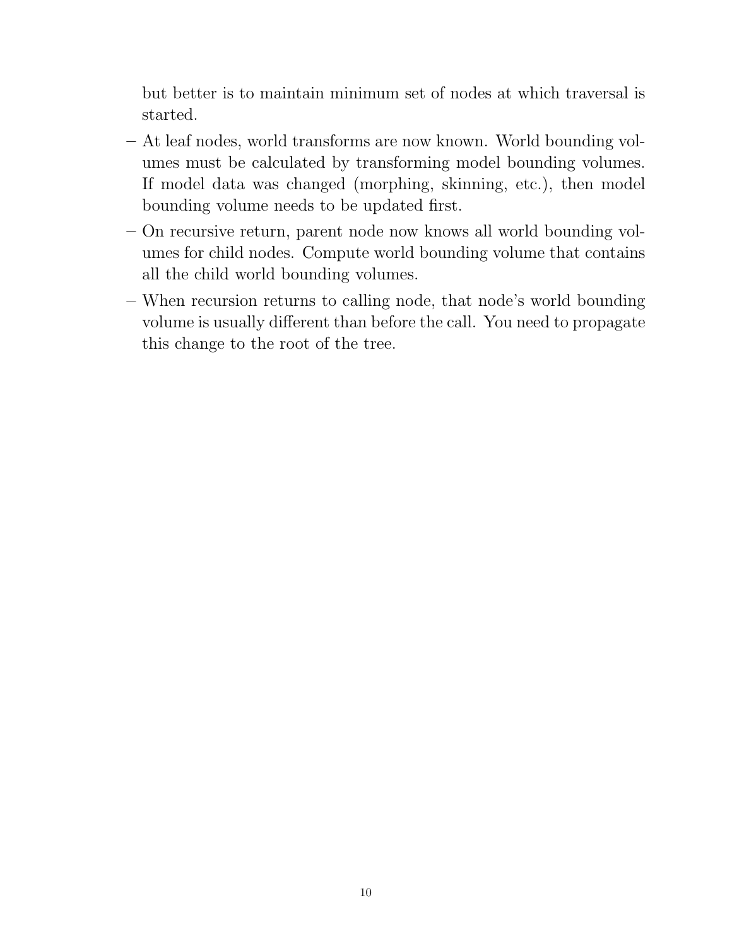but better is to maintain minimum set of nodes at which traversal is started.

- At leaf nodes, world transforms are now known. World bounding volumes must be calculated by transforming model bounding volumes. If model data was changed (morphing, skinning, etc.), then model bounding volume needs to be updated first.
- On recursive return, parent node now knows all world bounding volumes for child nodes. Compute world bounding volume that contains all the child world bounding volumes.
- When recursion returns to calling node, that node's world bounding volume is usually different than before the call. You need to propagate this change to the root of the tree.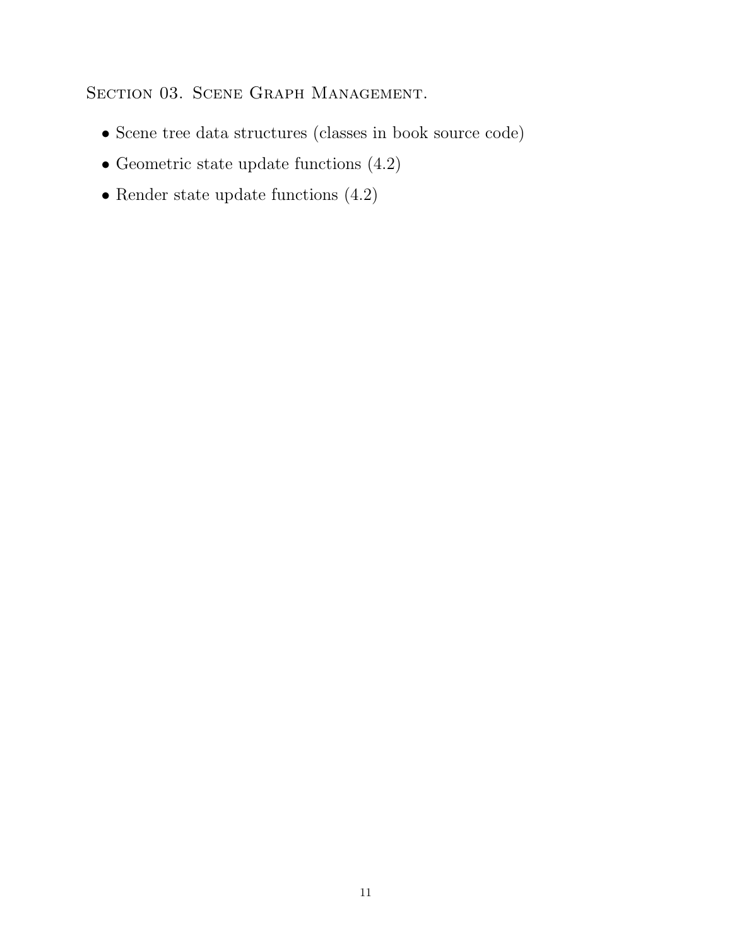SECTION 03. SCENE GRAPH MANAGEMENT.

- Scene tree data structures (classes in book source code)
- Geometric state update functions (4.2)
- $\bullet$  Render state update functions  $(4.2)$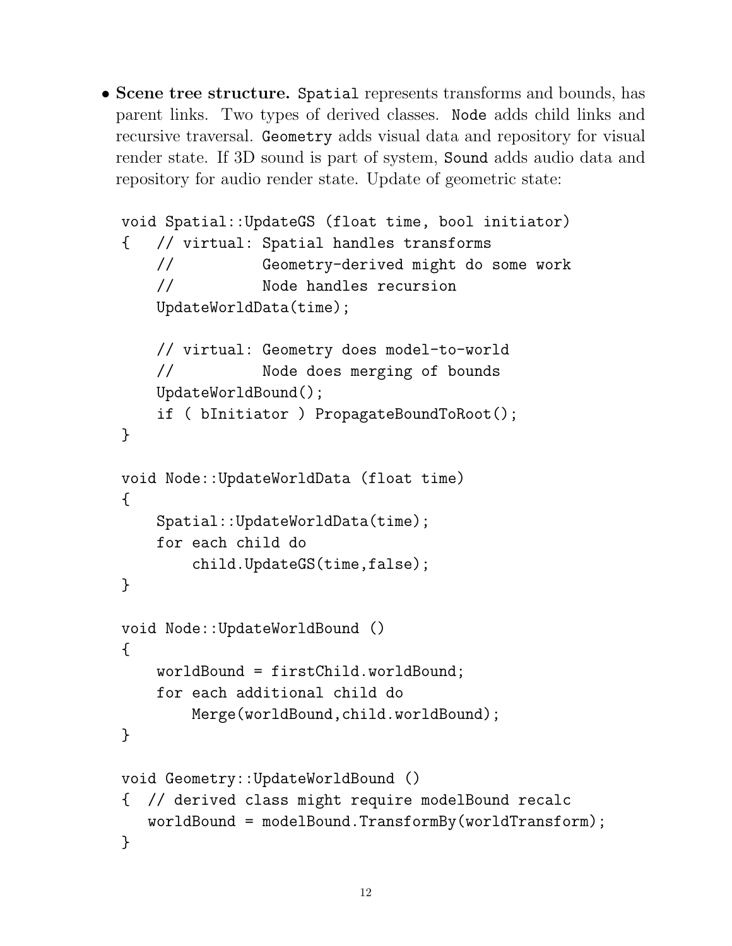• Scene tree structure. Spatial represents transforms and bounds, has parent links. Two types of derived classes. Node adds child links and recursive traversal. Geometry adds visual data and repository for visual render state. If 3D sound is part of system, Sound adds audio data and repository for audio render state. Update of geometric state:

```
void Spatial::UpdateGS (float time, bool initiator)
{ // virtual: Spatial handles transforms
    // Geometry-derived might do some work
    // Node handles recursion
    UpdateWorldData(time);
    // virtual: Geometry does model-to-world
    // Node does merging of bounds
    UpdateWorldBound();
    if ( bInitiator ) PropagateBoundToRoot();
}
void Node::UpdateWorldData (float time)
{
   Spatial::UpdateWorldData(time);
    for each child do
        child.UpdateGS(time,false);
}
void Node::UpdateWorldBound ()
{
    worldBound = firstChild.worldBound;
    for each additional child do
       Merge(worldBound,child.worldBound);
}
void Geometry::UpdateWorldBound ()
{ // derived class might require modelBound recalc
  worldBound = modelBound.TransformBy(worldTransform);
}
```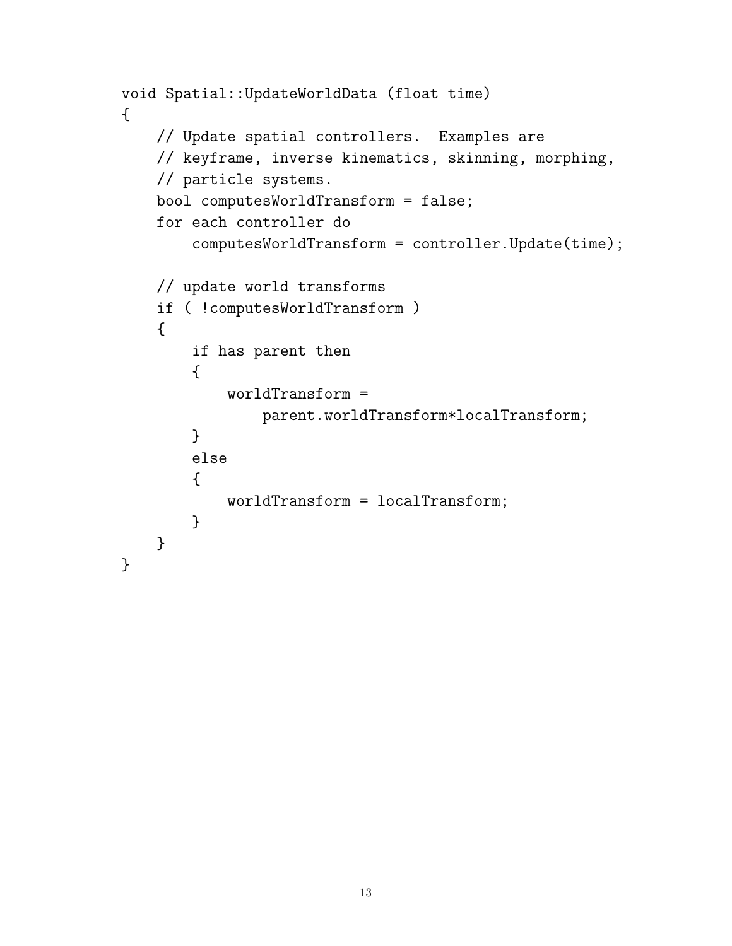```
void Spatial::UpdateWorldData (float time)
{
    // Update spatial controllers. Examples are
    // keyframe, inverse kinematics, skinning, morphing,
    // particle systems.
    bool computesWorldTransform = false;
    for each controller do
        computesWorldTransform = controller.Update(time);
    // update world transforms
    if ( !computesWorldTransform )
    {
        if has parent then
        {
            worldTransform =
                parent.worldTransform*localTransform;
        }
        else
        {
            worldTransform = localTransform;
        }
    }
}
```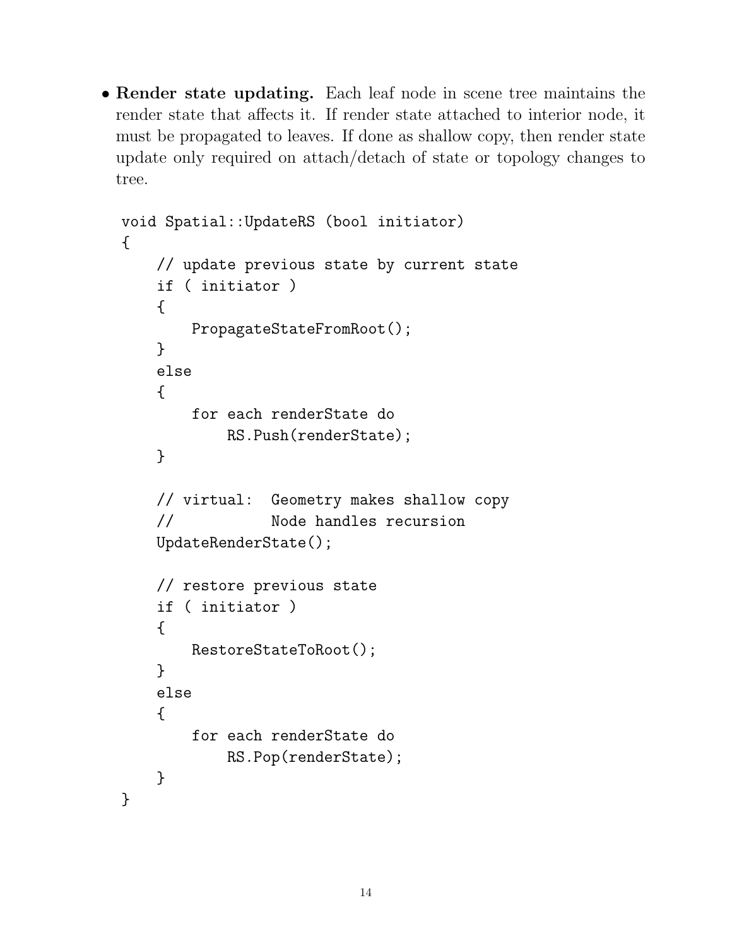• Render state updating. Each leaf node in scene tree maintains the render state that affects it. If render state attached to interior node, it must be propagated to leaves. If done as shallow copy, then render state update only required on attach/detach of state or topology changes to tree.

```
void Spatial::UpdateRS (bool initiator)
{
    // update previous state by current state
    if ( initiator )
    {
        PropagateStateFromRoot();
    }
    else
    \mathcal{L}for each renderState do
            RS.Push(renderState);
    }
    // virtual: Geometry makes shallow copy
    // Node handles recursion
    UpdateRenderState();
    // restore previous state
    if ( initiator )
    {
        RestoreStateToRoot();
    }
    else
    {
        for each renderState do
            RS.Pop(renderState);
    }
}
```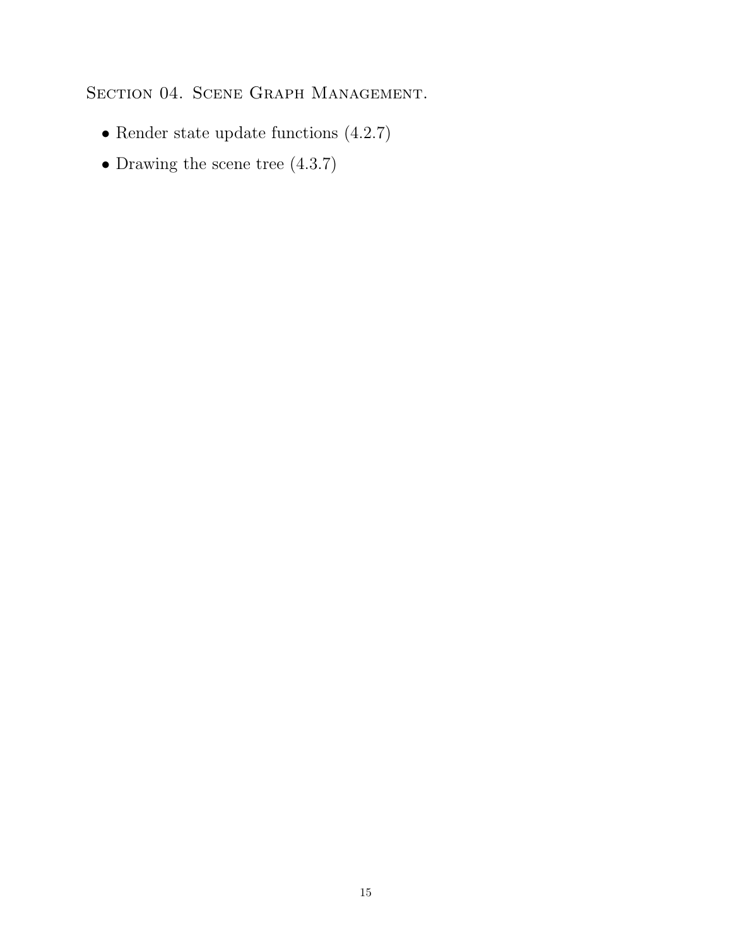SECTION 04. SCENE GRAPH MANAGEMENT.

- Render state update functions (4.2.7)
- Drawing the scene tree (4.3.7)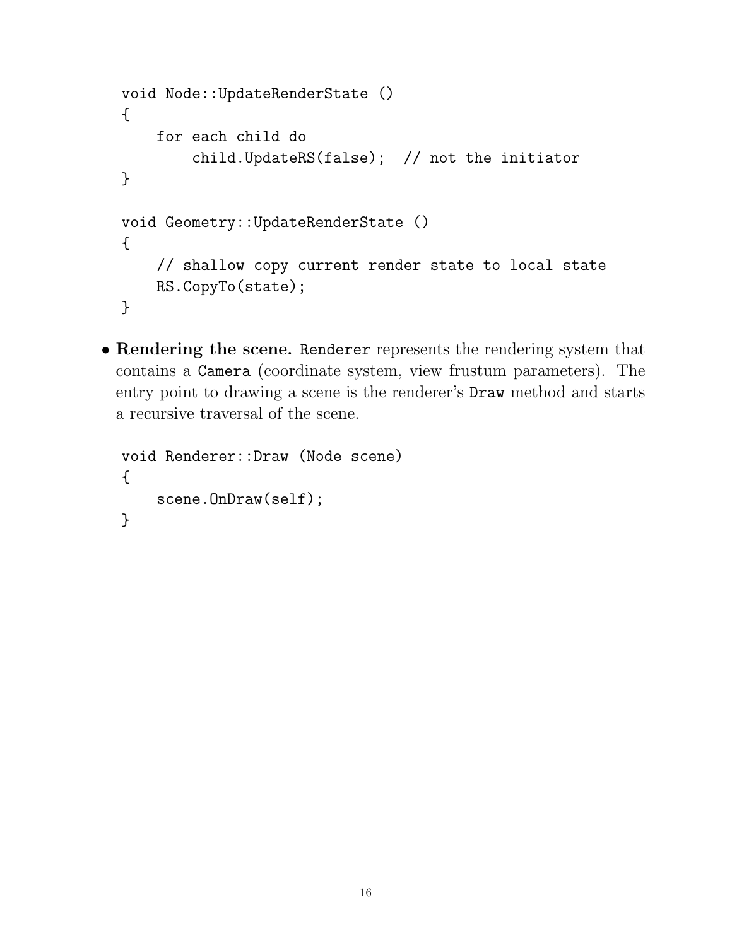```
void Node::UpdateRenderState ()
{
    for each child do
        child.UpdateRS(false); // not the initiator
}
void Geometry::UpdateRenderState ()
{
    // shallow copy current render state to local state
    RS.CopyTo(state);
}
```
• Rendering the scene. Renderer represents the rendering system that contains a Camera (coordinate system, view frustum parameters). The entry point to drawing a scene is the renderer's Draw method and starts a recursive traversal of the scene.

```
void Renderer::Draw (Node scene)
{
    scene.OnDraw(self);
}
```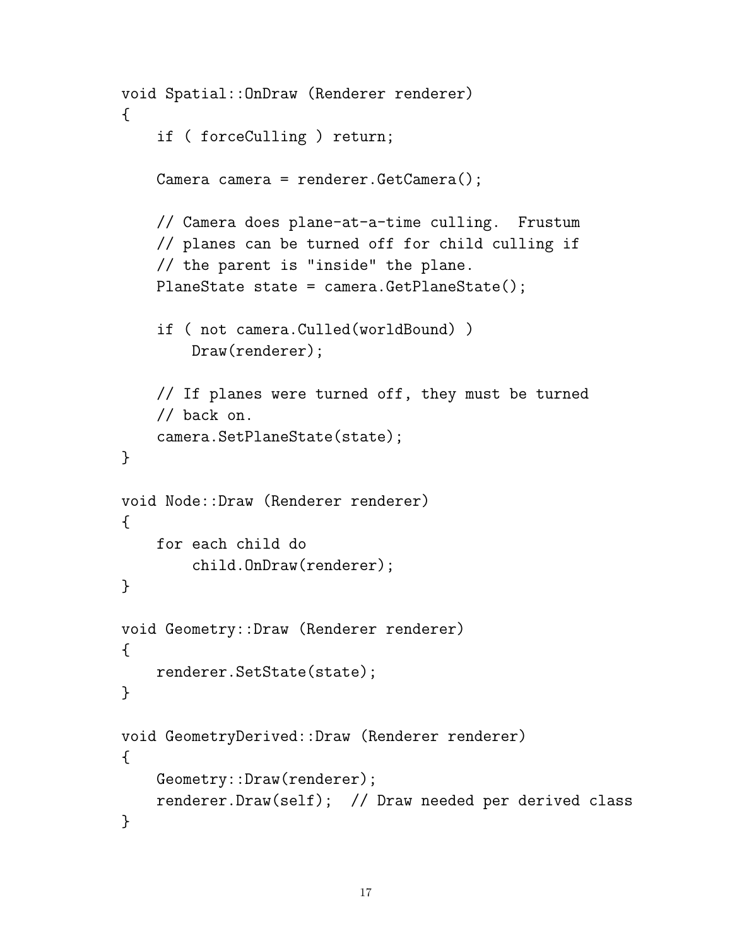```
void Spatial::OnDraw (Renderer renderer)
\mathcal{L}if ( forceCulling ) return;
    Camera camera = renderer.GetCamera();
    // Camera does plane-at-a-time culling. Frustum
    // planes can be turned off for child culling if
    // the parent is "inside" the plane.
    PlaneState state = camera.GetPlaneState();
    if ( not camera.Culled(worldBound) )
        Draw(renderer);
    // If planes were turned off, they must be turned
    // back on.
    camera.SetPlaneState(state);
}
void Node::Draw (Renderer renderer)
\mathcal{L}for each child do
        child.OnDraw(renderer);
}
void Geometry::Draw (Renderer renderer)
{
    renderer.SetState(state);
}
void GeometryDerived::Draw (Renderer renderer)
{
    Geometry::Draw(renderer);
    renderer.Draw(self); // Draw needed per derived class
}
```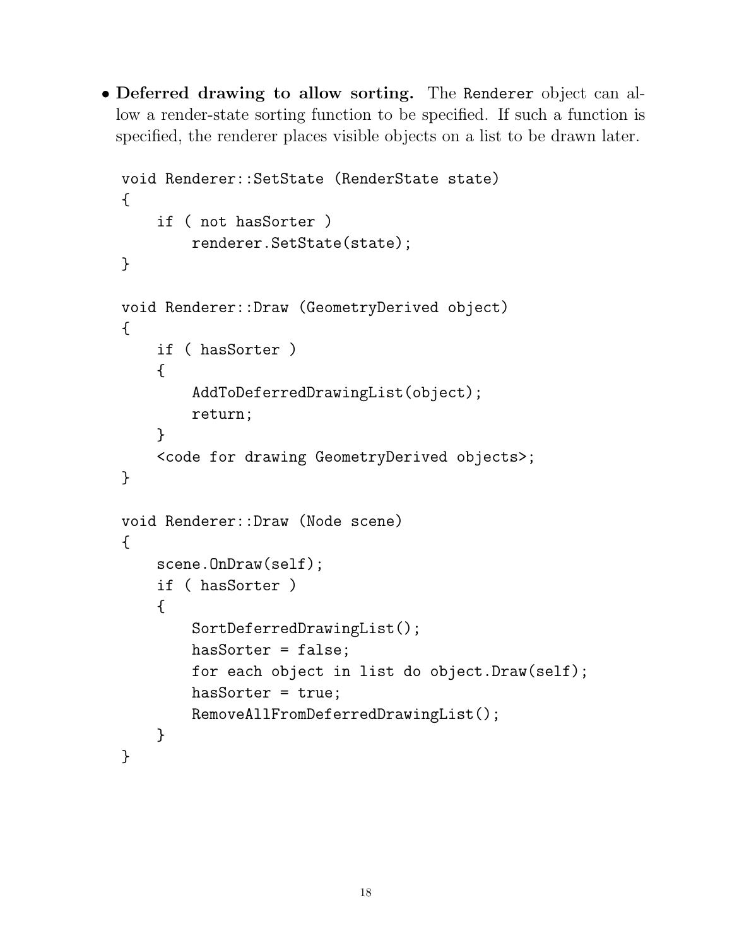• Deferred drawing to allow sorting. The Renderer object can allow a render-state sorting function to be specified. If such a function is specified, the renderer places visible objects on a list to be drawn later.

```
void Renderer::SetState (RenderState state)
{
    if ( not hasSorter )
        renderer.SetState(state);
}
void Renderer::Draw (GeometryDerived object)
{
    if ( hasSorter )
    {
        AddToDeferredDrawingList(object);
        return;
    }
    <code for drawing GeometryDerived objects>;
}
void Renderer::Draw (Node scene)
{
    scene.OnDraw(self);
    if ( hasSorter )
    {
        SortDeferredDrawingList();
        hasSorter = false;
        for each object in list do object.Draw(self);
        hasSorter = true;
        RemoveAllFromDeferredDrawingList();
    }
}
```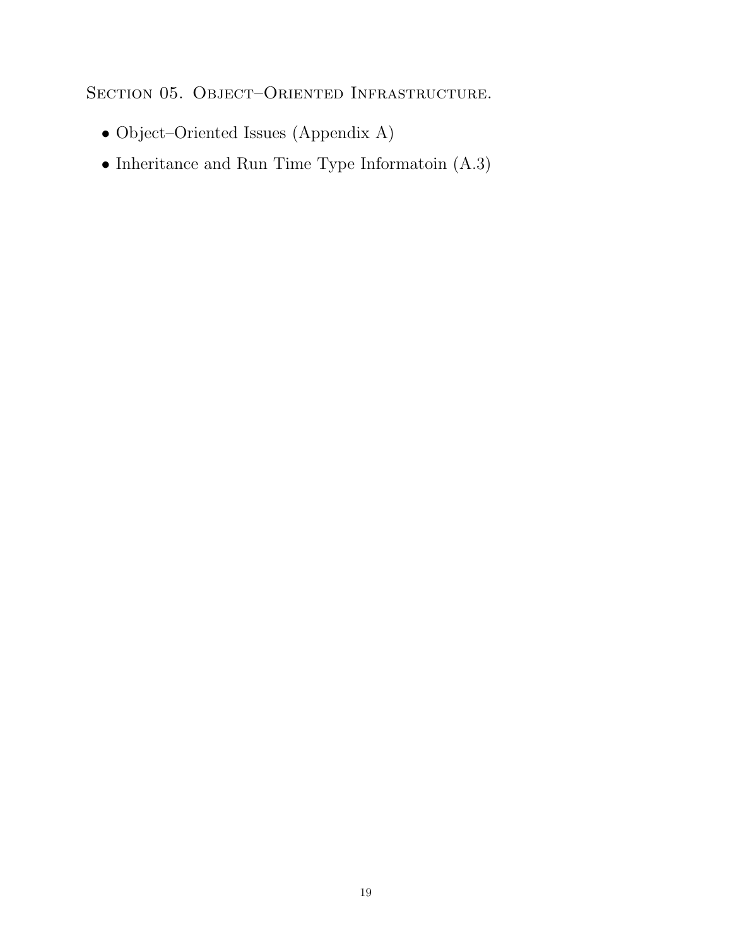SECTION 05. OBJECT-ORIENTED INFRASTRUCTURE.

- Object–Oriented Issues (Appendix A)
- Inheritance and Run Time Type Informatoin (A.3)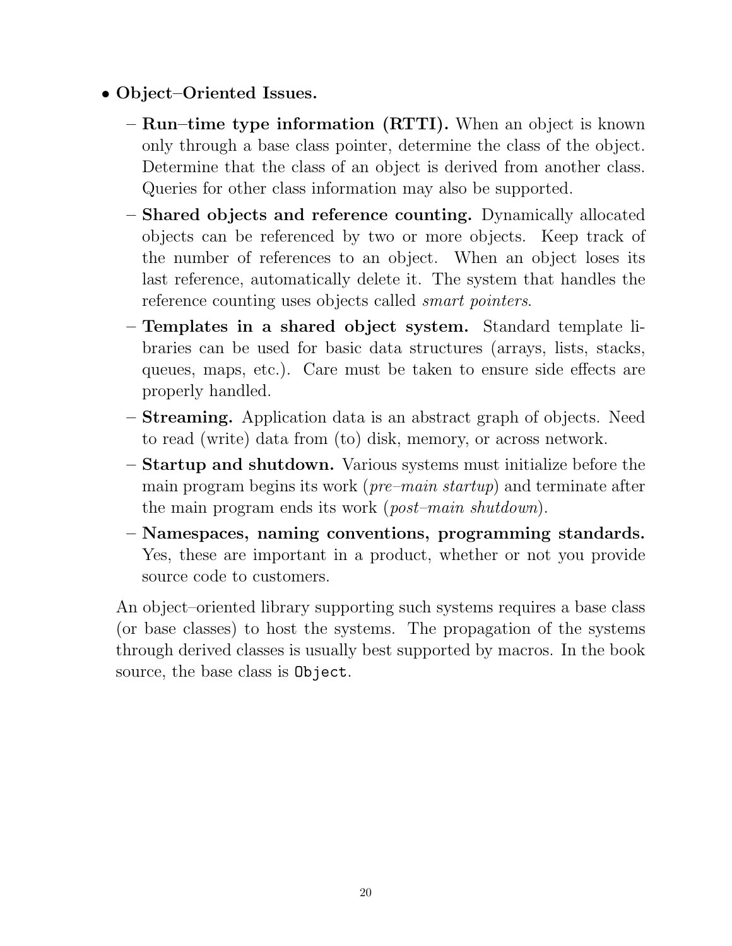- Object–Oriented Issues.
	- Run–time type information (RTTI). When an object is known only through a base class pointer, determine the class of the object. Determine that the class of an object is derived from another class. Queries for other class information may also be supported.
	- Shared objects and reference counting. Dynamically allocated objects can be referenced by two or more objects. Keep track of the number of references to an object. When an object loses its last reference, automatically delete it. The system that handles the reference counting uses objects called *smart pointers*.
	- Templates in a shared object system. Standard template libraries can be used for basic data structures (arrays, lists, stacks, queues, maps, etc.). Care must be taken to ensure side effects are properly handled.
	- Streaming. Application data is an abstract graph of objects. Need to read (write) data from (to) disk, memory, or across network.
	- Startup and shutdown. Various systems must initialize before the main program begins its work (pre–main startup) and terminate after the main program ends its work (post–main shutdown).
	- Namespaces, naming conventions, programming standards. Yes, these are important in a product, whether or not you provide source code to customers.

An object–oriented library supporting such systems requires a base class (or base classes) to host the systems. The propagation of the systems through derived classes is usually best supported by macros. In the book source, the base class is Object.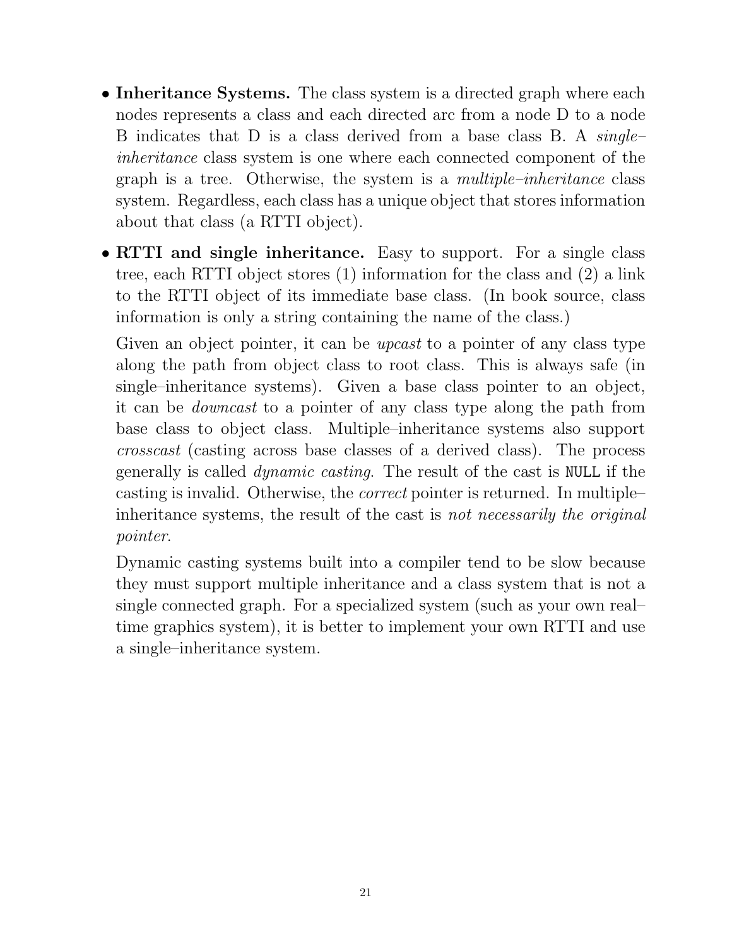- Inheritance Systems. The class system is a directed graph where each nodes represents a class and each directed arc from a node D to a node B indicates that D is a class derived from a base class B. A *single*inheritance class system is one where each connected component of the graph is a tree. Otherwise, the system is a multiple–inheritance class system. Regardless, each class has a unique object that stores information about that class (a RTTI object).
- RTTI and single inheritance. Easy to support. For a single class tree, each RTTI object stores (1) information for the class and (2) a link to the RTTI object of its immediate base class. (In book source, class information is only a string containing the name of the class.)

Given an object pointer, it can be *upcast* to a pointer of any class type along the path from object class to root class. This is always safe (in single–inheritance systems). Given a base class pointer to an object, it can be downcast to a pointer of any class type along the path from base class to object class. Multiple–inheritance systems also support crosscast (casting across base classes of a derived class). The process generally is called dynamic casting. The result of the cast is NULL if the casting is invalid. Otherwise, the correct pointer is returned. In multiple– inheritance systems, the result of the cast is not necessarily the original pointer.

Dynamic casting systems built into a compiler tend to be slow because they must support multiple inheritance and a class system that is not a single connected graph. For a specialized system (such as your own real– time graphics system), it is better to implement your own RTTI and use a single–inheritance system.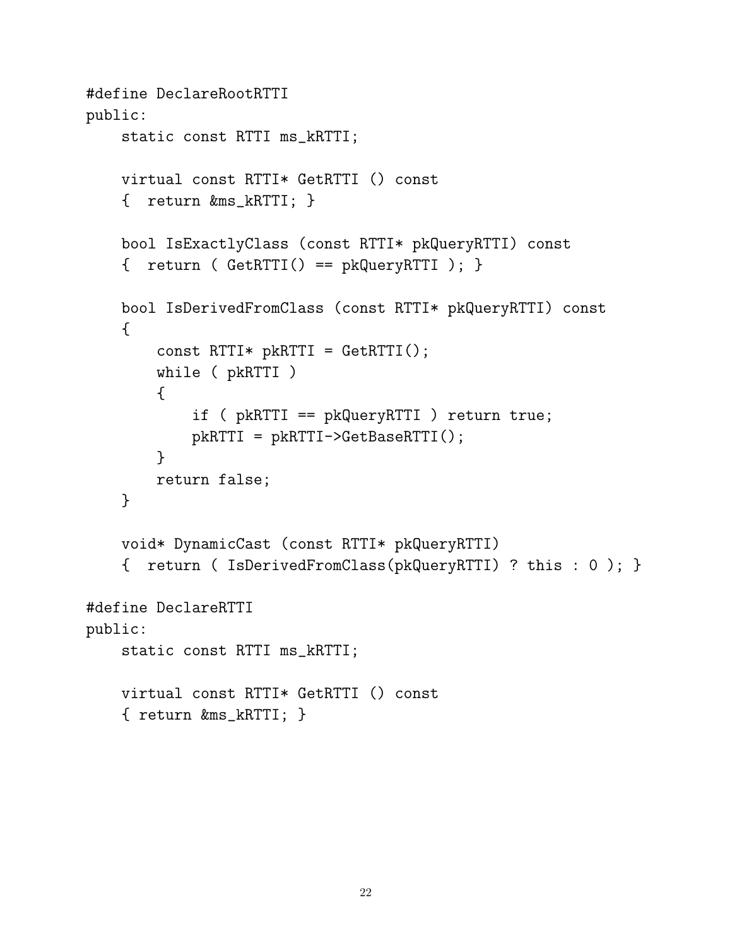```
#define DeclareRootRTTI
public:
    static const RTTI ms_kRTTI;
   virtual const RTTI* GetRTTI () const
    { return &ms_kRTTI; }
   bool IsExactlyClass (const RTTI* pkQueryRTTI) const
    { return ( GetRTTI() == pkQueryRTTI ); }
   bool IsDerivedFromClass (const RTTI* pkQueryRTTI) const
    {
        const RTTI* pkRTTI = GetRTTI();
        while ( pkRTTI )
        {
            if ( pkRTTI == pkQueryRTTI ) return true;
            pkRTTI = pkRTTI->GetBaseRTTI();
        }
        return false;
    }
   void* DynamicCast (const RTTI* pkQueryRTTI)
    { return ( IsDerivedFromClass(pkQueryRTTI) ? this : 0 ); }
#define DeclareRTTI
public:
    static const RTTI ms_kRTTI;
    virtual const RTTI* GetRTTI () const
    { return &ms_kRTTI; }
```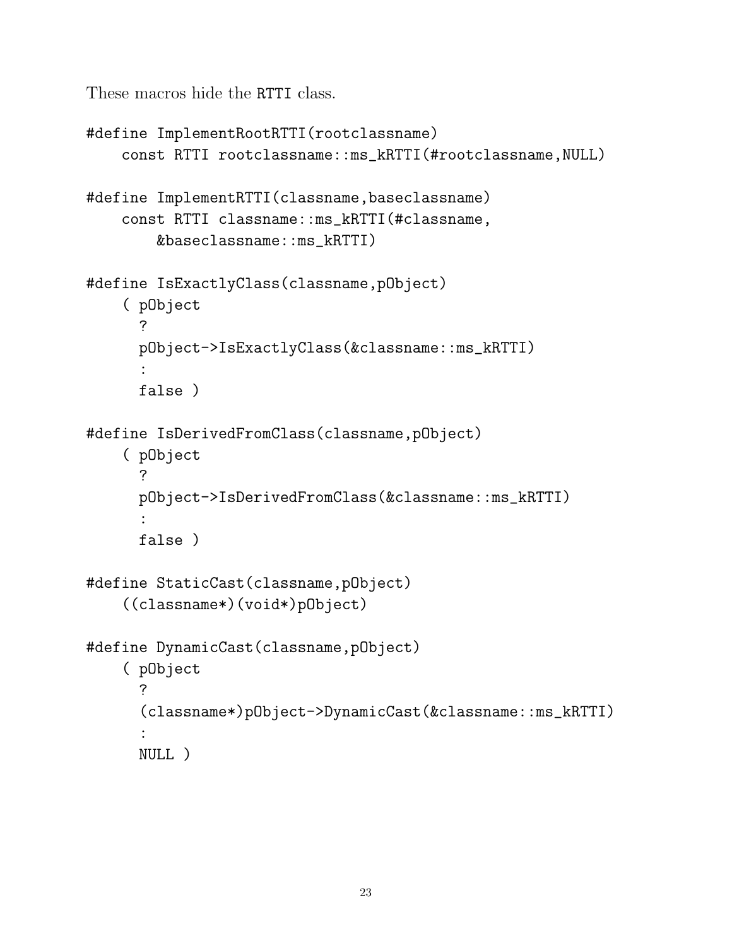These macros hide the RTTI class.

```
#define ImplementRootRTTI(rootclassname)
    const RTTI rootclassname::ms_kRTTI(#rootclassname,NULL)
#define ImplementRTTI(classname,baseclassname)
    const RTTI classname::ms_kRTTI(#classname,
        &baseclassname::ms_kRTTI)
#define IsExactlyClass(classname,pObject)
    ( pObject
      ?
      pObject->IsExactlyClass(&classname::ms_kRTTI)
      :
      false )
#define IsDerivedFromClass(classname,pObject)
    ( pObject
      ?
      pObject->IsDerivedFromClass(&classname::ms_kRTTI)
      :
      false )
#define StaticCast(classname,pObject)
    ((classname*)(void*)pObject)
#define DynamicCast(classname,pObject)
    ( pObject
      ?
      (classname*)pObject->DynamicCast(&classname::ms_kRTTI)
      :
      NULL )
```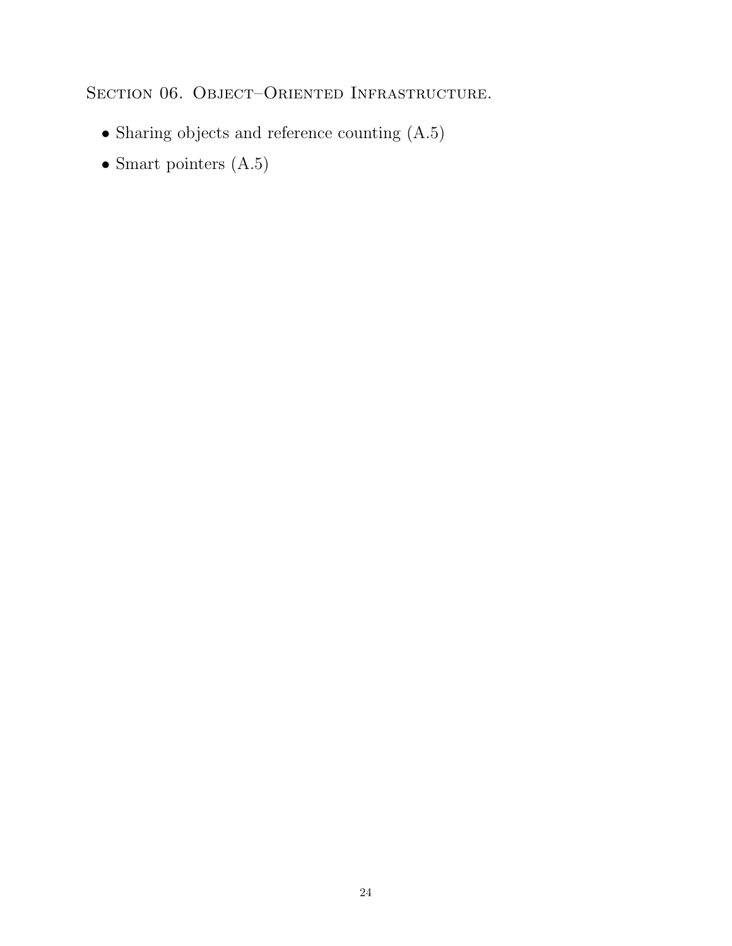SECTION 06. OBJECT-ORIENTED INFRASTRUCTURE.

- Sharing objects and reference counting (A.5)
- $\bullet$  Smart pointers (A.5)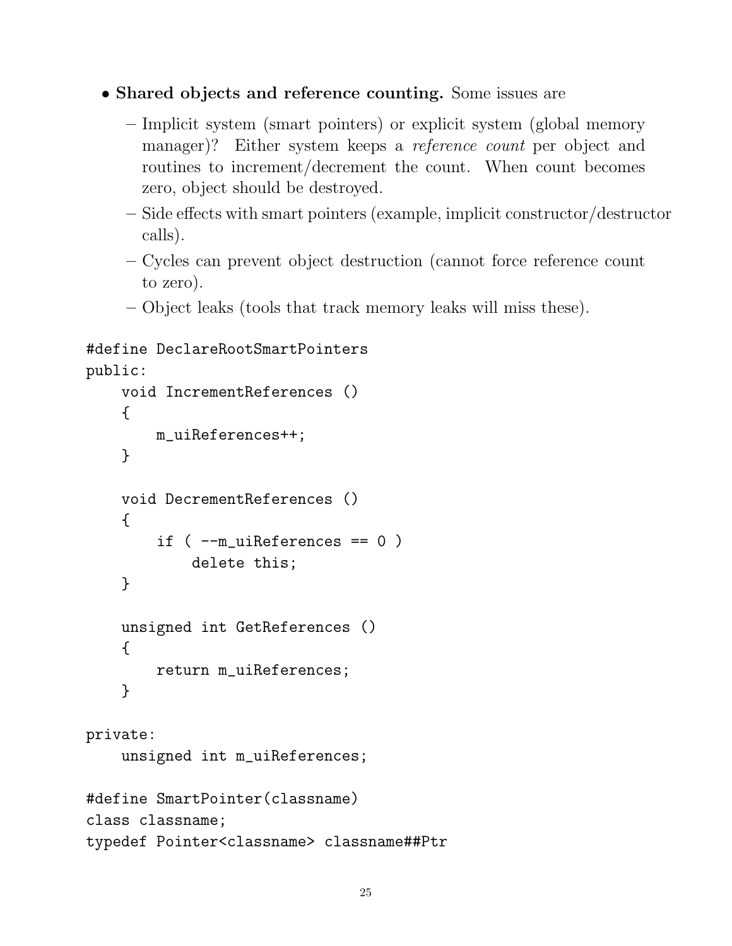```
• Shared objects and reference counting. Some issues are
```
- Implicit system (smart pointers) or explicit system (global memory manager)? Either system keeps a *reference count* per object and routines to increment/decrement the count. When count becomes zero, object should be destroyed.
- Side effects with smart pointers (example, implicit constructor/destructor calls).
- Cycles can prevent object destruction (cannot force reference count to zero).
- Object leaks (tools that track memory leaks will miss these).

```
#define DeclareRootSmartPointers
```

```
public:
    void IncrementReferences ()
    {
        m_uiReferences++;
    }
    void DecrementReferences ()
    {
        if (-m uiReferences == 0 )
            delete this;
    }
    unsigned int GetReferences ()
    {
        return m_uiReferences;
    }
private:
```
unsigned int m\_uiReferences;

```
#define SmartPointer(classname)
class classname;
typedef Pointer<classname> classname##Ptr
```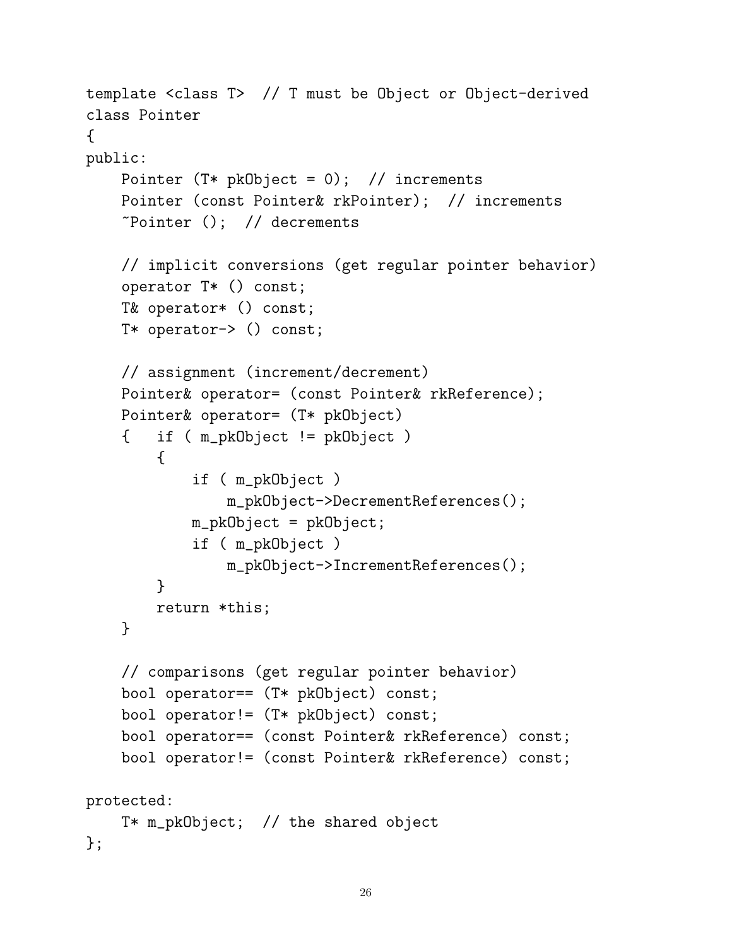```
template <class T> // T must be Object or Object-derived
class Pointer
{
public:
    Pointer (T* pkObject = 0); // increments
    Pointer (const Pointer& rkPointer); // increments
    \tilde{\text{Pointer}} (); // decrements
    // implicit conversions (get regular pointer behavior)
    operator T* () const;
    T& operator* () const;
    T* operator-> () const;
    // assignment (increment/decrement)
    Pointer& operator= (const Pointer& rkReference);
    Pointer& operator= (T* pkObject)
    { if ( m_pkObject != pkObject )
        {
            if ( m_pkObject )
                m_pkObject->DecrementReferences();
            m_pkObject = pkObject;
            if ( m_pkObject )
                m_pkObject->IncrementReferences();
        }
        return *this;
    }
    // comparisons (get regular pointer behavior)
    bool operator== (T* pkObject) const;
    bool operator!= (T* pkObject) const;
    bool operator== (const Pointer& rkReference) const;
    bool operator!= (const Pointer& rkReference) const;
protected:
    T* m_pkObject; // the shared object
};
```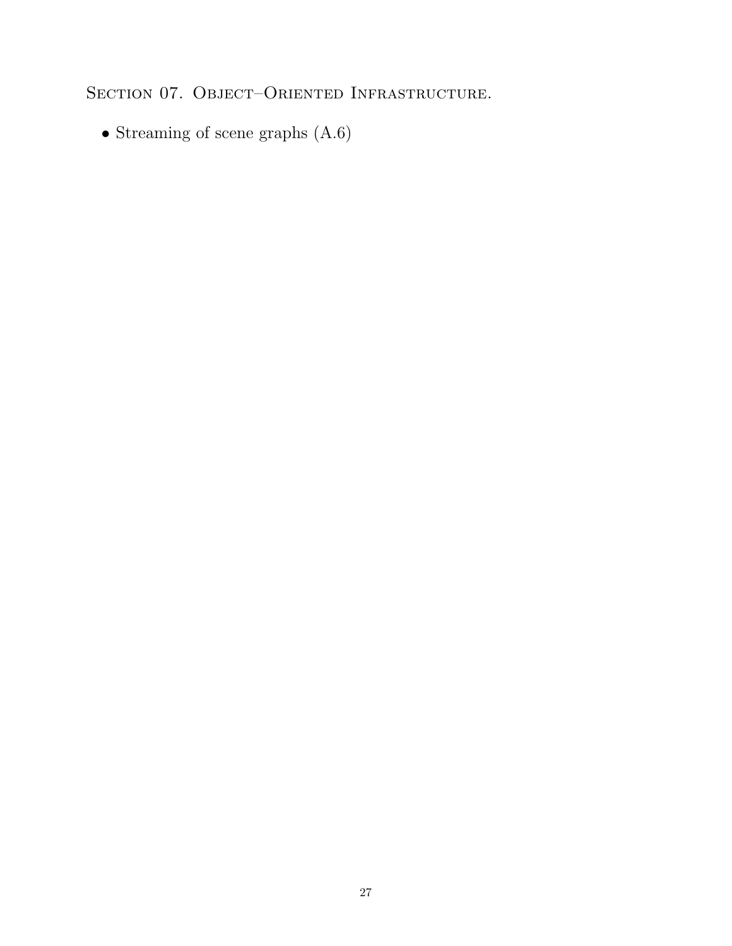SECTION 07. OBJECT–ORIENTED INFRASTRUCTURE.

• Streaming of scene graphs (A.6)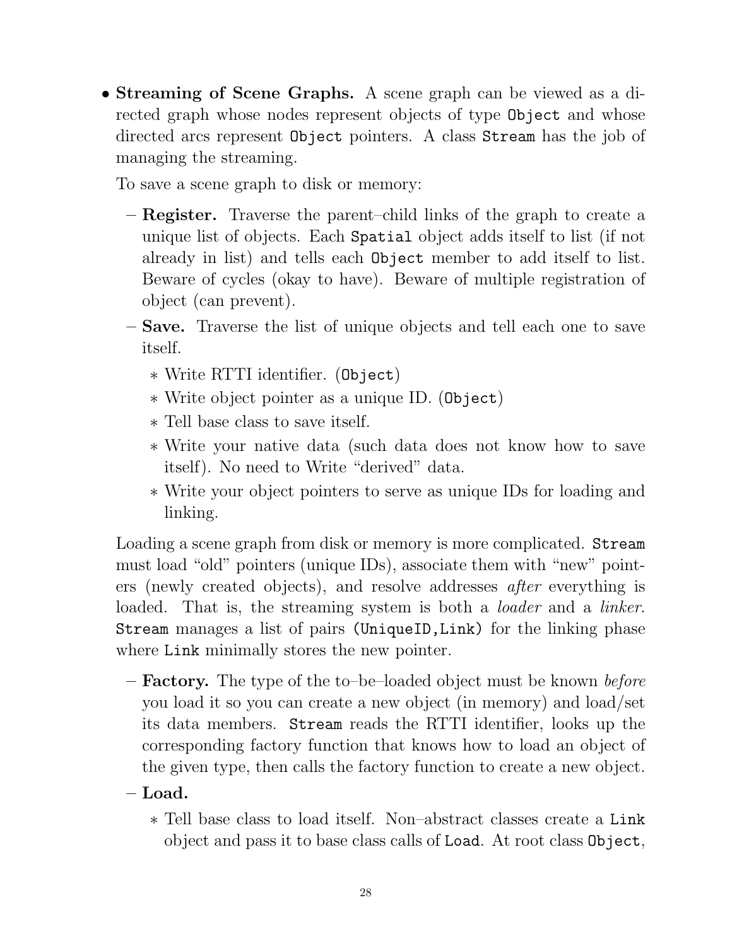• Streaming of Scene Graphs. A scene graph can be viewed as a directed graph whose nodes represent objects of type **Object** and whose directed arcs represent Object pointers. A class Stream has the job of managing the streaming.

To save a scene graph to disk or memory:

- Register. Traverse the parent–child links of the graph to create a unique list of objects. Each Spatial object adds itself to list (if not already in list) and tells each Object member to add itself to list. Beware of cycles (okay to have). Beware of multiple registration of object (can prevent).
- Save. Traverse the list of unique objects and tell each one to save itself.
	- ∗ Write RTTI identifier. (Object)
	- ∗ Write object pointer as a unique ID. (Object)
	- ∗ Tell base class to save itself.
	- ∗ Write your native data (such data does not know how to save itself). No need to Write "derived" data.
	- ∗ Write your object pointers to serve as unique IDs for loading and linking.

Loading a scene graph from disk or memory is more complicated. Stream must load "old" pointers (unique IDs), associate them with "new" pointers (newly created objects), and resolve addresses after everything is loaded. That is, the streaming system is both a *loader* and a *linker*. Stream manages a list of pairs (UniqueID,Link) for the linking phase where Link minimally stores the new pointer.

- $-$  Factory. The type of the to-be-loaded object must be known *before* you load it so you can create a new object (in memory) and load/set its data members. Stream reads the RTTI identifier, looks up the corresponding factory function that knows how to load an object of the given type, then calls the factory function to create a new object.
- $-$  Load.
	- ∗ Tell base class to load itself. Non–abstract classes create a Link object and pass it to base class calls of Load. At root class Object,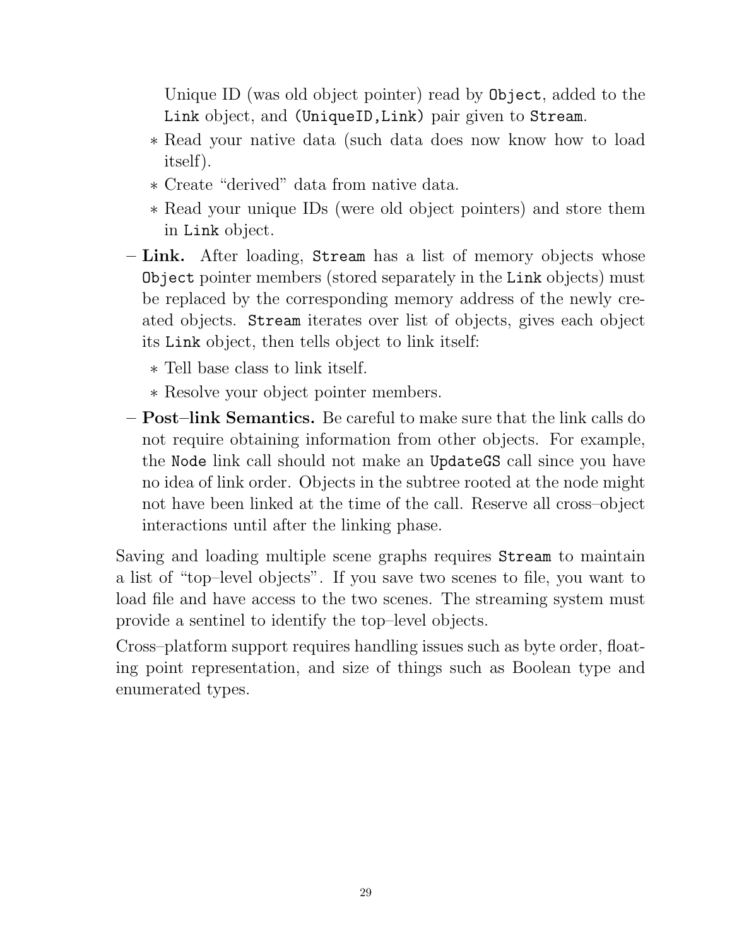Unique ID (was old object pointer) read by Object, added to the Link object, and (UniqueID,Link) pair given to Stream.

- ∗ Read your native data (such data does now know how to load itself).
- ∗ Create "derived" data from native data.
- ∗ Read your unique IDs (were old object pointers) and store them in Link object.
- Link. After loading, Stream has a list of memory objects whose Object pointer members (stored separately in the Link objects) must be replaced by the corresponding memory address of the newly created objects. Stream iterates over list of objects, gives each object its Link object, then tells object to link itself:
	- ∗ Tell base class to link itself.
	- ∗ Resolve your object pointer members.
- Post–link Semantics. Be careful to make sure that the link calls do not require obtaining information from other objects. For example, the Node link call should not make an UpdateGS call since you have no idea of link order. Objects in the subtree rooted at the node might not have been linked at the time of the call. Reserve all cross–object interactions until after the linking phase.

Saving and loading multiple scene graphs requires Stream to maintain a list of "top–level objects". If you save two scenes to file, you want to load file and have access to the two scenes. The streaming system must provide a sentinel to identify the top–level objects.

Cross–platform support requires handling issues such as byte order, floating point representation, and size of things such as Boolean type and enumerated types.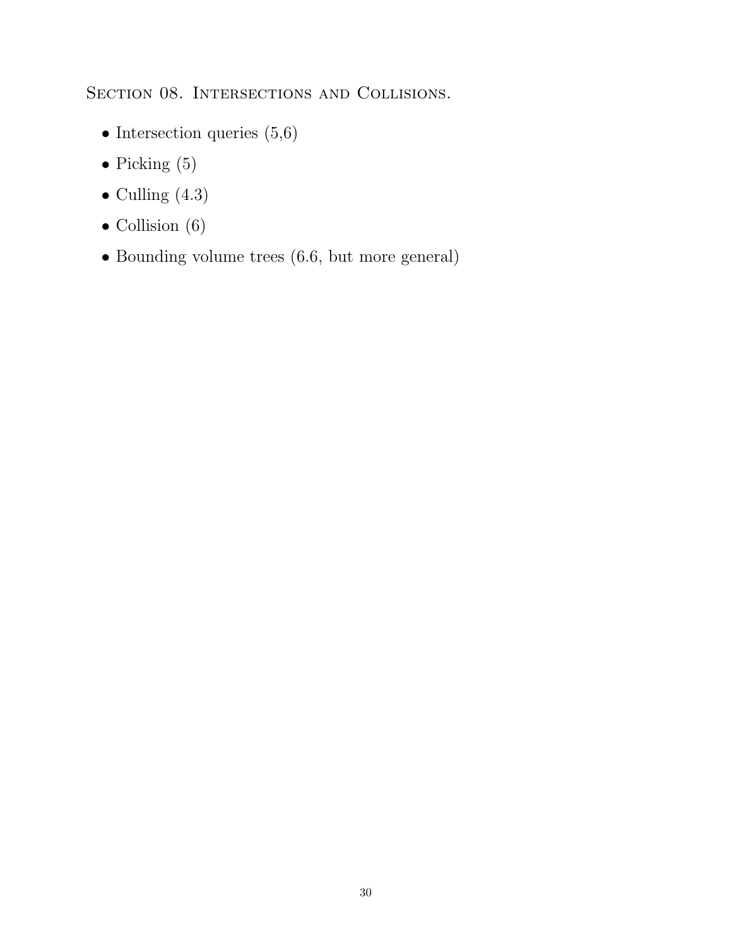SECTION 08. INTERSECTIONS AND COLLISIONS.

- Intersection queries  $(5,6)$
- Picking  $(5)$
- $\bullet$  Culling  $(4.3)$
- Collision (6)
- Bounding volume trees (6.6, but more general)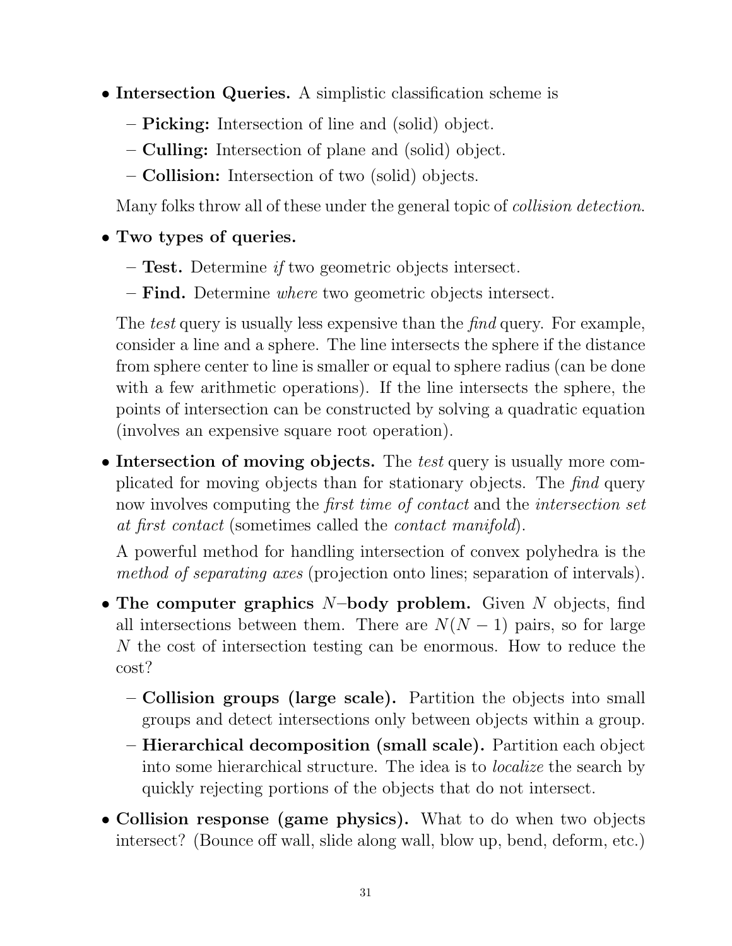- Intersection Queries. A simplistic classification scheme is
	- Picking: Intersection of line and (solid) object.
	- Culling: Intersection of plane and (solid) object.
	- Collision: Intersection of two (solid) objects.

Many folks throw all of these under the general topic of collision detection.

## • Two types of queries.

- Test. Determine if two geometric objects intersect.
- Find. Determine where two geometric objects intersect.

The *test* query is usually less expensive than the *find* query. For example, consider a line and a sphere. The line intersects the sphere if the distance from sphere center to line is smaller or equal to sphere radius (can be done with a few arithmetic operations). If the line intersects the sphere, the points of intersection can be constructed by solving a quadratic equation (involves an expensive square root operation).

• Intersection of moving objects. The test query is usually more complicated for moving objects than for stationary objects. The find query now involves computing the *first time of contact* and the *intersection set* at first contact (sometimes called the contact manifold).

A powerful method for handling intersection of convex polyhedra is the method of separating axes (projection onto lines; separation of intervals).

- The computer graphics  $N$ -body problem. Given  $N$  objects, find all intersections between them. There are  $N(N-1)$  pairs, so for large N the cost of intersection testing can be enormous. How to reduce the cost?
	- Collision groups (large scale). Partition the objects into small groups and detect intersections only between objects within a group.
	- Hierarchical decomposition (small scale). Partition each object into some hierarchical structure. The idea is to localize the search by quickly rejecting portions of the objects that do not intersect.
- Collision response (game physics). What to do when two objects intersect? (Bounce off wall, slide along wall, blow up, bend, deform, etc.)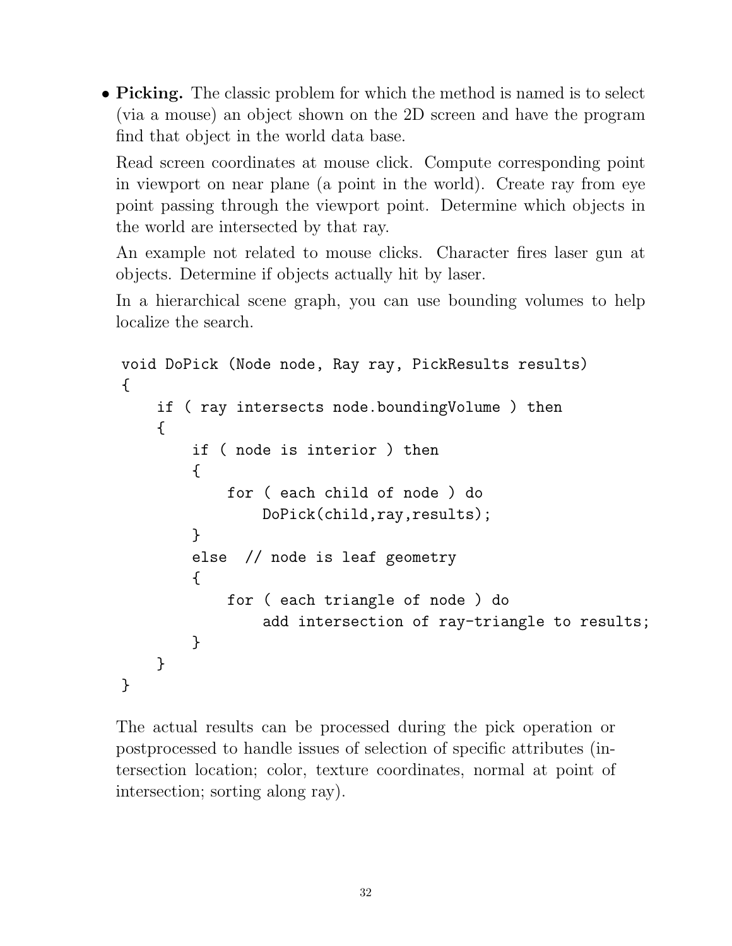• Picking. The classic problem for which the method is named is to select (via a mouse) an object shown on the 2D screen and have the program find that object in the world data base.

Read screen coordinates at mouse click. Compute corresponding point in viewport on near plane (a point in the world). Create ray from eye point passing through the viewport point. Determine which objects in the world are intersected by that ray.

An example not related to mouse clicks. Character fires laser gun at objects. Determine if objects actually hit by laser.

In a hierarchical scene graph, you can use bounding volumes to help localize the search.

```
void DoPick (Node node, Ray ray, PickResults results)
{
    if ( ray intersects node.boundingVolume ) then
    {
        if ( node is interior ) then
        {
            for ( each child of node ) do
                DoPick(child,ray,results);
        }
        else // node is leaf geometry
        {
            for ( each triangle of node ) do
                add intersection of ray-triangle to results;
        }
    }
}
```
The actual results can be processed during the pick operation or postprocessed to handle issues of selection of specific attributes (intersection location; color, texture coordinates, normal at point of intersection; sorting along ray).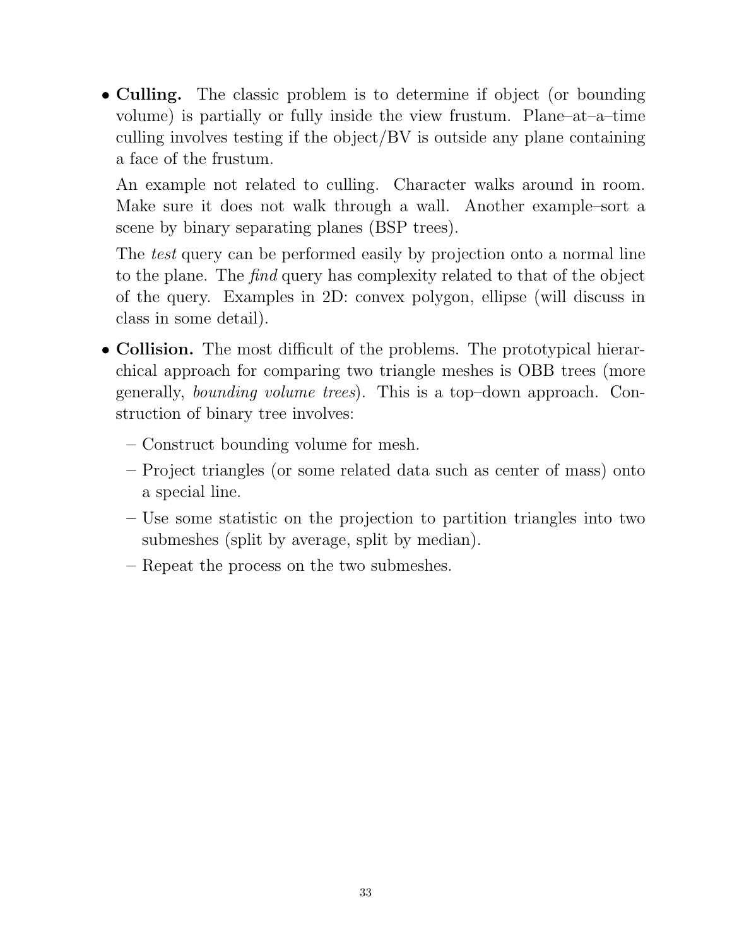• Culling. The classic problem is to determine if object (or bounding volume) is partially or fully inside the view frustum. Plane–at–a–time culling involves testing if the object/BV is outside any plane containing a face of the frustum.

An example not related to culling. Character walks around in room. Make sure it does not walk through a wall. Another example–sort a scene by binary separating planes (BSP trees).

The *test* query can be performed easily by projection onto a normal line to the plane. The find query has complexity related to that of the object of the query. Examples in 2D: convex polygon, ellipse (will discuss in class in some detail).

- Collision. The most difficult of the problems. The prototypical hierarchical approach for comparing two triangle meshes is OBB trees (more generally, bounding volume trees). This is a top–down approach. Construction of binary tree involves:
	- Construct bounding volume for mesh.
	- Project triangles (or some related data such as center of mass) onto a special line.
	- Use some statistic on the projection to partition triangles into two submeshes (split by average, split by median).
	- Repeat the process on the two submeshes.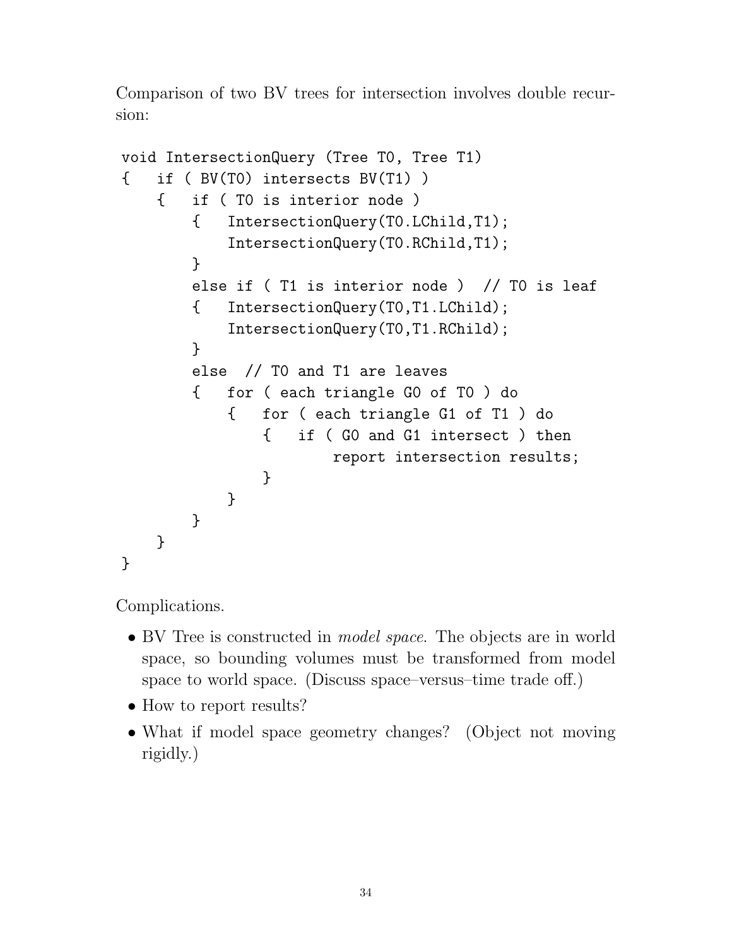Comparison of two BV trees for intersection involves double recursion:

```
void IntersectionQuery (Tree T0, Tree T1)
{ if ( BV(T0) intersects BV(T1) )
    { if ( T0 is interior node )
        { IntersectionQuery(T0.LChild,T1);
            IntersectionQuery(T0.RChild,T1);
        }
        else if ( T1 is interior node ) // T0 is leaf
        { IntersectionQuery(T0,T1.LChild);
            IntersectionQuery(T0,T1.RChild);
        }
        else // T0 and T1 are leaves
        { for ( each triangle G0 of T0 ) do
            { for ( each triangle G1 of T1 ) do
                { if ( G0 and G1 intersect ) then
                       report intersection results;
                }
           }
       }
    }
}
```
Complications.

- BV Tree is constructed in *model space*. The objects are in world space, so bounding volumes must be transformed from model space to world space. (Discuss space–versus–time trade off.)
- How to report results?
- What if model space geometry changes? (Object not moving rigidly.)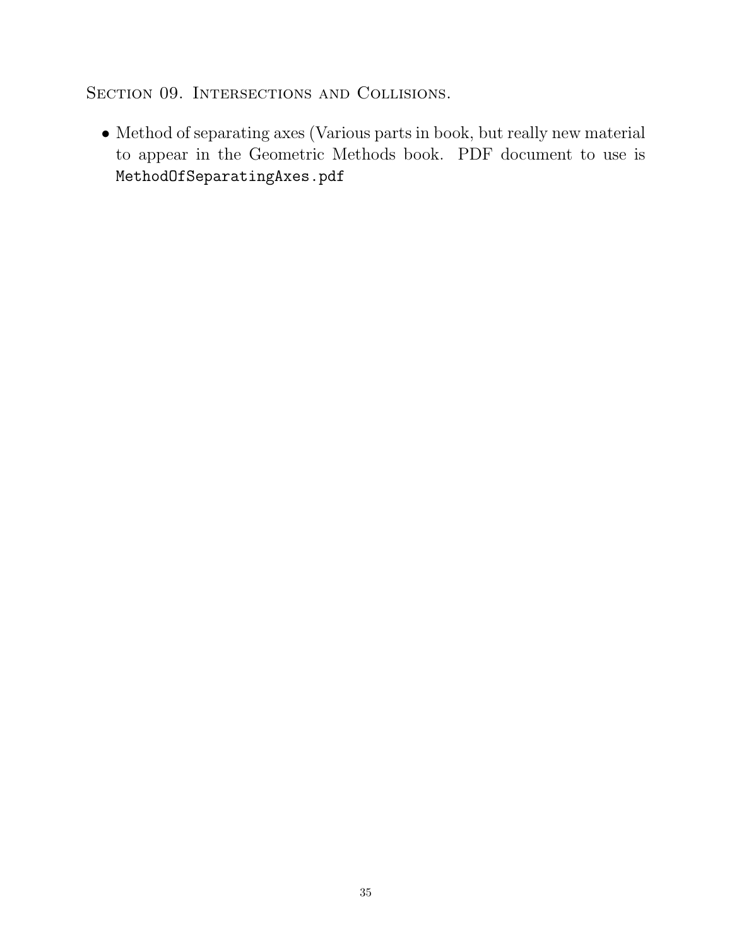SECTION 09. INTERSECTIONS AND COLLISIONS.

 $\bullet$  Method of separating axes (Various parts in book, but really new material to appear in the Geometric Methods book. PDF document to use is MethodOfSeparatingAxes.pdf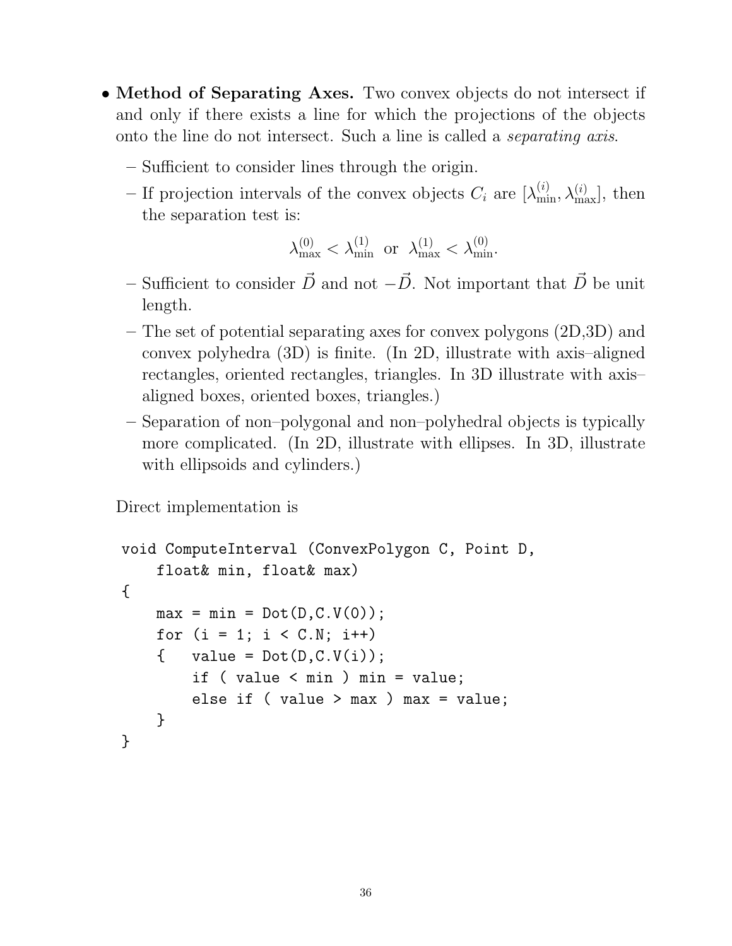- Method of Separating Axes. Two convex objects do not intersect if and only if there exists a line for which the projections of the objects onto the line do not intersect. Such a line is called a separating axis.
	- Sufficient to consider lines through the origin.
	- If projection intervals of the convex objects  $C_i$  are  $[\lambda_{\min}^{(i)}, \lambda_{\max}^{(i)}]$ , then the separation test is:

$$
\lambda_{\max}^{(0)} < \lambda_{\min}^{(1)} \text{ or } \lambda_{\max}^{(1)} < \lambda_{\min}^{(0)}.
$$

- Sufficient to consider  $\vec{D}$  and not  $-\vec{D}$ . Not important that  $\vec{D}$  be unit length.
- The set of potential separating axes for convex polygons (2D,3D) and convex polyhedra (3D) is finite. (In 2D, illustrate with axis–aligned rectangles, oriented rectangles, triangles. In 3D illustrate with axis– aligned boxes, oriented boxes, triangles.)
- Separation of non–polygonal and non–polyhedral objects is typically more complicated. (In 2D, illustrate with ellipses. In 3D, illustrate with ellipsoids and cylinders.)

Direct implementation is

```
void ComputeInterval (ConvexPolygon C, Point D,
    float& min, float& max)
{
   max = min = Dot(D,C.V(0));for (i = 1; i < C.N; i++){ value = Dot(D, C. V(i));
        if ( value < min ) min = value;
        else if ( value > max ) max = value;
    }
}
```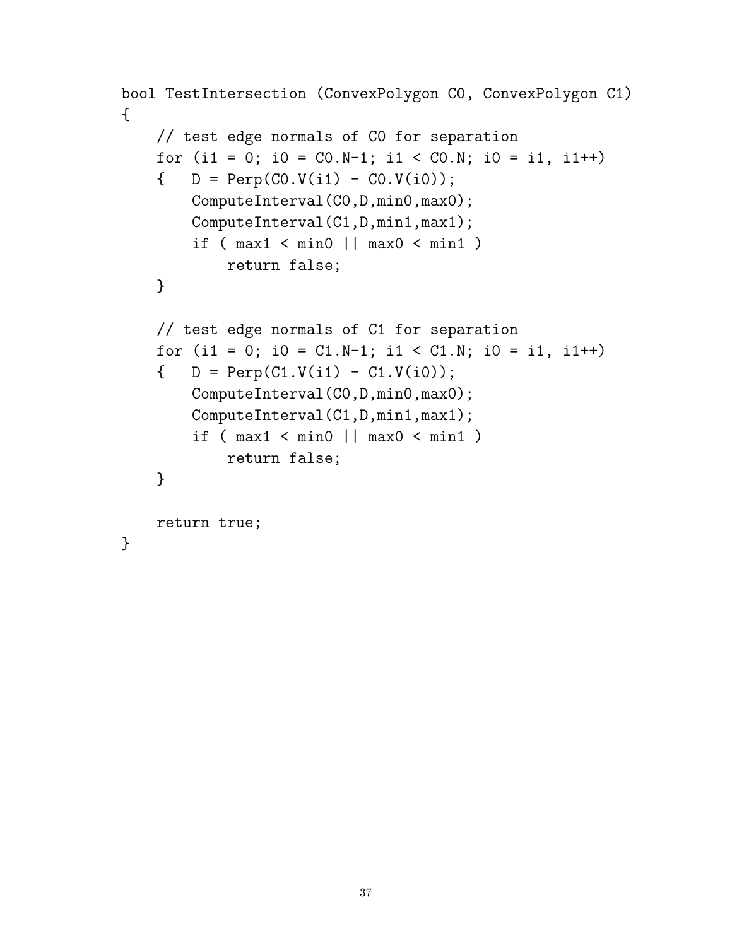```
bool TestIntersection (ConvexPolygon C0, ConvexPolygon C1)
\{// test edge normals of C0 for separation
    for (i1 = 0; i0 = CO.N-1; i1 < CO.N; i0 = i1, i1++)\{ D = Perp(CO.V(i1) - CO.V(i0));
        ComputeInterval(C0,D,min0,max0);
        ComputeInterval(C1,D,min1,max1);
        if (max1 < min0 || max0 < min1)
            return false;
    }
    // test edge normals of C1 for separation
    for (i1 = 0; i0 = C1.N-1; i1 < C1.N; i0 = i1, i1++)\{ D = Perp(C1.V(i1) - C1.V(i0));
        ComputeInterval(C0,D,min0,max0);
        ComputeInterval(C1,D,min1,max1);
        if (max1 < min0 || max0 < min1)
            return false;
    }
    return true;
}
```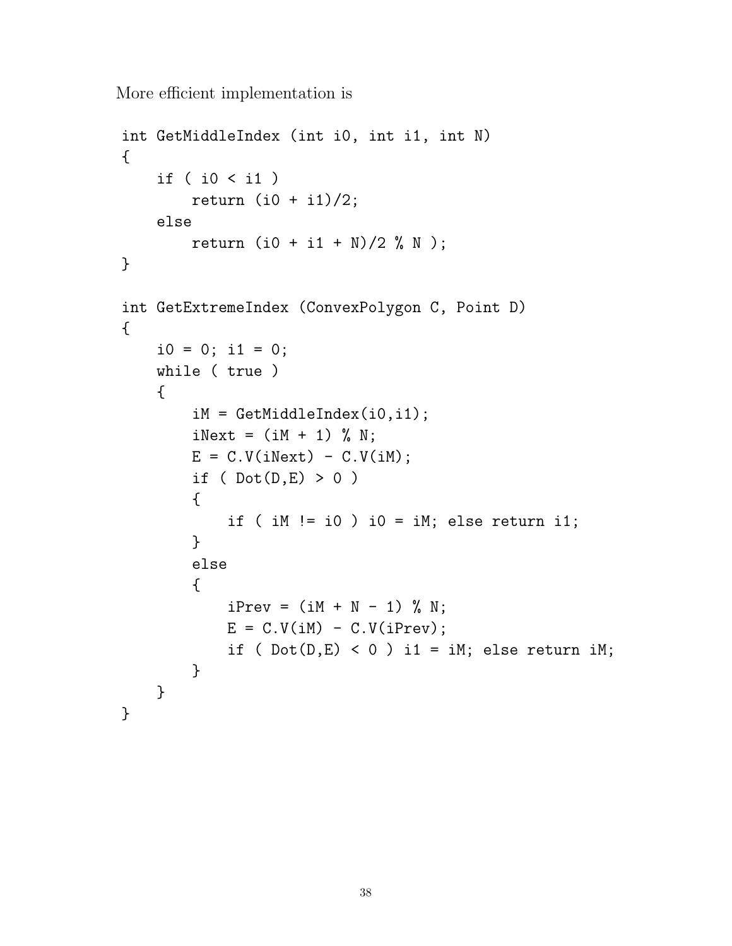More efficient implementation is

```
int GetMiddleIndex (int i0, int i1, int N)
{
    if ( i0 < i1 )
        return (i0 + i1)/2;
    else
        return (i0 + i1 + N)/2 % N);
}
int GetExtremeIndex (ConvexPolygon C, Point D)
{
    i0 = 0; i1 = 0;while ( true )
    {
        iM = GetMiddleIndex(i0,i1);
        iNext = (iM + 1) % N;E = C.V(iNext) - C.V(iM);if ( Dot(D,E) > 0 )
        {
            if ( iM != i0 ) i0 = iM; else return i1;
        }
        else
        {
            iPrev = (iM + N - 1) % N;
            E = C.V(iM) - C.V(iPrev);if ( Dot(D,E) < 0 ) i1 = iM; else return iM;
        }
    }
}
```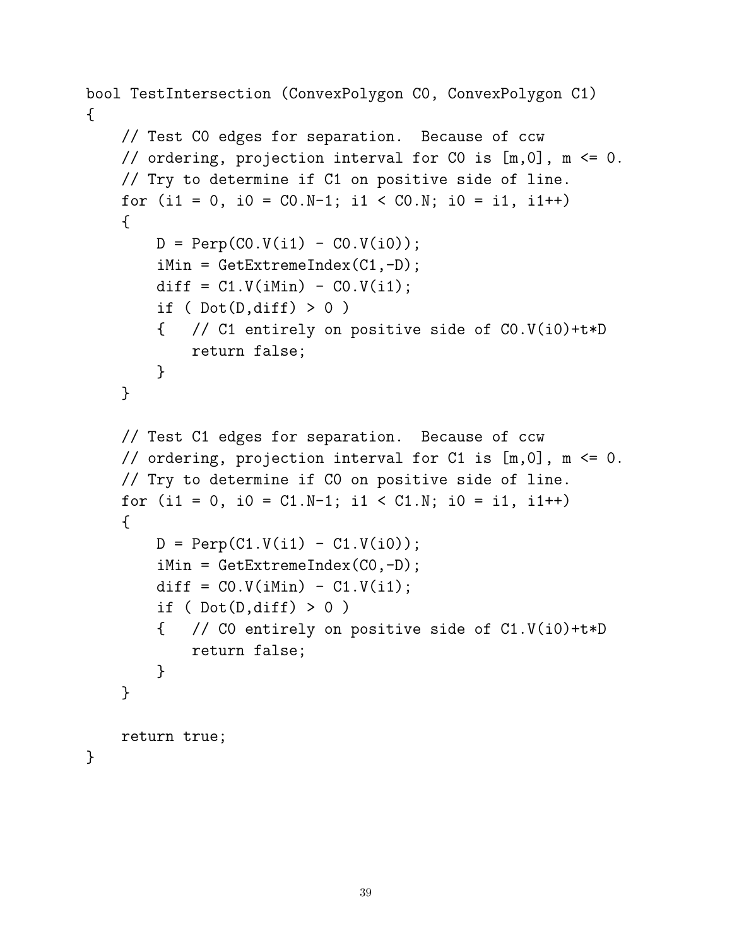```
bool TestIntersection (ConvexPolygon C0, ConvexPolygon C1)
\mathcal{L}// Test C0 edges for separation. Because of ccw
   // ordering, projection interval for C0 is [m,0], m <= 0.
    // Try to determine if C1 on positive side of line.
   for (i1 = 0, i0 = CO.N-1; i1 < CO.N; i0 = i1, i1++){
        D = \text{Perp}(CO.V(i1) - CO.V(i0));iMin = GetExtremeIndex(C1,-D);
        diff = C1.V(iMin) - CO.V(i1);if ( Dot(D,diff) > 0 )
        { // C1 entirely on positive side of C0.V(i0)+t*D
            return false;
        }
    }
    // Test C1 edges for separation. Because of ccw
   // ordering, projection interval for C1 is [m,0], m <= 0.
   // Try to determine if C0 on positive side of line.
   for (i1 = 0, i0 = C1.N-1; i1 < C1.N; i0 = i1, i1++){
        D = Perp(C1.V(i1) - C1.V(i0));iMin = GetExtremeIndex(C0, -D);diff = CO.V(iMin) - C1.V(i1);if ( Dot(D,diff) > 0 )
        { // C0 entirely on positive side of C1.V(i0)+t*D
            return false;
        }
    }
    return true;
}
```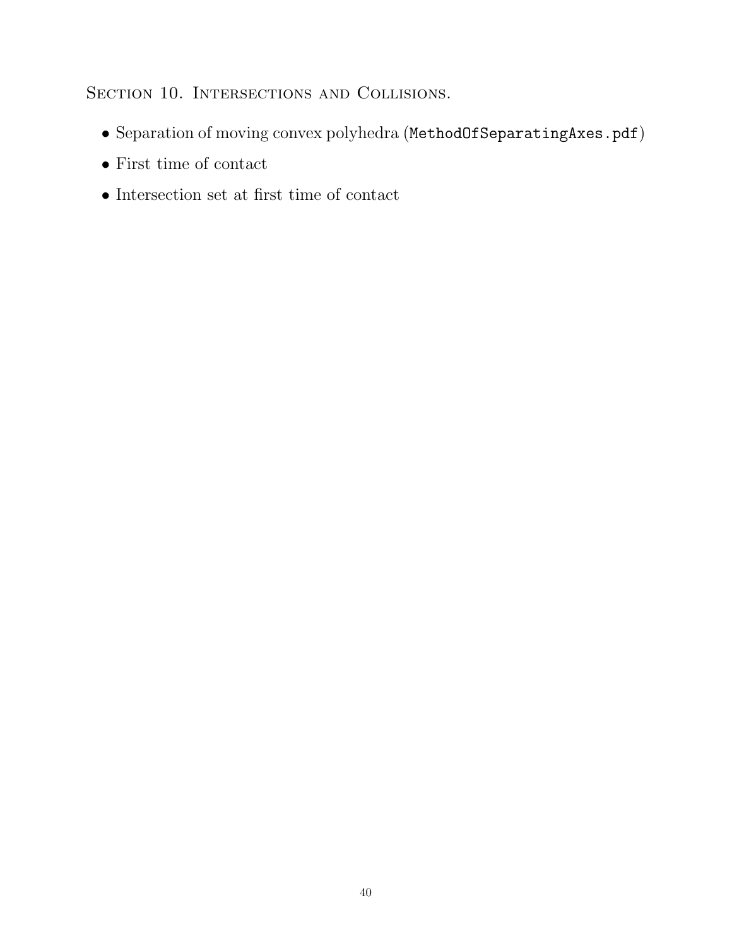SECTION 10. INTERSECTIONS AND COLLISIONS.

- Separation of moving convex polyhedra (MethodOfSeparatingAxes.pdf)
- First time of contact
- $\bullet$  Intersection set at first time of contact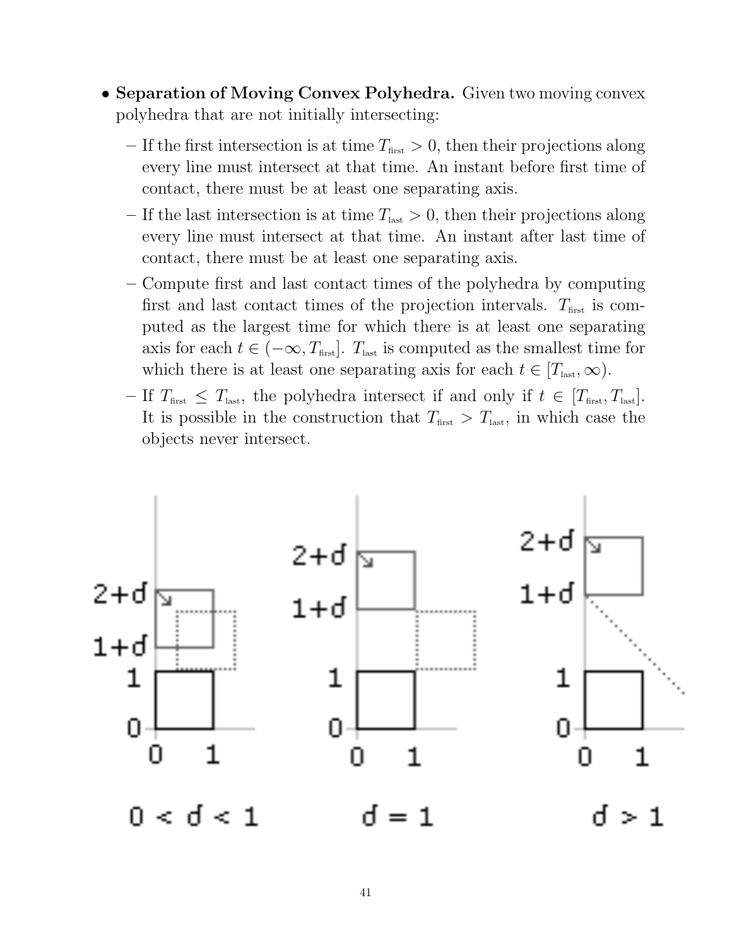- Separation of Moving Convex Polyhedra. Given two moving convex polyhedra that are not initially intersecting:
	- If the first intersection is at time  $T_{\text{first}} > 0$ , then their projections along every line must intersect at that time. An instant before first time of contact, there must be at least one separating axis.
	- If the last intersection is at time  $T_{\text{last}} > 0$ , then their projections along every line must intersect at that time. An instant after last time of contact, there must be at least one separating axis.
	- Compute first and last contact times of the polyhedra by computing first and last contact times of the projection intervals.  $T_{\text{first}}$  is computed as the largest time for which there is at least one separating axis for each  $t \in (-\infty, T_{\text{first}}]$ . T<sub>last</sub> is computed as the smallest time for which there is at least one separating axis for each  $t \in [T_{\text{last}}, \infty)$ .
	- If  $T_{\text{first}} \leq T_{\text{last}}$ , the polyhedra intersect if and only if  $t \in [T_{\text{first}}, T_{\text{last}}]$ . It is possible in the construction that  $T_{\text{first}} > T_{\text{last}}$ , in which case the objects never intersect.

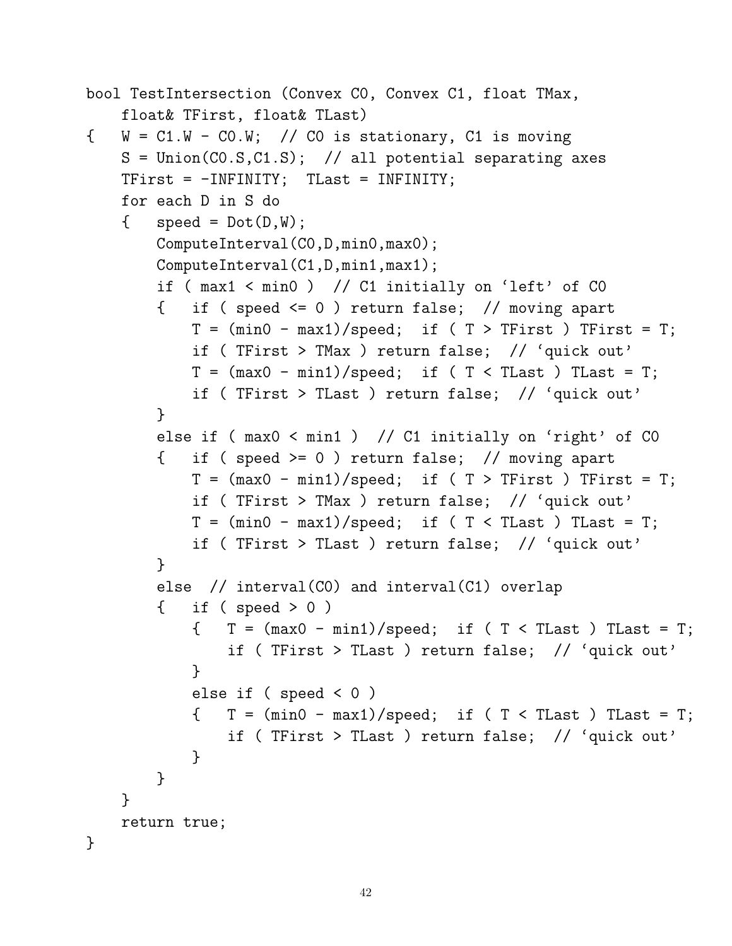```
bool TestIntersection (Convex C0, Convex C1, float TMax,
   float& TFirst, float& TLast)
\{ W = C1.W - C0.W; // CO is stationary, Cl is movingS = Union(C0.S,C1.S); // all potential separating axes
   TFirst = -INFINITY; TLast = INFINITY;
   for each D in S do
   \{ speed = Dot(D, W);
       ComputeInterval(C0,D,min0,max0);
       ComputeInterval(C1,D,min1,max1);
       if ( max1 < min0 ) // C1 initially on 'left' of C0
       { if ( speed <= 0 ) return false; // moving apart
           T = (min0 - max1)/speed; if (T > TFirst) TFirst = T;
           if ( TFirst > TMax ) return false; // 'quick out'
           T = (max0 - min1)/speed; if (T < TLast) That = T;if ( TFirst > TLast ) return false; // 'quick out'
       }
       else if ( max0 < min1 ) // C1 initially on 'right' of C0
       { if ( speed >= 0 ) return false; // moving apart
           T = (max0 - min1)/speed; if (T > TFirst) TFirst = T;if ( TFirst > TMax ) return false; // 'quick out'
           T = (min0 - max1)/speed; if (T < TLast) That = T;if ( TFirst > TLast ) return false; // 'quick out'
       }
       else // interval(C0) and interval(C1) overlap
       { if ( speed > 0 )
           T = (max0 - min1)/speed; if (T < TLast) That = T;if ( TFirst > TLast ) return false; // 'quick out'
           }
           else if ( speed < 0 )
           T = (min0 - max1)/speed; if (T < TLast) That = T;if ( TFirst > TLast ) return false; // 'quick out'
           }
       }
   }
   return true;
}
```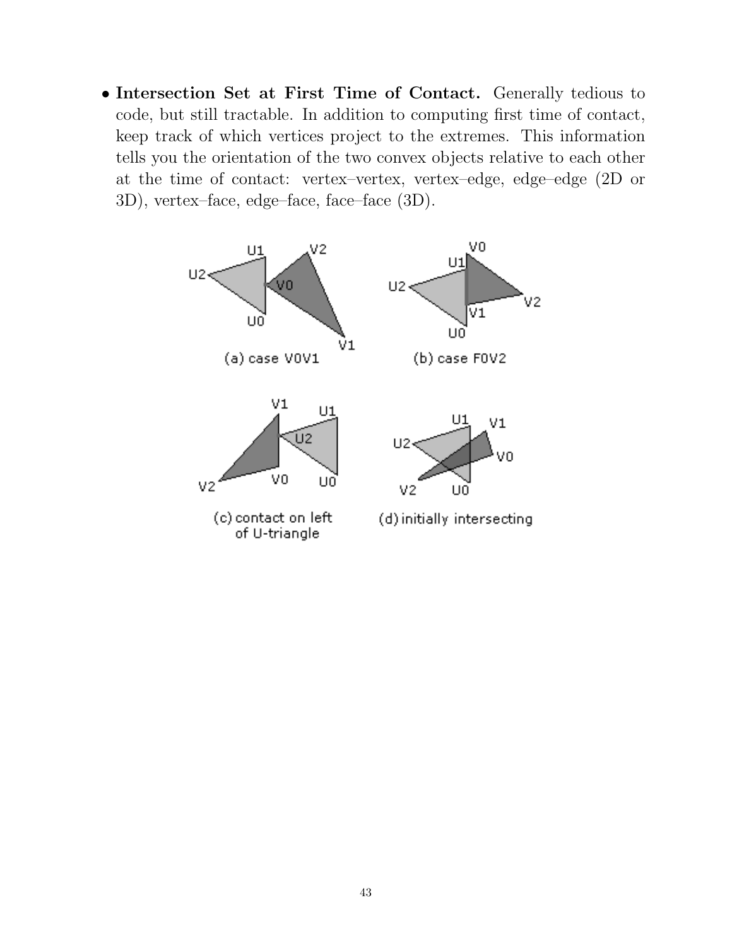• Intersection Set at First Time of Contact. Generally tedious to code, but still tractable. In addition to computing first time of contact, keep track of which vertices project to the extremes. This information tells you the orientation of the two convex objects relative to each other at the time of contact: vertex–vertex, vertex–edge, edge–edge (2D or 3D), vertex–face, edge–face, face–face (3D).

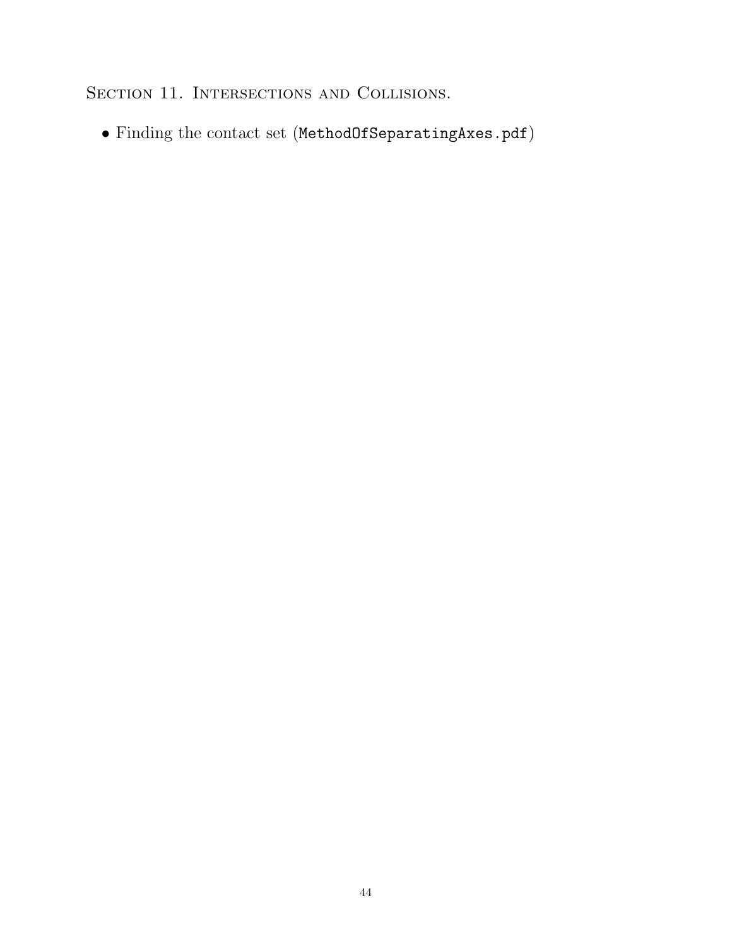SECTION 11. INTERSECTIONS AND COLLISIONS.

 $\bullet$  Finding the contact set (<code>MethodOfSeparatingAxes.pdf</code> )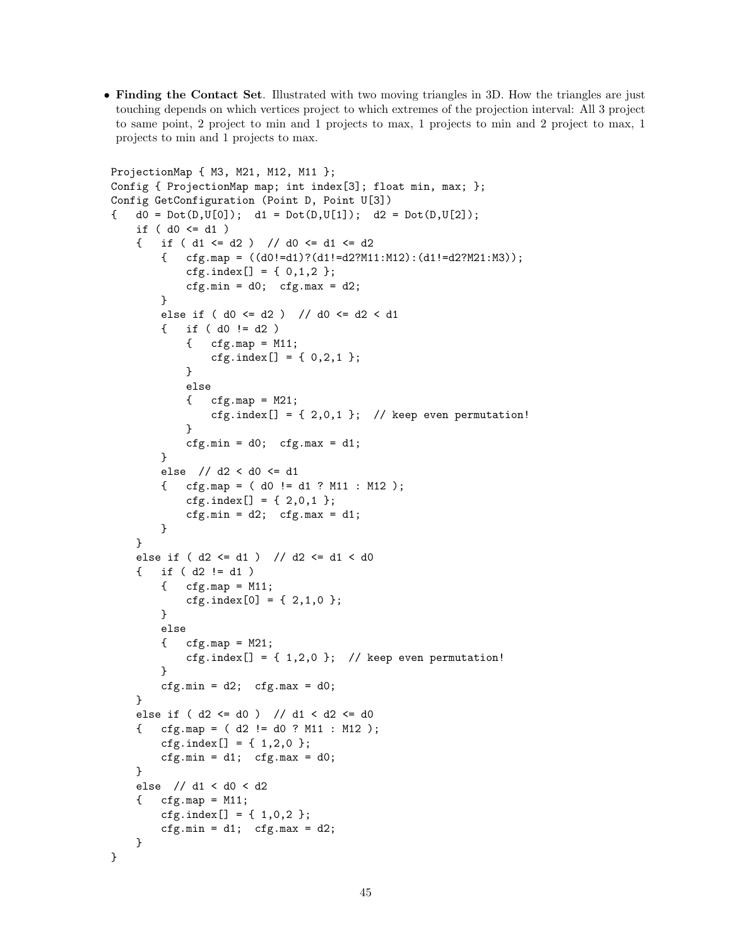• Finding the Contact Set. Illustrated with two moving triangles in 3D. How the triangles are just touching depends on which vertices project to which extremes of the projection interval: All 3 project to same point, 2 project to min and 1 projects to max, 1 projects to min and 2 project to max, 1 projects to min and 1 projects to max.

```
ProjectionMap { M3, M21, M12, M11 };
Config { ProjectionMap map; int index[3]; float min, max; };
Config GetConfiguration (Point D, Point U[3])
{ d0 = Det(D,U[0]); d1 = Det(D,U[1]); d2 = Det(D,U[2]);if ( d0 \leq d1 )
    { if ( d1 \leq d2 ) // d0 \leq d1 \leq d2{ cfgmap = ((d0!=d1):(d1!=d2?M11:M12):(d1!=d2?M21:M3));cfg.index[] = { 0,1,2 };cfg.min = d0; cfg.max = d2;
        }
        else if ( d0 <= d2 ) // d0 <= d2 < d1
        \{ if ( d0 != d2 )\{ \text{cfg}.\text{map} = M11;cfg.index[] = { 0, 2, 1 };}
            else
            \{ \text{cfg-map} = M21; \}cfg.index[] = \{ 2,0,1 \}; // keep even permutation!
            }
            cfg.min = d0; cfg.max = d1;}
        else // d2 < d0 <= d1
        { cfg.map = ( d0 != d1 ? M11 : M12 );
            cfg.index[] = { 2,0,1 };
            cfg.min = d2; cfg.max = d1;}
    }
    else if ( d2 <= d1 ) // d2 <= d1 < d0
    { if ( d2 != d1 )
        \{ \text{cfg-map} = M11; \}cfg.index[0] = \{ 2, 1, 0 \};
        }
        else
        \{ \text{cfg-map} = M21; \}cfg.index[] = \{ 1, 2, 0 \}; // keep even permutation!
        }
        cfg.min = d2; cfg.max = d0;}
    else if ( d2 <= d0 ) // d1 < d2 <= d0
    { cfg.map = ( d2 != d0 ? M11 : M12 );
        cfg.index[] = { 1,2,0 };
        cfg.min = d1; cfg.max = d0;}
    else // d1 < d0 < d2
    \{ \text{cfgmap} = M11; \}cfg.index[] = { 1,0,2 };cfg.min = d1; cfg.max = d2;}
}
```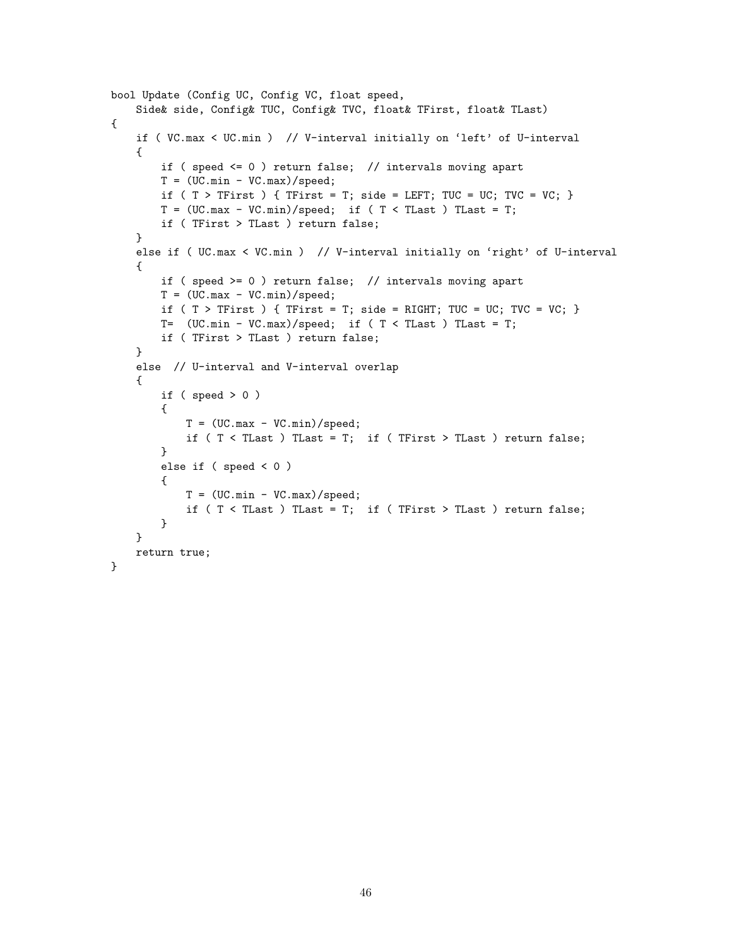```
bool Update (Config UC, Config VC, float speed,
   Side& side, Config& TUC, Config& TVC, float& TFirst, float& TLast)
{
   if ( VC.max < UC.min ) // V-interval initially on 'left' of U-interval
    {
       if ( speed <= 0 ) return false; // intervals moving apart
       T = (UC.min - VC.max)/speed;if ( T > TFirst ) { TFirst = T; side = LEFT; TUC = UC; TVC = VC; }
       T = (UC.max - VC.min)/speed; if (T < TLast ) That = T;if ( TFirst > TLast ) return false;
   }
   else if ( UC.max < VC.min ) // V-interval initially on 'right' of U-interval
    {
       if ( speed >= 0 ) return false; // intervals moving apart
       T = (UC.max - VC.min)/speed;if ( T > TFirst ) { TFirst = T; side = RIGHT; TUC = UC; TVC = VC; }
       T= (UC.min - VC.max)/speed; if (T < TLast ) Thus = T;if ( TFirst > TLast ) return false;
   }
   else // U-interval and V-interval overlap
    {
       if ( speed > 0 )
        {
           T = (UC.max - VC.min)/speed;if (T < TLast ) TLast = T; if (TFirst > TLast ) return false;
        }
       else if ( speed < 0 )
        {
           T = (UC.min - VC.max)/speed;if ( T < TLast ) TLast = T; if ( TFirst > TLast ) return false;
        }
   }
   return true;
}
```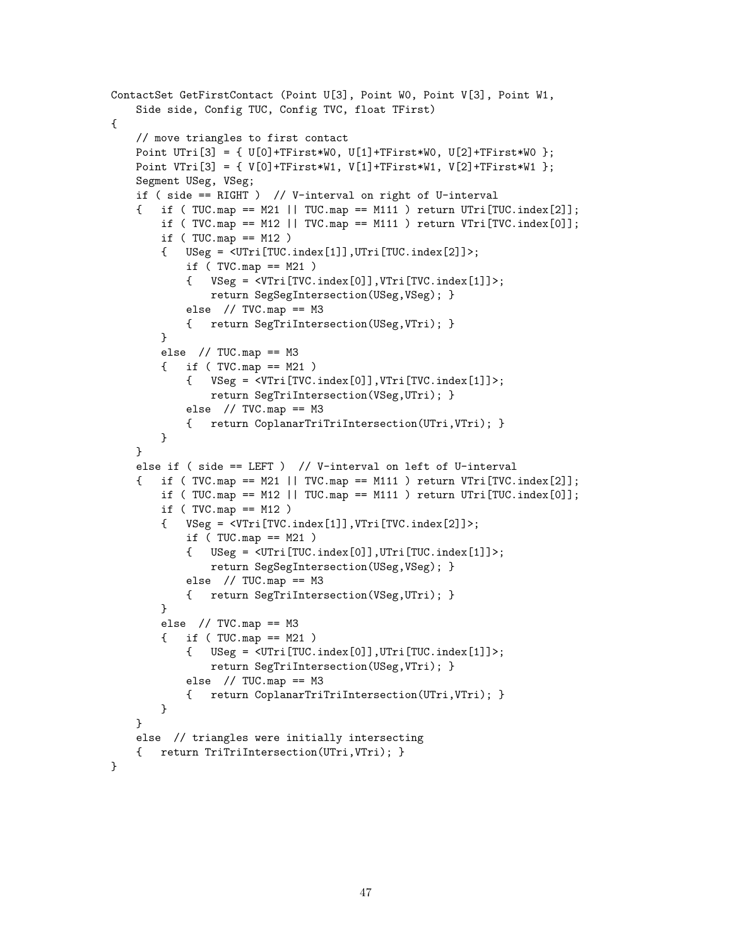```
ContactSet GetFirstContact (Point U[3], Point W0, Point V[3], Point W1,
   Side side, Config TUC, Config TVC, float TFirst)
{
    // move triangles to first contact
    Point UTri[3] = { U[0]+TFirst*W0, U[1]+TFirst*W0, U[2]+TFirst*W0 };
    Point VTri[3] = { V[0]+TFirst*W1, V[1]+TFirst*W1, V[2]+TFirst*W1 };
    Segment USeg, VSeg;
    if ( side == RIGHT ) // V-interval on right of U-interval
    { if ( TUC.map == M21 || TUC.map == M111 ) return UTri[TUC.index[2]];
        if ( TVC.map == M12 || TVC.map == M111 ) return VTri[TVC.index[0]];
        if (TUCmap == M12){ USeg = <UTri[TUC.index[1]],UTri[TUC.index[2]]>;
            if (TVC-map == M21){ VSeg = <VTri[TVC.index[0]],VTri[TVC.index[1]]>;
                return SegSegIntersection(USeg,VSeg); }
            else // TVC.map == M3
            { return SegTriIntersection(USeg,VTri); }
        }
        else // TUC-map == M3{ if ( TVC.map == M21 )
            { VSeg = <VTri[TVC.index[0]],VTri[TVC.index[1]]>;
               return SegTriIntersection(VSeg,UTri); }
            else // TVC-map == M3{ return CoplanarTriTriIntersection(UTri,VTri); }
        }
    }
    else if ( side == LEFT ) // V-interval on left of U-interval
    \{ if (TVC.map == M21 || TVC.map == M111 ) return VTri[TVC.index[2]];
        if ( TUC \text{ .map } == M12 || TUC \text{ .map } == M111 ) return UTri[TUC \text{ .index}[0]];
        if (TVC-map == M12){ VSeg = <VTri[TVC.index[1]],VTri[TVC.index[2]]>;
            if (TUCmap == M21){ USeg = <UTri[TUC.index[0]],UTri[TUC.index[1]]>;
               return SegSegIntersection(USeg,VSeg); }
            else // TUC.map == M3
            { return SegTriIntersection(VSeg,UTri); }
        }
        else // TVC-map == M3{ if ( TUC.map == M21 )
            \{ USeg = \langleUTri[TUC.index[0]],UTri[TUC.index[1]]>;
               return SegTriIntersection(USeg,VTri); }
            else // TUC-map == M3{ return CoplanarTriTriIntersection(UTri,VTri); }
        }
    }
    else // triangles were initially intersecting
    { return TriTriIntersection(UTri,VTri); }
}
```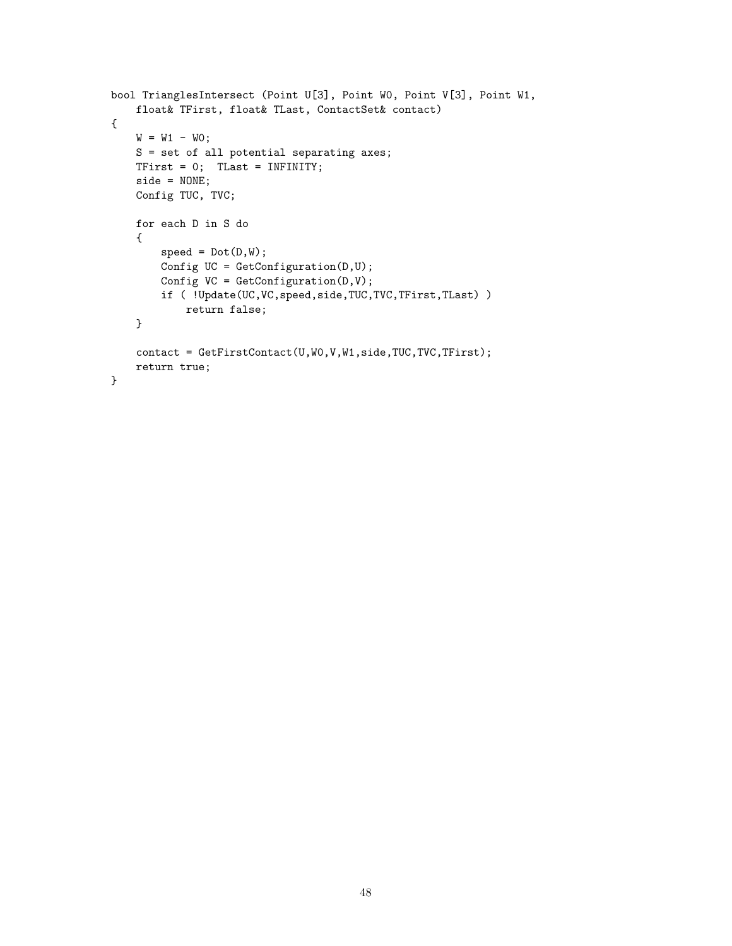```
bool TrianglesIntersect (Point U[3], Point W0, Point V[3], Point W1,
   float& TFirst, float& TLast, ContactSet& contact)
{
   W = W1 - W0;S = set of all potential separating axes;
   TFirst = 0; TLast = INFINITY;
   side = NONE;
   Config TUC, TVC;
   for each D in S do
    {
       speed = Dot(D,W);Config UC = GetConfiguration(D, U);Config VC = GetConfiguration(D, V);if ( !Update(UC,VC,speed,side,TUC,TVC,TFirst,TLast) )
            return false;
   }
   contact = GetFirstContact(U,WO,V,W1,side,TUC,TVC,TFirst);
   return true;
}
```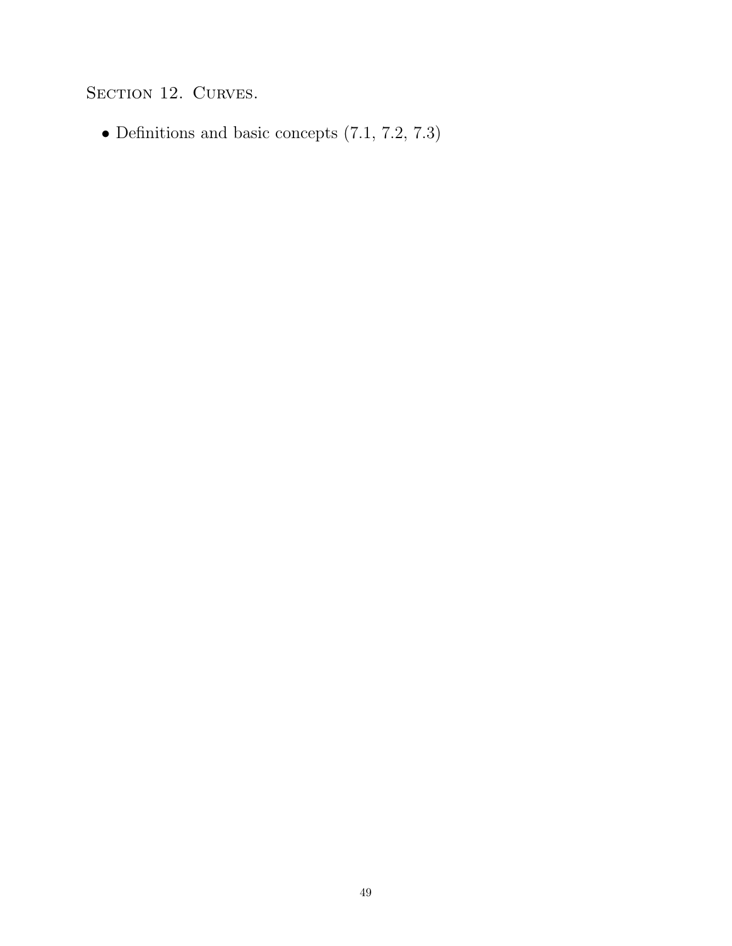SECTION 12. CURVES.

• Definitions and basic concepts (7.1, 7.2, 7.3)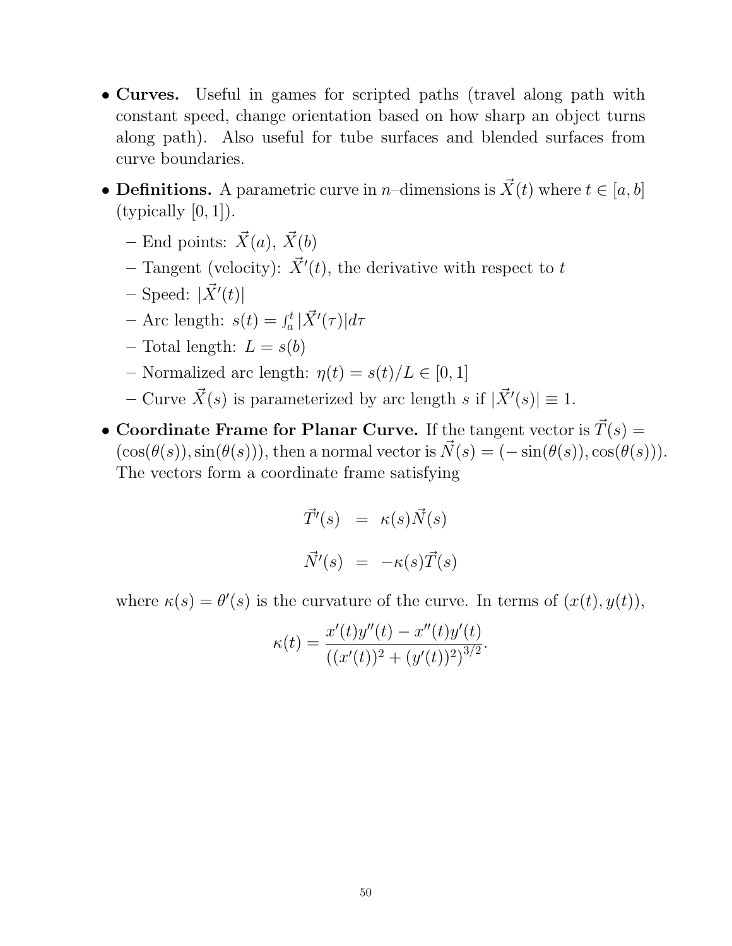- Curves. Useful in games for scripted paths (travel along path with constant speed, change orientation based on how sharp an object turns along path). Also useful for tube surfaces and blended surfaces from curve boundaries.
- Definitions. A parametric curve in *n*-dimensions is  $\vec{X}(t)$  where  $t \in [a, b]$  $(typically [0, 1]).$ 
	- End points:  $\vec{X}(a), \vec{X}(b)$
	- Tangent (velocity):  $\vec{X}'(t)$ , the derivative with respect to t
	- $-$  Speed:  $|\vec{X}'(t)|$
	- Arc length:  $s(t) = \int_a^t$  $\frac{d}{dt}|\vec{X}'(\tau)|d\tau$
	- Total length:  $L = s(b)$
	- Normalized arc length:  $\eta(t) = s(t)/L \in [0, 1]$
	- Curve  $\vec{X}(s)$  is parameterized by arc length s if  $|\vec{X}'(s)| \equiv 1$ .
- Coordinate Frame for Planar Curve. If the tangent vector is  $\vec{T}(s) =$  $(\cos(\theta(s)), \sin(\theta(s))),$  then a normal vector is  $\vec{N}(s) = (-\sin(\theta(s)), \cos(\theta(s))).$ The vectors form a coordinate frame satisfying

$$
\vec{T}'(s) = \kappa(s)\vec{N}(s)
$$

$$
\vec{N}'(s) = -\kappa(s)\vec{T}(s)
$$

where  $\kappa(s) = \theta'(s)$  is the curvature of the curve. In terms of  $(x(t), y(t))$ ,

$$
\kappa(t) = \frac{x'(t)y''(t) - x''(t)y'(t)}{((x'(t))^2 + (y'(t))^2)^{3/2}}.
$$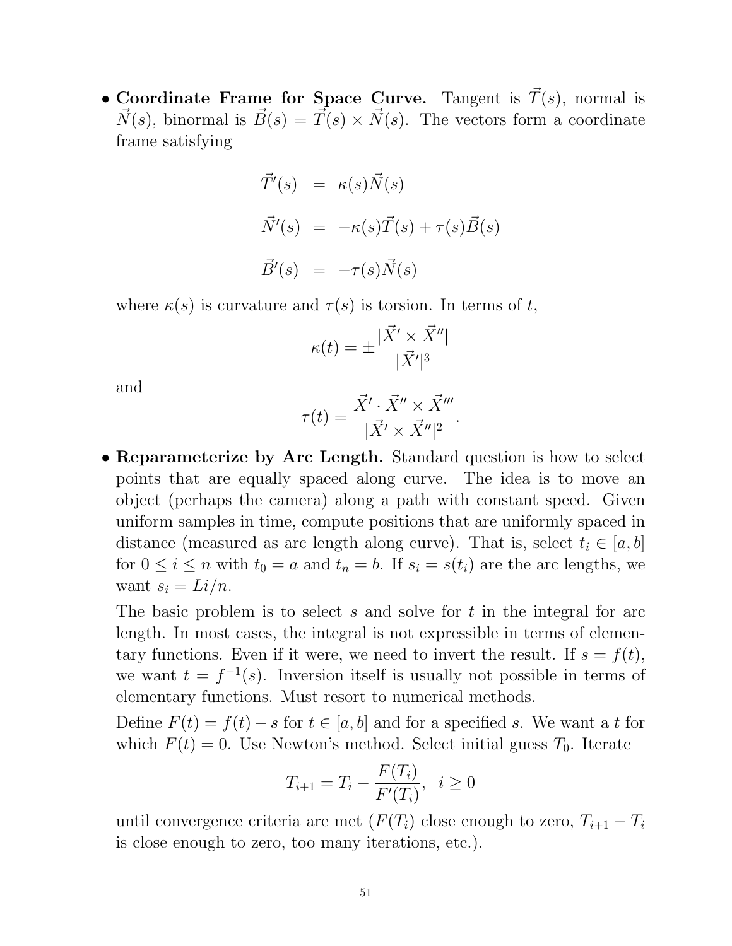• Coordinate Frame for Space Curve. Tangent is  $\vec{T}(s)$ , normal is  $\vec{N}(s)$ , binormal is  $\vec{B}(s) = \vec{T}(s) \times \vec{N}(s)$ . The vectors form a coordinate frame satisfying

$$
\vec{T}'(s) = \kappa(s)\vec{N}(s)
$$
  

$$
\vec{N}'(s) = -\kappa(s)\vec{T}(s) + \tau(s)\vec{B}(s)
$$
  

$$
\vec{B}'(s) = -\tau(s)\vec{N}(s)
$$

where  $\kappa(s)$  is curvature and  $\tau(s)$  is torsion. In terms of t,

$$
\kappa(t) = \pm \frac{|\vec{X}' \times \vec{X}''|}{|\vec{X}'|^3}
$$

and

$$
\tau(t) = \frac{\vec{X}' \cdot \vec{X}'' \times \vec{X}'''}{|\vec{X}' \times \vec{X}''|^2}.
$$

• Reparameterize by Arc Length. Standard question is how to select points that are equally spaced along curve. The idea is to move an object (perhaps the camera) along a path with constant speed. Given uniform samples in time, compute positions that are uniformly spaced in distance (measured as arc length along curve). That is, select  $t_i \in [a, b]$ for  $0 \leq i \leq n$  with  $t_0 = a$  and  $t_n = b$ . If  $s_i = s(t_i)$  are the arc lengths, we want  $s_i = Li/n$ .

The basic problem is to select s and solve for t in the integral for arc length. In most cases, the integral is not expressible in terms of elementary functions. Even if it were, we need to invert the result. If  $s = f(t)$ , we want  $t = f^{-1}(s)$ . Inversion itself is usually not possible in terms of elementary functions. Must resort to numerical methods.

Define  $F(t) = f(t) - s$  for  $t \in [a, b]$  and for a specified s. We want a t for which  $F(t) = 0$ . Use Newton's method. Select initial guess  $T_0$ . Iterate

$$
T_{i+1} = T_i - \frac{F(T_i)}{F'(T_i)}, \ \ i \ge 0
$$

until convergence criteria are met  $(F(T_i))$  close enough to zero,  $T_{i+1} - T_i$ is close enough to zero, too many iterations, etc.).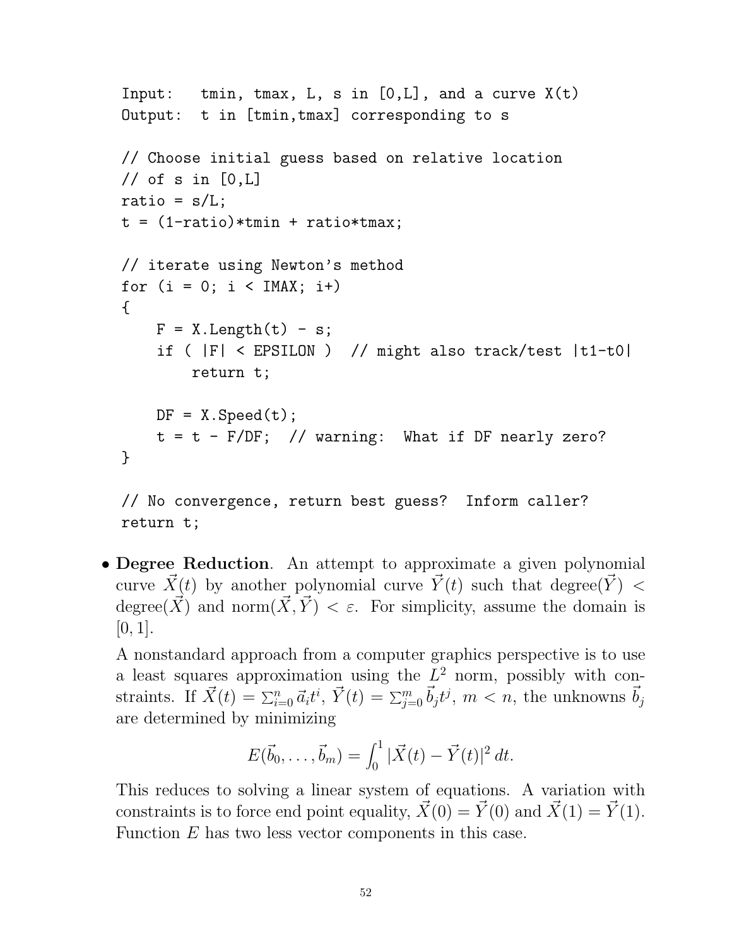```
Input: tmin, tmax, L, s in [0,L], and a curve X(t)Output: t in [tmin,tmax] corresponding to s
// Choose initial guess based on relative location
// of s in [0,L]ratio = s/L;
t = (1 - ratio)*tmin + ratio*tmax;// iterate using Newton's method
for (i = 0; i < IMAX; i+){
   F = X.Length(t) - s;if ( |F| < EPSILON ) // might also track/test |t1-t0|
        return t;
   DF = X.Speed(t);t = t - F/DF; // warning: What if DF nearly zero?
}
// No convergence, return best guess? Inform caller?
```
return t;

• Degree Reduction. An attempt to approximate a given polynomial curve  $\vec{X}(t)$  by another polynomial curve  $\vec{Y}(t)$  such that degree( $\vec{Y}$ ) < degree( $\vec{X}$ ) and norm $(\vec{X}, \vec{Y}) < \varepsilon$ . For simplicity, assume the domain is  $[0, 1]$ .

A nonstandard approach from a computer graphics perspective is to use a least squares approximation using the  $L^2$  norm, possibly with constraints. If  $\vec{X}(t) = \sum_{i=0}^{n} \vec{a_i} t^i$ ,  $\vec{Y}(t) = \sum_{j=0}^{m} \vec{b_j} t^j$ ,  $m < n$ , the unknowns  $\vec{b_j}$ are determined by minimizing

$$
E(\vec{b}_0,\ldots,\vec{b}_m) = \int_0^1 |\vec{X}(t) - \vec{Y}(t)|^2 dt.
$$

This reduces to solving a linear system of equations. A variation with constraints is to force end point equality,  $\vec{X}(0) = \vec{Y}(0)$  and  $\vec{X}(1) = \vec{Y}(1)$ . Function E has two less vector components in this case.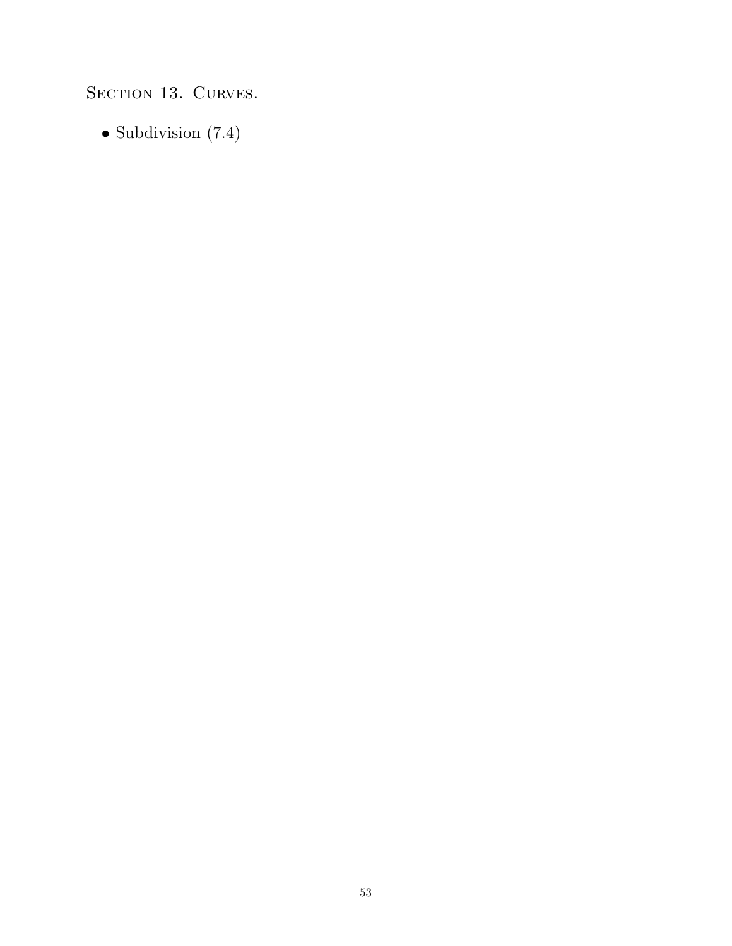SECTION 13. CURVES.

• Subdivision (7.4)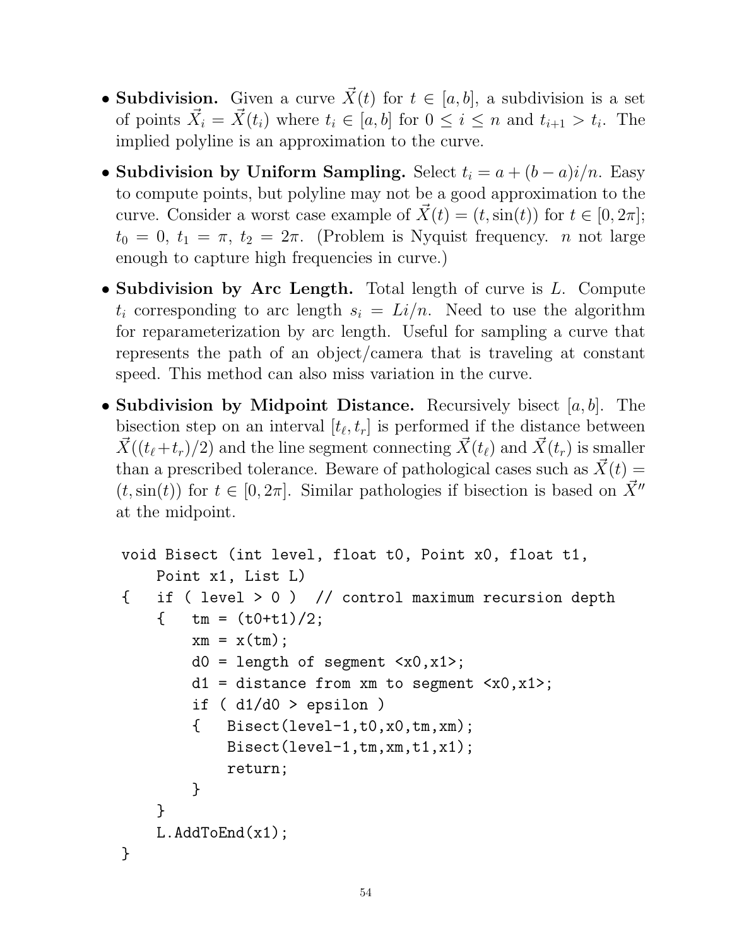- Subdivision. Given a curve  $\vec{X}(t)$  for  $t \in [a, b]$ , a subdivision is a set of points  $\vec{X}_i = \vec{X}(t_i)$  where  $t_i \in [a, b]$  for  $0 \leq i \leq n$  and  $t_{i+1} > t_i$ . The implied polyline is an approximation to the curve.
- Subdivision by Uniform Sampling. Select  $t_i = a + (b a)i/n$ . Easy to compute points, but polyline may not be a good approximation to the curve. Consider a worst case example of  $\vec{X}(t) = (t, \sin(t))$  for  $t \in [0, 2\pi]$ ;  $t_0 = 0, t_1 = \pi, t_2 = 2\pi$ . (Problem is Nyquist frequency. *n* not large enough to capture high frequencies in curve.)
- Subdivision by Arc Length. Total length of curve is L. Compute  $t_i$  corresponding to arc length  $s_i = Li/n$ . Need to use the algorithm for reparameterization by arc length. Useful for sampling a curve that represents the path of an object/camera that is traveling at constant speed. This method can also miss variation in the curve.
- Subdivision by Midpoint Distance. Recursively bisect  $[a, b]$ . The bisection step on an interval  $[t_{\ell}, t_r]$  is performed if the distance between  $\overline{X}((t_{\ell}+t_r)/2)$  and the line segment connecting  $\overline{X}(t_{\ell})$  and  $\overline{X}(t_r)$  is smaller than a prescribed tolerance. Beware of pathological cases such as  $\vec{X}(t) =$  $(t, \sin(t))$  for  $t \in [0, 2\pi]$ . Similar pathologies if bisection is based on  $\overrightarrow{X}$ <sup>*n*</sup> at the midpoint.

```
void Bisect (int level, float t0, Point x0, float t1,
    Point x1, List L)
{ if ( level > 0 ) // control maximum recursion depth
    \{ tm = (t0+t1)/2;
         xm = x(tm);
         d0 = length of segment <math>\langle x0, x1 \rangle</math>;d1 = distance from xm to segment <math>\langle x0, x1 \rangle</math>;if (d1/d0 > epsilon)\{ Bisect(level-1,t0,x0,tm,xm);
             Bisect(level-1,tm,xm,t1,x1);
              return;
         }
    }
    L.AddToEnd(x1);
}
```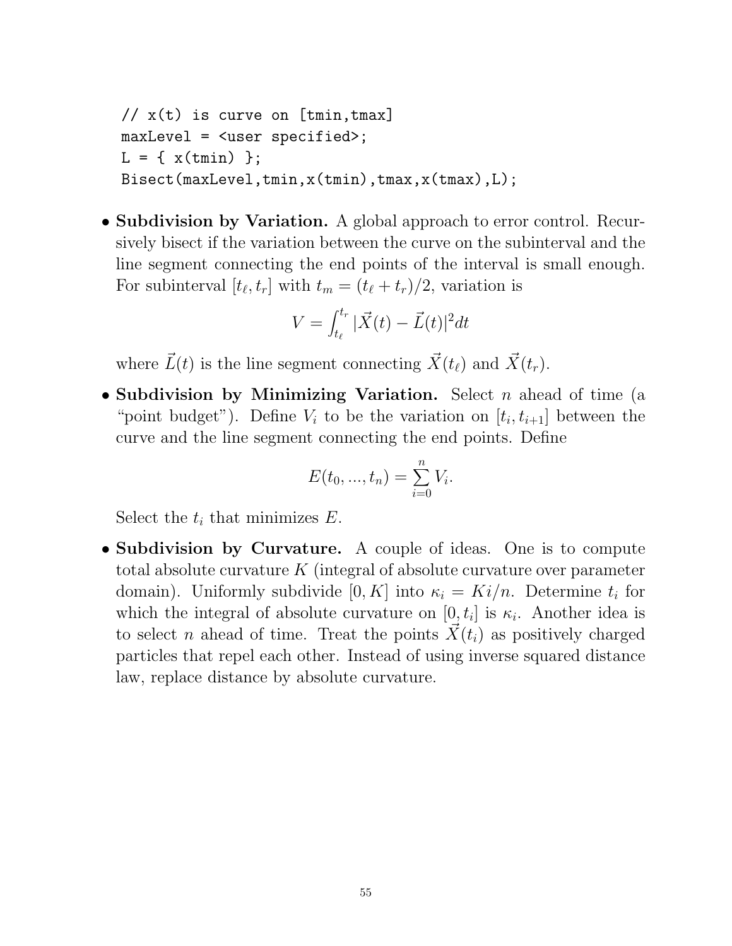$// x(t)$  is curve on [tmin, tmax] maxLevel = <user specified>;  $L = \{ x(tmin) \}$ ; Bisect(maxLevel,tmin,x(tmin),tmax,x(tmax),L);

• Subdivision by Variation. A global approach to error control. Recursively bisect if the variation between the curve on the subinterval and the line segment connecting the end points of the interval is small enough. For subinterval  $[t_{\ell}, t_r]$  with  $t_m = (t_{\ell} + t_r)/2$ , variation is

$$
V = \int_{t_{\ell}}^{t_r} |\vec{X}(t) - \vec{L}(t)|^2 dt
$$

where  $\vec{L}(t)$  is the line segment connecting  $\vec{X}(t_\ell)$  and  $\vec{X}(t_r)$ .

• Subdivision by Minimizing Variation. Select  $n$  ahead of time (a "point budget"). Define  $V_i$  to be the variation on  $[t_i, t_{i+1}]$  between the curve and the line segment connecting the end points. Define

$$
E(t_0, ..., t_n) = \sum_{i=0}^{n} V_i.
$$

Select the  $t_i$  that minimizes  $E$ .

• Subdivision by Curvature. A couple of ideas. One is to compute total absolute curvature  $K$  (integral of absolute curvature over parameter domain). Uniformly subdivide  $[0, K]$  into  $\kappa_i = Ki/n$ . Determine  $t_i$  for which the integral of absolute curvature on  $[0, t_i]$  is  $\kappa_i$ . Another idea is to select n ahead of time. Treat the points  $\vec{X}(t_i)$  as positively charged particles that repel each other. Instead of using inverse squared distance law, replace distance by absolute curvature.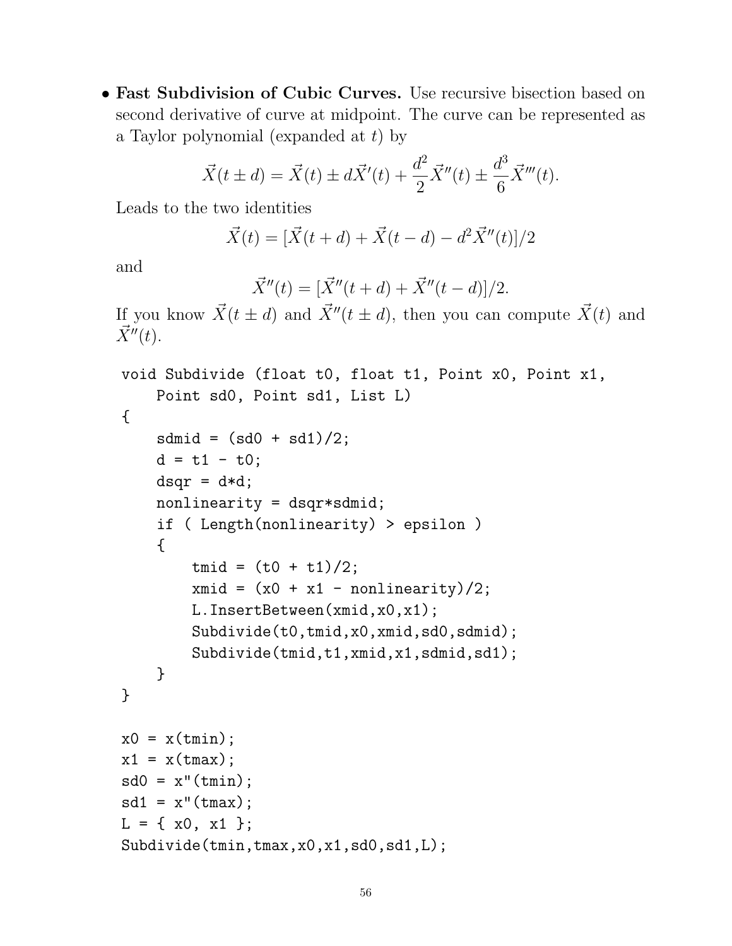• Fast Subdivision of Cubic Curves. Use recursive bisection based on second derivative of curve at midpoint. The curve can be represented as a Taylor polynomial (expanded at  $t$ ) by

$$
\vec{X}(t \pm d) = \vec{X}(t) \pm d\vec{X}'(t) + \frac{d^2}{2}\vec{X}''(t) \pm \frac{d^3}{6}\vec{X}'''(t).
$$

Leads to the two identities

$$
\vec{X}(t) = [\vec{X}(t+d) + \vec{X}(t-d) - d^2\vec{X}''(t)]/2
$$

and

$$
\vec{X}''(t) = [\vec{X}''(t+d) + \vec{X}''(t-d)]/2.
$$

If you know  $\vec{X}(t \pm d)$  and  $\vec{X}''(t \pm d)$ , then you can compute  $\vec{X}(t)$  and  $\vec{X}''(t)$ .

```
void Subdivide (float t0, float t1, Point x0, Point x1,
    Point sd0, Point sd1, List L)
{
    sdmid = (sd0 + sd1)/2;d = t1 - t0;dsqr = d*d;nonlinearity = dsqr*sdmid;
    if ( Length(nonlinearity) > epsilon )
    {
        tmid = (t0 + t1)/2;xmid = (x0 + x1 - nonlinearity)/2;L.InsertBetween(xmid,x0,x1);
        Subdivide(t0,tmid,x0,xmid,sd0,sdmid);
        Subdivide(tmid,t1,xmid,x1,sdmid,sd1);
    }
}
x0 = x(tmin);
x1 = x(tmax);
sd0 = x''(tmin);sd1 = x''(tmax);L = \{ x0, x1 \};Subdivide(tmin,tmax,x0,x1,sd0,sd1,L);
```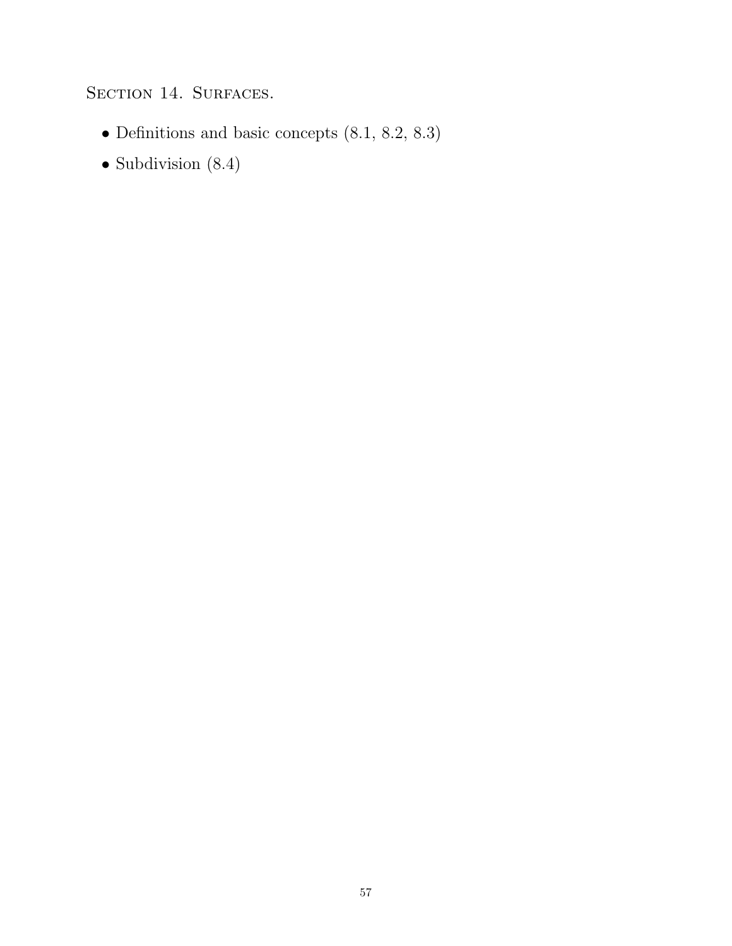## SECTION 14. SURFACES.

- Definitions and basic concepts (8.1, 8.2, 8.3)
- Subdivision (8.4)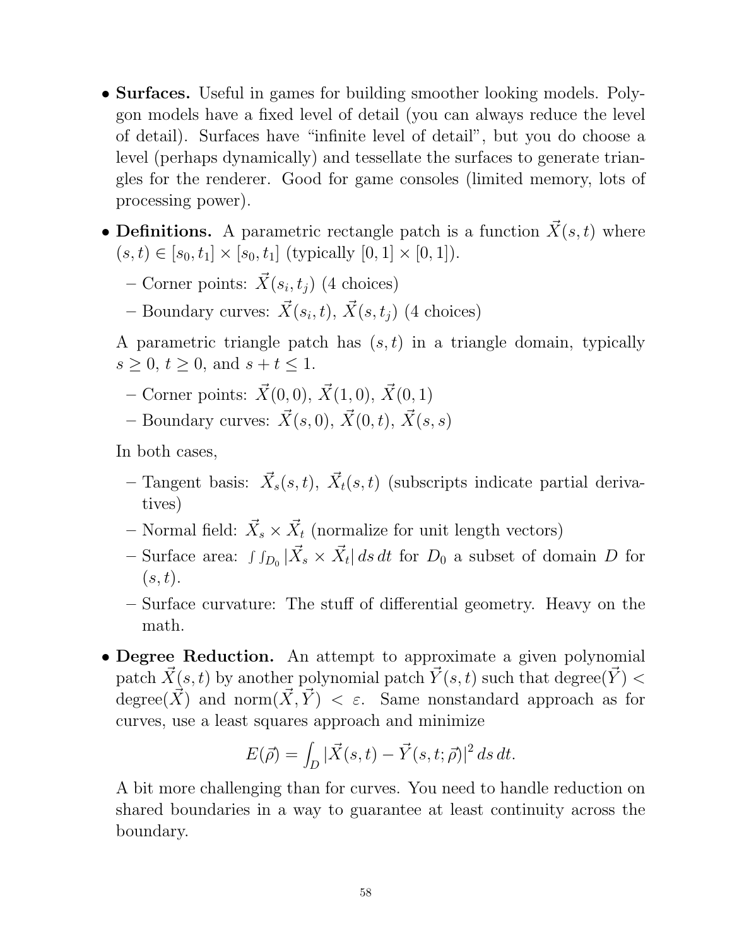- **Surfaces.** Useful in games for building smoother looking models. Polygon models have a fixed level of detail (you can always reduce the level of detail). Surfaces have "infinite level of detail", but you do choose a level (perhaps dynamically) and tessellate the surfaces to generate triangles for the renderer. Good for game consoles (limited memory, lots of processing power).
- Definitions. A parametric rectangle patch is a function  $\vec{X}(s, t)$  where  $(s, t) \in [s_0, t_1] \times [s_0, t_1]$  (typically  $[0, 1] \times [0, 1]$ ).
	- Corner points:  $\vec{X}(s_i, t_j)$  (4 choices)
	- Boundary curves:  $\vec{X}(s_i, t)$ ,  $\vec{X}(s, t_j)$  (4 choices)

A parametric triangle patch has  $(s, t)$  in a triangle domain, typically  $s \ge 0, t \ge 0, \text{ and } s + t \le 1.$ 

- Corner points:  $\vec{X}(0, 0), \vec{X}(1, 0), \vec{X}(0, 1)$
- Boundary curves:  $\vec{X}(s, 0), \vec{X}(0, t), \vec{X}(s, s)$

In both cases,

- Tangent basis:  $\vec{X}_s(s,t)$ ,  $\vec{X}_t(s,t)$  (subscripts indicate partial derivatives)
- Normal field:  $\vec{X}_s \times \vec{X}_t$  (normalize for unit length vectors)
- Surface area:  $\int f_{D_0} |\vec{X}_s \times \vec{X}_t| ds dt$  for  $D_0$  a subset of domain D for  $(s, t).$
- Surface curvature: The stuff of differential geometry. Heavy on the math.
- Degree Reduction. An attempt to approximate a given polynomial patch  $\vec{X}(s, t)$  by another polynomial patch  $\vec{Y}(s, t)$  such that degree( $\vec{Y}$ ) < degree(X) and norm $(X, Y) < \varepsilon$ . Same nonstandard approach as for curves, use a least squares approach and minimize

$$
E(\vec{\rho}) = \int_D |\vec{X}(s,t) - \vec{Y}(s,t;\vec{\rho})|^2 ds dt.
$$

A bit more challenging than for curves. You need to handle reduction on shared boundaries in a way to guarantee at least continuity across the boundary.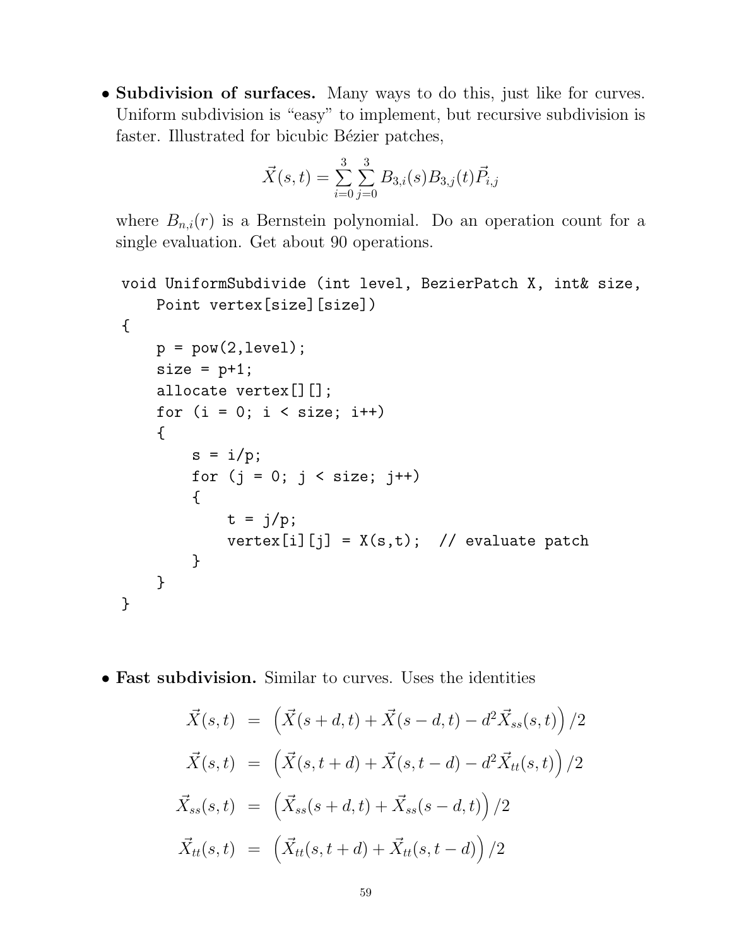• Subdivision of surfaces. Many ways to do this, just like for curves. Uniform subdivision is "easy" to implement, but recursive subdivision is faster. Illustrated for bicubic Bézier patches,

$$
\vec{X}(s,t) = \sum_{i=0}^{3} \sum_{j=0}^{3} B_{3,i}(s) B_{3,j}(t) \vec{P}_{i,j}
$$

where  $B_{n,i}(r)$  is a Bernstein polynomial. Do an operation count for a single evaluation. Get about 90 operations.

```
void UniformSubdivide (int level, BezierPatch X, int& size,
    Point vertex[size][size])
{
    p = pow(2,level);size = p+1;allocate vertex[][];
    for (i = 0; i < size; i++){
        s = i/p;for (j = 0; j < size; j++){
            t = j/p;vertex[i][j] = X(s,t); // evaluate patch
        }
    }
}
```
• Fast subdivision. Similar to curves. Uses the identities

$$
\vec{X}(s,t) = (\vec{X}(s+d,t) + \vec{X}(s-d,t) - d^2 \vec{X}_{ss}(s,t)) / 2
$$
\n
$$
\vec{X}(s,t) = (\vec{X}(s,t+d) + \vec{X}(s,t-d) - d^2 \vec{X}_{tt}(s,t)) / 2
$$
\n
$$
\vec{X}_{ss}(s,t) = (\vec{X}_{ss}(s+d,t) + \vec{X}_{ss}(s-d,t)) / 2
$$
\n
$$
\vec{X}_{tt}(s,t) = (\vec{X}_{tt}(s,t+d) + \vec{X}_{tt}(s,t-d)) / 2
$$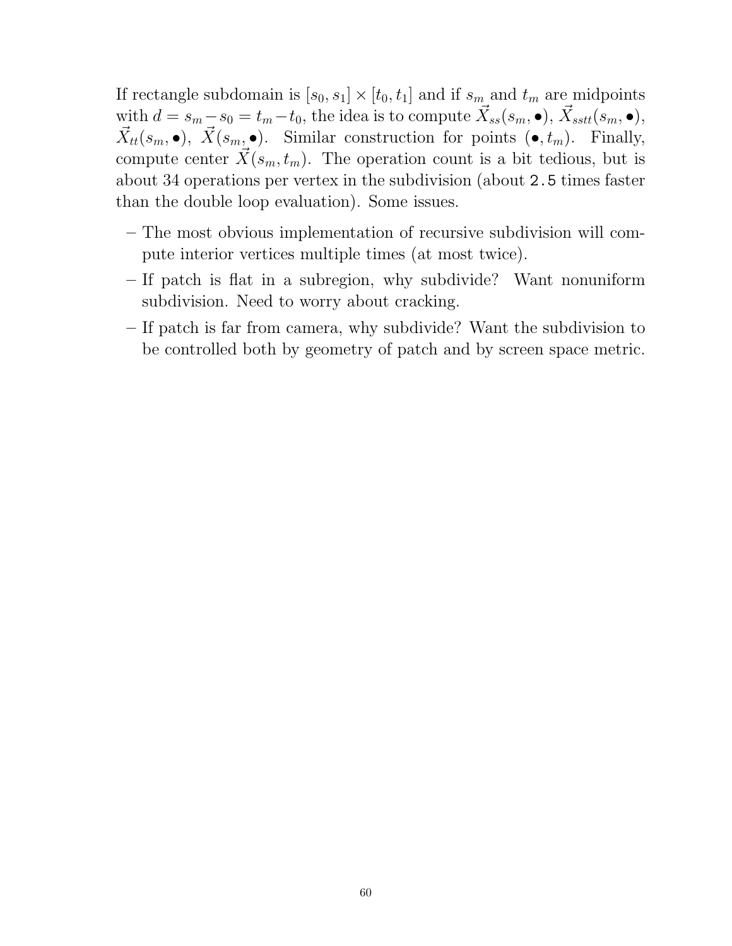If rectangle subdomain is  $[s_0, s_1] \times [t_0, t_1]$  and if  $s_m$  and  $t_m$  are midpoints with  $d = s_m - s_0 = t_m - t_0$ , the idea is to compute  $\vec{X}_{ss}(s_m, \bullet), \vec{X}_{sstt}(s_m, \bullet),$  $\vec{X}_{tt}(s_m, \bullet), \ \vec{X}(s_m, \bullet)$ . Similar construction for points  $(\bullet, t_m)$ . Finally, compute center  $\vec{X}(s_m, t_m)$ . The operation count is a bit tedious, but is about 34 operations per vertex in the subdivision (about 2.5 times faster than the double loop evaluation). Some issues.

- The most obvious implementation of recursive subdivision will compute interior vertices multiple times (at most twice).
- If patch is flat in a subregion, why subdivide? Want nonuniform subdivision. Need to worry about cracking.
- If patch is far from camera, why subdivide? Want the subdivision to be controlled both by geometry of patch and by screen space metric.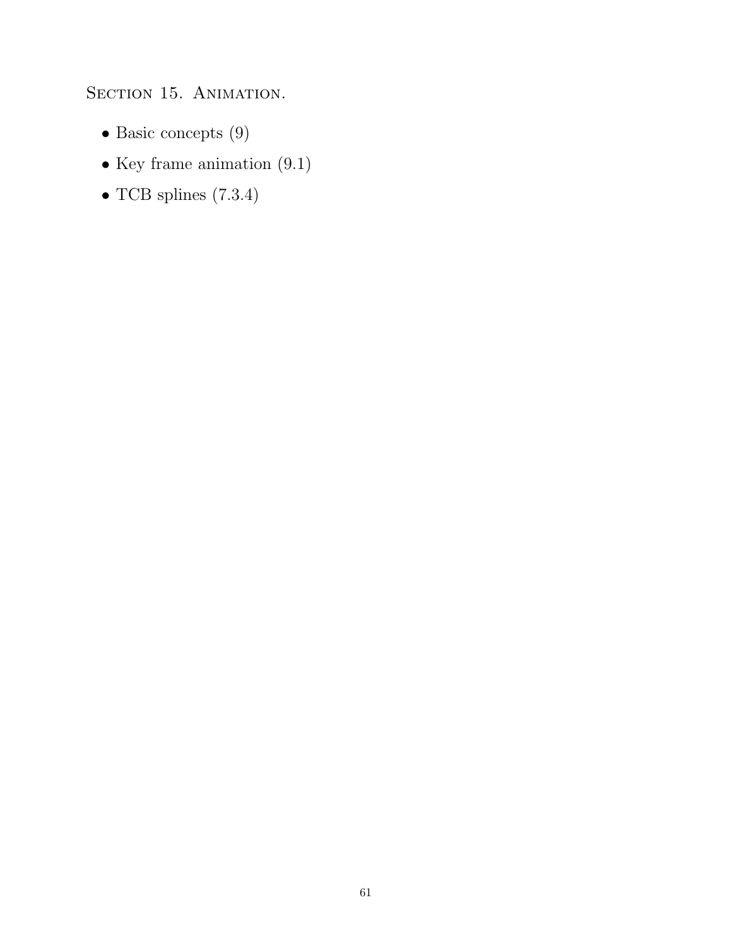SECTION 15. ANIMATION.

- $\bullet$  Basic concepts (9)
- Key frame animation (9.1)
- $\bullet$  TCB splines (7.3.4)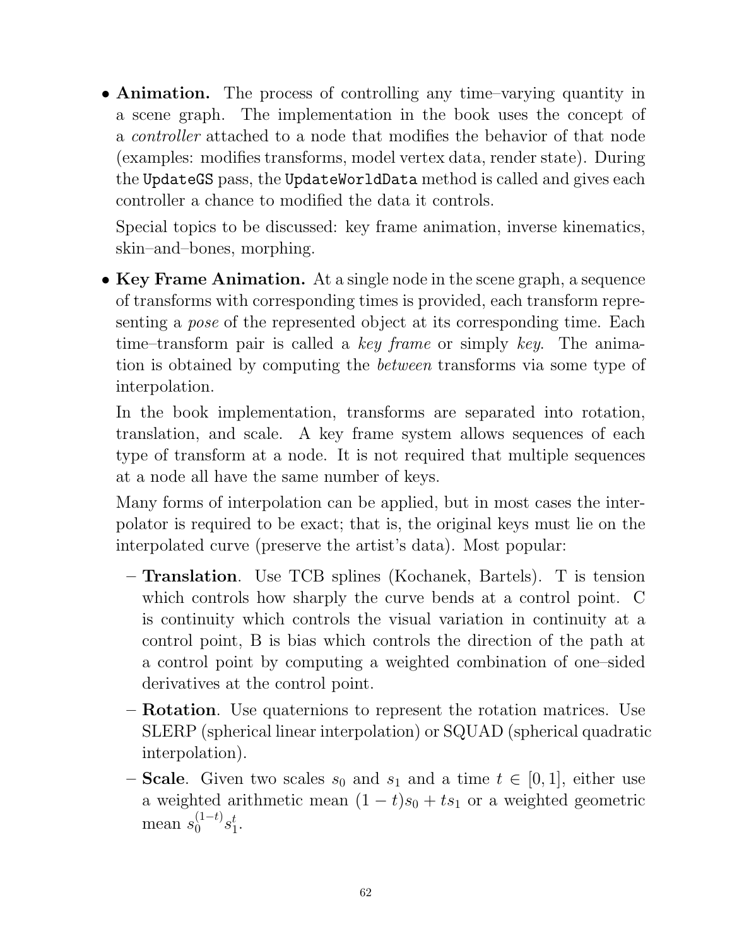• Animation. The process of controlling any time–varying quantity in a scene graph. The implementation in the book uses the concept of a controller attached to a node that modifies the behavior of that node (examples: modifies transforms, model vertex data, render state). During the UpdateGS pass, the UpdateWorldData method is called and gives each controller a chance to modified the data it controls.

Special topics to be discussed: key frame animation, inverse kinematics, skin–and–bones, morphing.

• Key Frame Animation. At a single node in the scene graph, a sequence of transforms with corresponding times is provided, each transform representing a pose of the represented object at its corresponding time. Each time–transform pair is called a key frame or simply key. The animation is obtained by computing the between transforms via some type of interpolation.

In the book implementation, transforms are separated into rotation, translation, and scale. A key frame system allows sequences of each type of transform at a node. It is not required that multiple sequences at a node all have the same number of keys.

Many forms of interpolation can be applied, but in most cases the interpolator is required to be exact; that is, the original keys must lie on the interpolated curve (preserve the artist's data). Most popular:

- Translation. Use TCB splines (Kochanek, Bartels). T is tension which controls how sharply the curve bends at a control point. C is continuity which controls the visual variation in continuity at a control point, B is bias which controls the direction of the path at a control point by computing a weighted combination of one–sided derivatives at the control point.
- Rotation. Use quaternions to represent the rotation matrices. Use SLERP (spherical linear interpolation) or SQUAD (spherical quadratic interpolation).
- **Scale**. Given two scales  $s_0$  and  $s_1$  and a time  $t \in [0, 1]$ , either use a weighted arithmetic mean  $(1-t)s_0 + ts_1$  or a weighted geometric mean  $s_0^{(1-t)} s_1^t$  $\frac{t}{1}$ .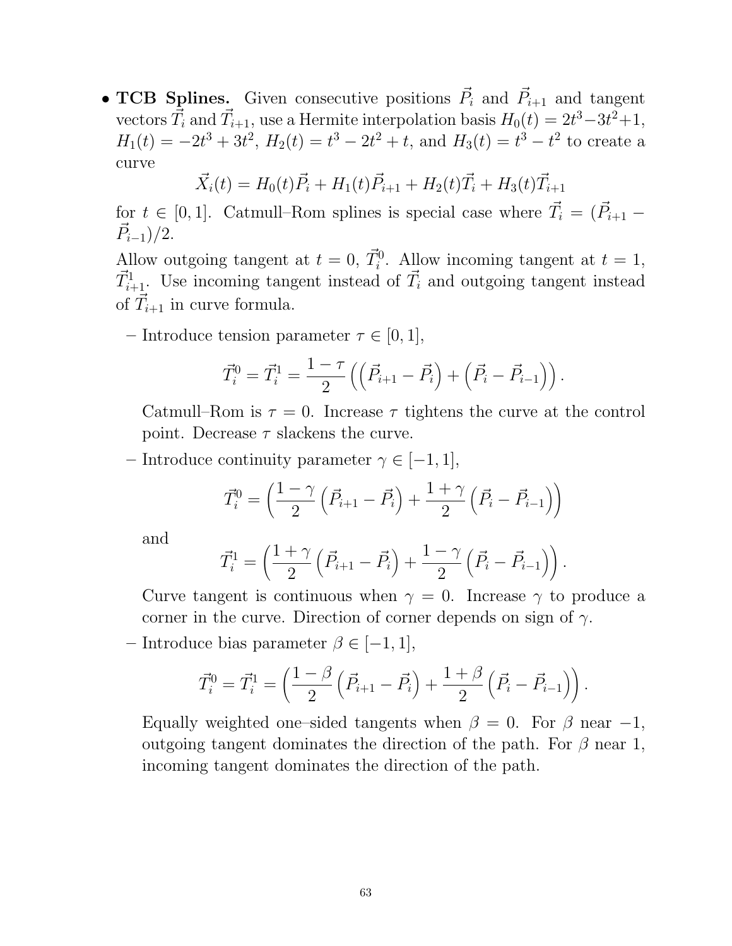• TCB Splines. Given consecutive positions  $\vec{P}_i$  and  $\vec{P}_{i+1}$  and tangent vectors  $\vec{T}_i$  and  $\vec{T}_{i+1}$ , use a Hermite interpolation basis  $H_0(t) = 2t^3 - 3t^2 + 1$ ,  $H_1(t) = -2t^3 + 3t^2$ ,  $H_2(t) = t^3 - 2t^2 + t$ , and  $H_3(t) = t^3 - t^2$  to create a curve

$$
\vec{X}_i(t) = H_0(t)\vec{P}_i + H_1(t)\vec{P}_{i+1} + H_2(t)\vec{T}_i + H_3(t)\vec{T}_{i+1}
$$

for  $t \in [0, 1]$ . Catmull–Rom splines is special case where  $\vec{T}_i = (\vec{P}_{i+1} - \vec{P}_{i+1})$  $\vec{P}_{i-1})/2.$ 

Allow outgoing tangent at  $t = 0$ ,  $\vec{T}_i^0$ . Allow incoming tangent at  $t = 1$ ,  $\vec{T}_{i+1}^1$ . Use incoming tangent instead of  $\vec{T}_i$  and outgoing tangent instead of  $\vec{T}_{i+1}$  in curve formula.

– Introduce tension parameter  $\tau \in [0, 1]$ ,

$$
\vec{T}_i^0 = \vec{T}_i^1 = \frac{1-\tau}{2}\left(\left(\vec{P}_{i+1} - \vec{P}_i\right) + \left(\vec{P}_i - \vec{P}_{i-1}\right)\right).
$$

Catmull–Rom is  $\tau = 0$ . Increase  $\tau$  tightens the curve at the control point. Decrease  $\tau$  slackens the curve.

– Introduce continuity parameter  $\gamma \in [-1, 1],$ 

$$
\vec{T}_{i}^{0} = \left(\frac{1-\gamma}{2}\left(\vec{P}_{i+1} - \vec{P}_{i}\right) + \frac{1+\gamma}{2}\left(\vec{P}_{i} - \vec{P}_{i-1}\right)\right)
$$

and

$$
\vec{T}_i^1 = \left(\frac{1+\gamma}{2}\left(\vec{P}_{i+1} - \vec{P}_i\right) + \frac{1-\gamma}{2}\left(\vec{P}_i - \vec{P}_{i-1}\right)\right).
$$

Curve tangent is continuous when  $\gamma = 0$ . Increase  $\gamma$  to produce a corner in the curve. Direction of corner depends on sign of  $\gamma$ .

– Introduce bias parameter  $\beta \in [-1, 1],$ 

$$
\vec{T}_i^0 = \vec{T}_i^1 = \left(\frac{1-\beta}{2}\left(\vec{P}_{i+1}-\vec{P}_i\right) + \frac{1+\beta}{2}\left(\vec{P}_i-\vec{P}_{i-1}\right)\right).
$$

Equally weighted one–sided tangents when  $\beta = 0$ . For  $\beta$  near -1, outgoing tangent dominates the direction of the path. For  $\beta$  near 1, incoming tangent dominates the direction of the path.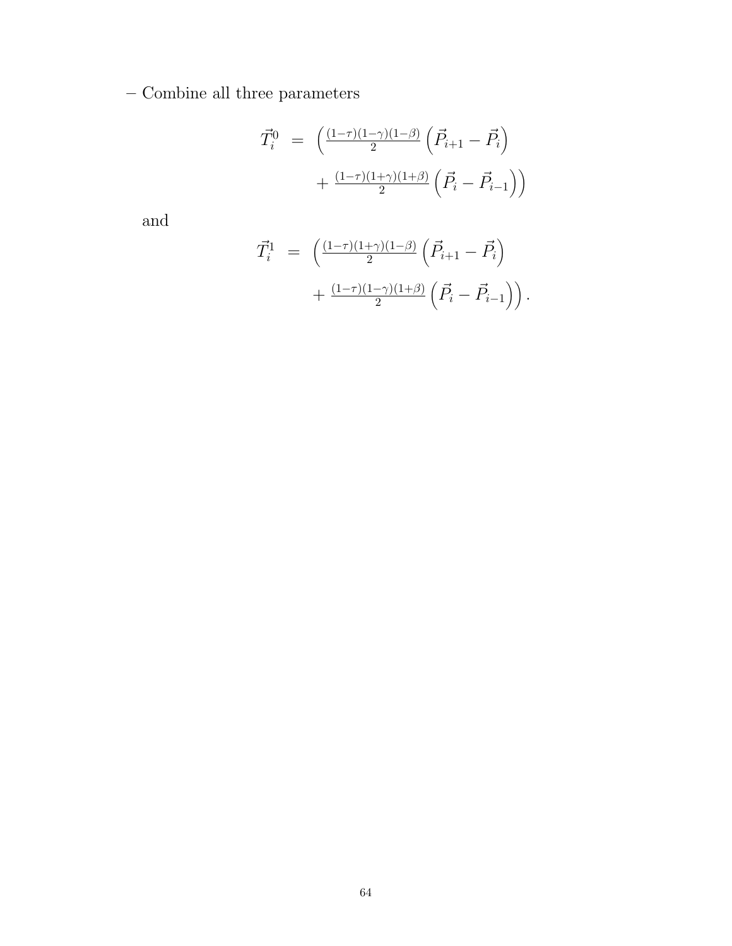– Combine all three parameters

$$
\vec{T}_i^0 = \left( \frac{(1-\tau)(1-\gamma)(1-\beta)}{2} \left( \vec{P}_{i+1} - \vec{P}_i \right) + \frac{(1-\tau)(1+\gamma)(1+\beta)}{2} \left( \vec{P}_i - \vec{P}_{i-1} \right) \right)
$$

and

$$
\vec{T}_i^1 = \left( \frac{(1-\tau)(1+\gamma)(1-\beta)}{2} \left( \vec{P}_{i+1} - \vec{P}_i \right) + \frac{(1-\tau)(1-\gamma)(1+\beta)}{2} \left( \vec{P}_i - \vec{P}_{i-1} \right) \right).
$$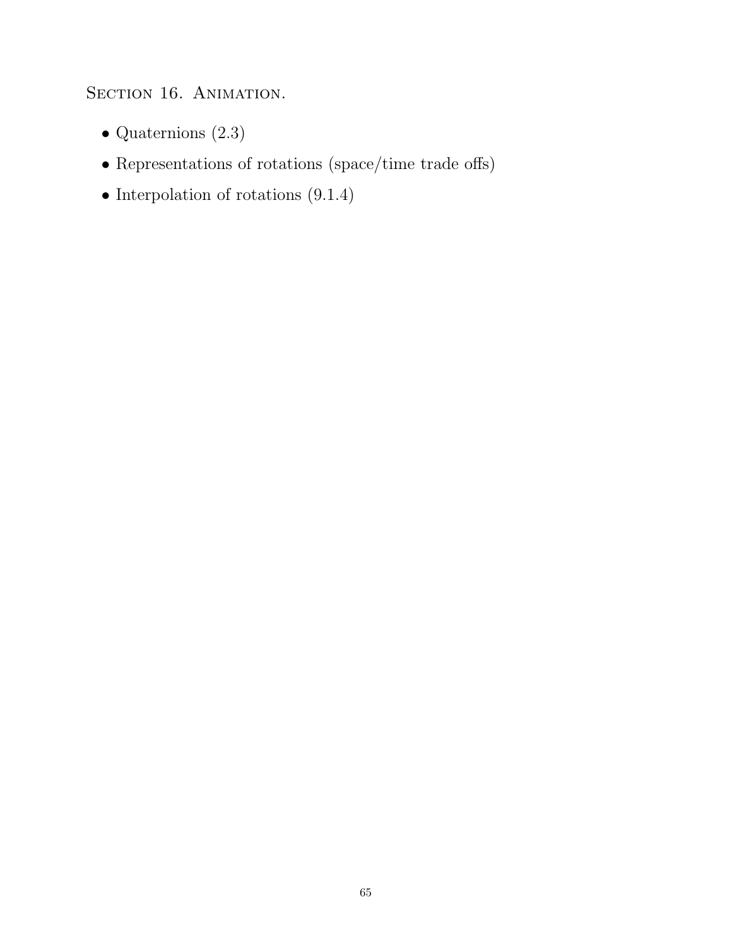SECTION 16. ANIMATION.

- $\bullet$  Quaternions (2.3)
- Representations of rotations (space/time trade offs)
- Interpolation of rotations  $(9.1.4)$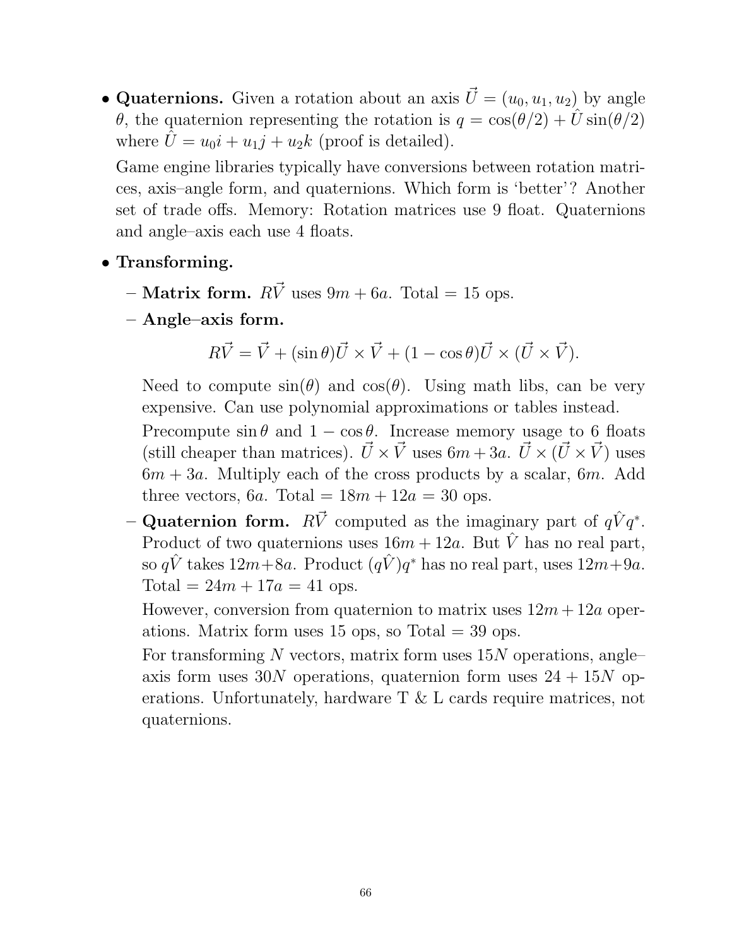• Quaternions. Given a rotation about an axis  $\vec{U} = (u_0, u_1, u_2)$  by angle θ, the quaternion representing the rotation is  $q = cos(\theta/2) + U sin(\theta/2)$ where  $\hat{U} = u_0 i + u_1 j + u_2 k$  (proof is detailed).

Game engine libraries typically have conversions between rotation matrices, axis–angle form, and quaternions. Which form is 'better'? Another set of trade offs. Memory: Rotation matrices use 9 float. Quaternions and angle–axis each use 4 floats.

- Transforming.
	- **Matrix form.**  $R\vec{V}$  uses  $9m + 6a$ . Total = 15 ops.
	- Angle–axis form.

$$
R\vec{V} = \vec{V} + (\sin \theta)\vec{U} \times \vec{V} + (1 - \cos \theta)\vec{U} \times (\vec{U} \times \vec{V}).
$$

Need to compute  $sin(\theta)$  and  $cos(\theta)$ . Using math libs, can be very expensive. Can use polynomial approximations or tables instead.

Precompute  $\sin \theta$  and  $1 - \cos \theta$ . Increase memory usage to 6 floats (still cheaper than matrices).  $\vec{U} \times \vec{V}$  uses  $6m + 3a$ .  $\vec{U} \times (\vec{U} \times \vec{V})$  uses  $6m + 3a$ . Multiply each of the cross products by a scalar,  $6m$ . Add three vectors, 6a. Total =  $18m + 12a = 30$  ops.

- Quaternion form.  $R\vec{V}$  computed as the imaginary part of  $q\hat{V}q^*$ . Product of two quaternions uses  $16m + 12a$ . But  $\hat{V}$  has no real part, so  $q\hat{V}$  takes  $12m+8a$ . Product  $(q\hat{V})q^*$  has no real part, uses  $12m+9a$ . Total =  $24m + 17a = 41$  ops.

However, conversion from quaternion to matrix uses  $12m + 12a$  operations. Matrix form uses 15 ops, so Total  $=$  39 ops.

For transforming  $N$  vectors, matrix form uses  $15N$  operations, angleaxis form uses 30N operations, quaternion form uses  $24 + 15N$  operations. Unfortunately, hardware T & L cards require matrices, not quaternions.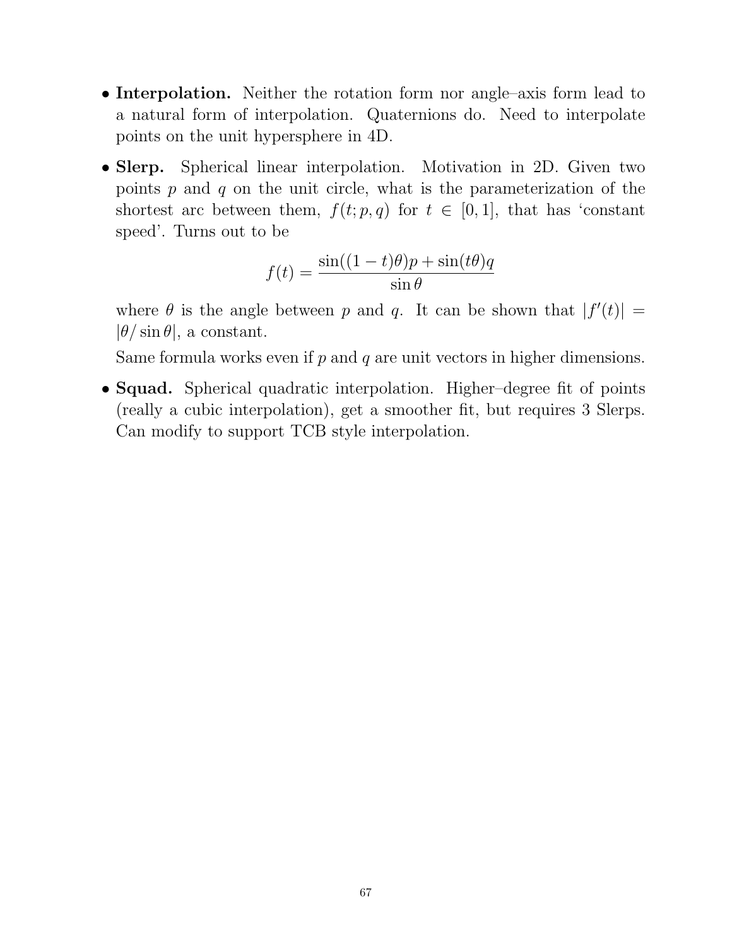- Interpolation. Neither the rotation form nor angle–axis form lead to a natural form of interpolation. Quaternions do. Need to interpolate points on the unit hypersphere in 4D.
- Slerp. Spherical linear interpolation. Motivation in 2D. Given two points  $p$  and  $q$  on the unit circle, what is the parameterization of the shortest arc between them,  $f(t; p, q)$  for  $t \in [0, 1]$ , that has 'constant speed'. Turns out to be

$$
f(t) = \frac{\sin((1-t)\theta)p + \sin(t\theta)q}{\sin\theta}
$$

where  $\theta$  is the angle between p and q. It can be shown that  $|f'(t)| =$  $|\theta/\sin\theta|$ , a constant.

Same formula works even if  $p$  and  $q$  are unit vectors in higher dimensions.

• **Squad.** Spherical quadratic interpolation. Higher–degree fit of points (really a cubic interpolation), get a smoother fit, but requires 3 Slerps. Can modify to support TCB style interpolation.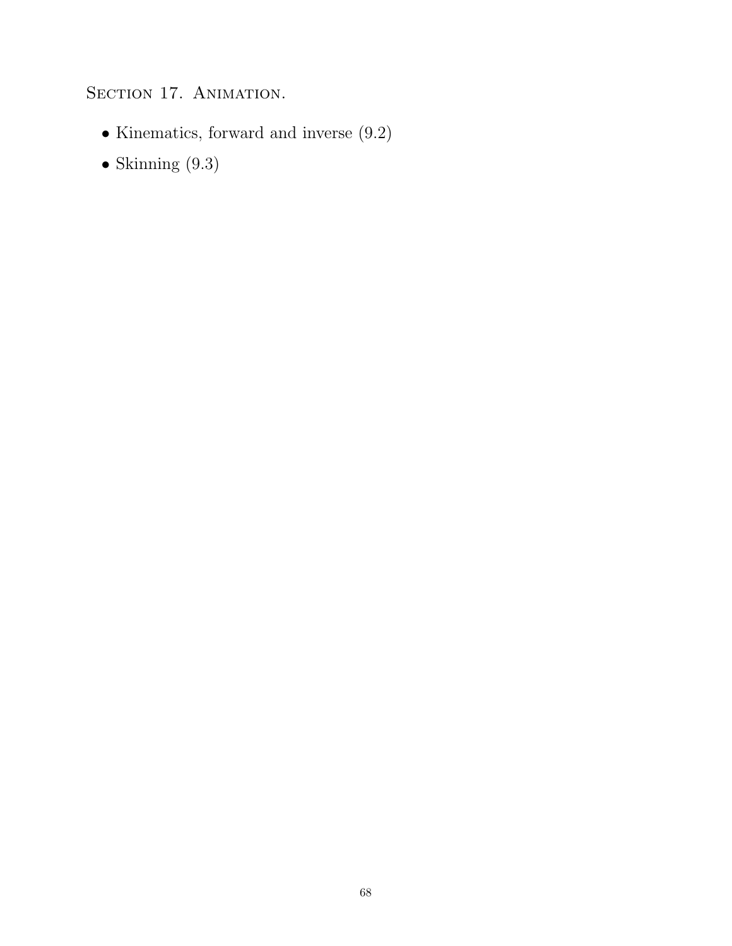## SECTION 17. ANIMATION.

- $\bullet$  Kinematics, forward and inverse  $(9.2)$
- $\bullet$  Skinning (9.3)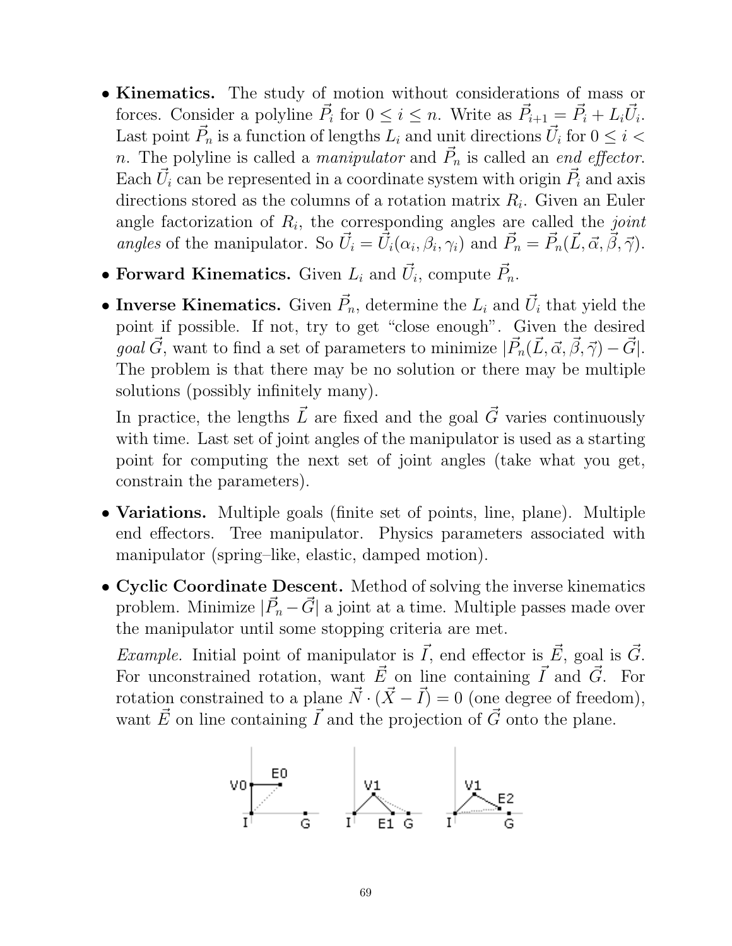- Kinematics. The study of motion without considerations of mass or forces. Consider a polyline  $\vec{P}_i$  for  $0 \leq i \leq n$ . Write as  $\vec{P}_{i+1} = \vec{P}_i + L_i \vec{U}_i$ . Last point  $\vec{P}_n$  is a function of lengths  $L_i$  and unit directions  $\vec{U}_i$  for  $0 \leq i < 1$ n. The polyline is called a *manipulator* and  $\vec{P}_n$  is called an *end effector*. Each  $\vec{U}_i$  can be represented in a coordinate system with origin  $\vec{P}_i$  and axis directions stored as the columns of a rotation matrix  $R_i$ . Given an Euler angle factorization of  $R_i$ , the corresponding angles are called the *joint* angles of the manipulator. So  $\vec{U}_i = \vec{U}_i(\alpha_i, \beta_i, \gamma_i)$  and  $\vec{P}_n = \vec{P}_n(\vec{L}, \vec{\alpha}, \vec{\beta}, \vec{\gamma})$ .
- Forward Kinematics. Given  $L_i$  and  $\vec{U}_i$ , compute  $\vec{P}_n$ .
- Inverse Kinematics. Given  $\vec{P}_n$ , determine the  $L_i$  and  $\vec{U}_i$  that yield the point if possible. If not, try to get "close enough". Given the desired goal  $\vec{G}$ , want to find a set of parameters to minimize  $|\vec{P}_n(\vec{L}, \vec{\alpha}, \vec{\beta}, \vec{\gamma}) - \vec{G}|$ . The problem is that there may be no solution or there may be multiple solutions (possibly infinitely many).

In practice, the lengths  $\vec{L}$  are fixed and the goal  $\vec{G}$  varies continuously with time. Last set of joint angles of the manipulator is used as a starting point for computing the next set of joint angles (take what you get, constrain the parameters).

- Variations. Multiple goals (finite set of points, line, plane). Multiple end effectors. Tree manipulator. Physics parameters associated with manipulator (spring–like, elastic, damped motion).
- Cyclic Coordinate Descent. Method of solving the inverse kinematics problem. Minimize  $|\vec{P}_n - \vec{G}|$  a joint at a time. Multiple passes made over the manipulator until some stopping criteria are met.

Example. Initial point of manipulator is  $\vec{I}$ , end effector is  $\vec{E}$ , goal is  $\vec{G}$ . For unconstrained rotation, want  $\vec{E}$  on line containing  $\vec{I}$  and  $\vec{G}$ . For rotation constrained to a plane  $\vec{N} \cdot (\vec{X} - \vec{I}) = 0$  (one degree of freedom), want  $\vec{E}$  on line containing  $\vec{I}$  and the projection of  $\vec{G}$  onto the plane.

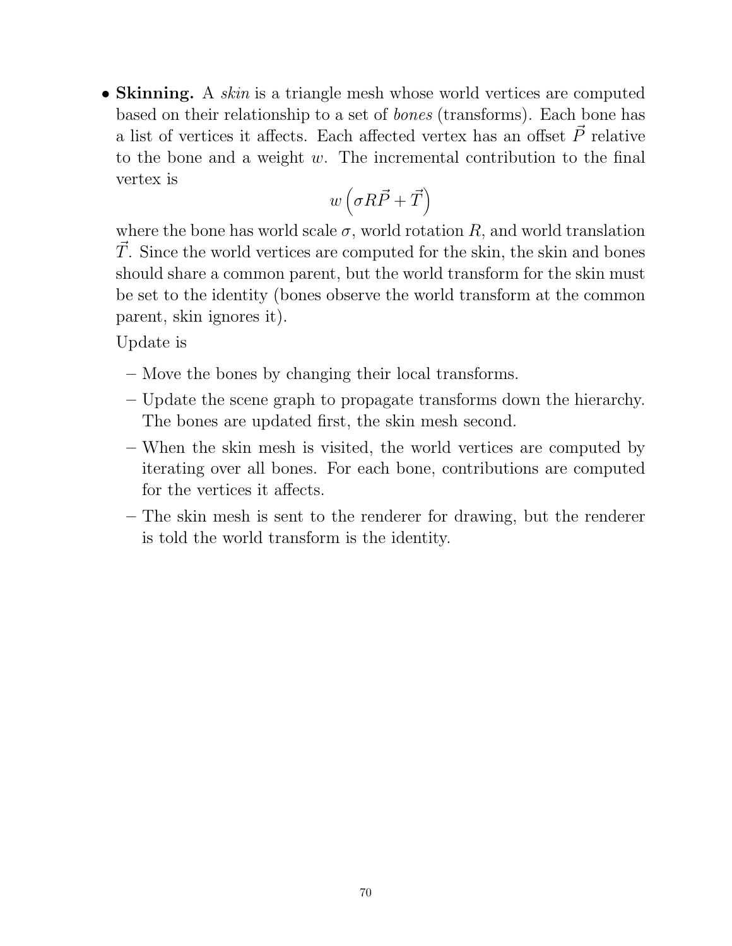• Skinning. A *skin* is a triangle mesh whose world vertices are computed based on their relationship to a set of bones (transforms). Each bone has a list of vertices it affects. Each affected vertex has an offset  $\vec{P}$  relative to the bone and a weight  $w$ . The incremental contribution to the final vertex is

$$
w\left(\sigma R\vec P + \vec T\right)
$$

where the bone has world scale  $\sigma$ , world rotation  $R$ , and world translation  $\vec{T}$ . Since the world vertices are computed for the skin, the skin and bones should share a common parent, but the world transform for the skin must be set to the identity (bones observe the world transform at the common parent, skin ignores it).

Update is

- Move the bones by changing their local transforms.
- Update the scene graph to propagate transforms down the hierarchy. The bones are updated first, the skin mesh second.
- When the skin mesh is visited, the world vertices are computed by iterating over all bones. For each bone, contributions are computed for the vertices it affects.
- The skin mesh is sent to the renderer for drawing, but the renderer is told the world transform is the identity.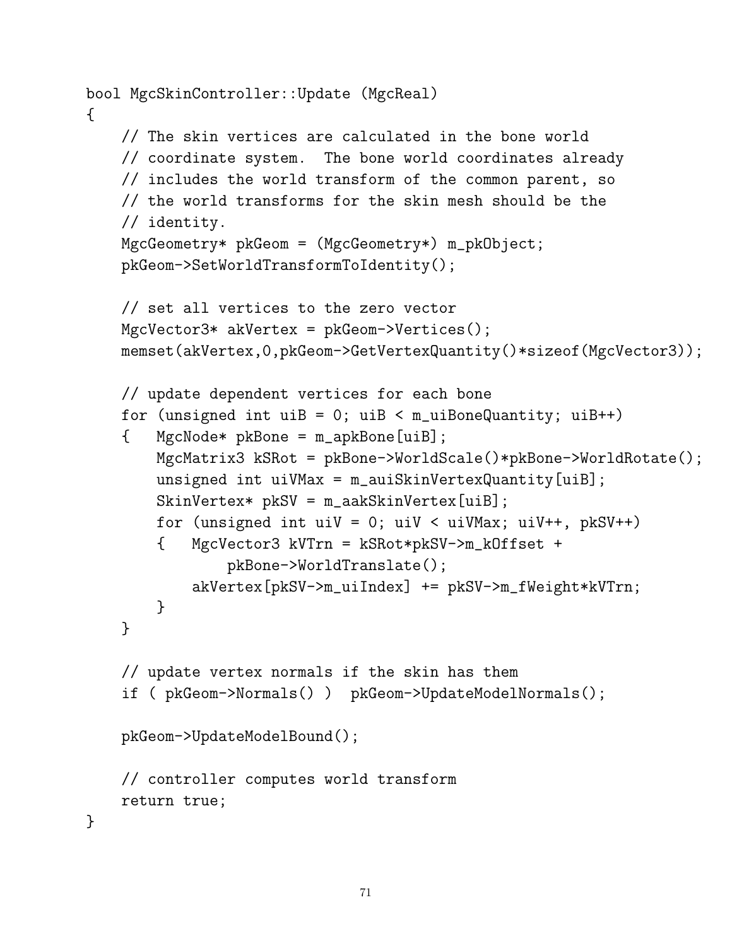```
bool MgcSkinController::Update (MgcReal)
{
    // The skin vertices are calculated in the bone world
    // coordinate system. The bone world coordinates already
    // includes the world transform of the common parent, so
    // the world transforms for the skin mesh should be the
    // identity.
    MgcGeometry* pkGeom = (MgcGeometry*) m_pkObject;
    pkGeom->SetWorldTransformToIdentity();
    // set all vertices to the zero vector
    MgcVector3* akVertex = pkGeom->Vertices();
    memset(akVertex,0,pkGeom->GetVertexQuantity()*sizeof(MgcVector3));
    // update dependent vertices for each bone
    for (unsigned int uiB = 0; uiB < m_uiBoneQuantity; uiB++)
    { MgcNode* pkBone = m_apkBone[uiB];
        MgcMatrix3 kSRot = pkBone->WorldScale()*pkBone->WorldRotate();
        unsigned int uiVMax = m_auiSkinVertexQuantity[uiB];
        SkinVertex* pkSV = m_aakSkinVertex[uiB];
        for (unsigned int uiV = 0; uiV < uiVMax; uiV++, pkSV++)
        { MgcVector3 kVTrn = kSRot*pkSV->m_kOffset +
                pkBone->WorldTranslate();
            akVertex[pkSV->m_uiIndex] += pkSV->m_fWeight*kVTrn;
        }
    }
    // update vertex normals if the skin has them
    if ( pkGeom->Normals() ) pkGeom->UpdateModelNormals();
    pkGeom->UpdateModelBound();
    // controller computes world transform
    return true;
}
```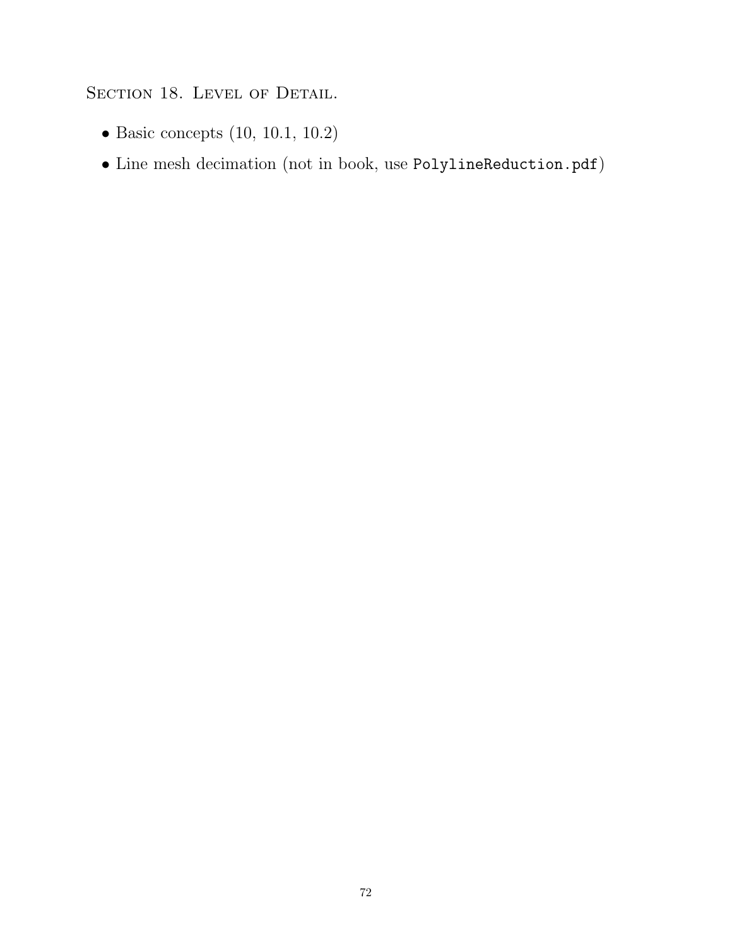## SECTION 18. LEVEL OF DETAIL.

- Basic concepts (10, 10.1, 10.2)
- Line mesh decimation (not in book, use PolylineReduction.pdf)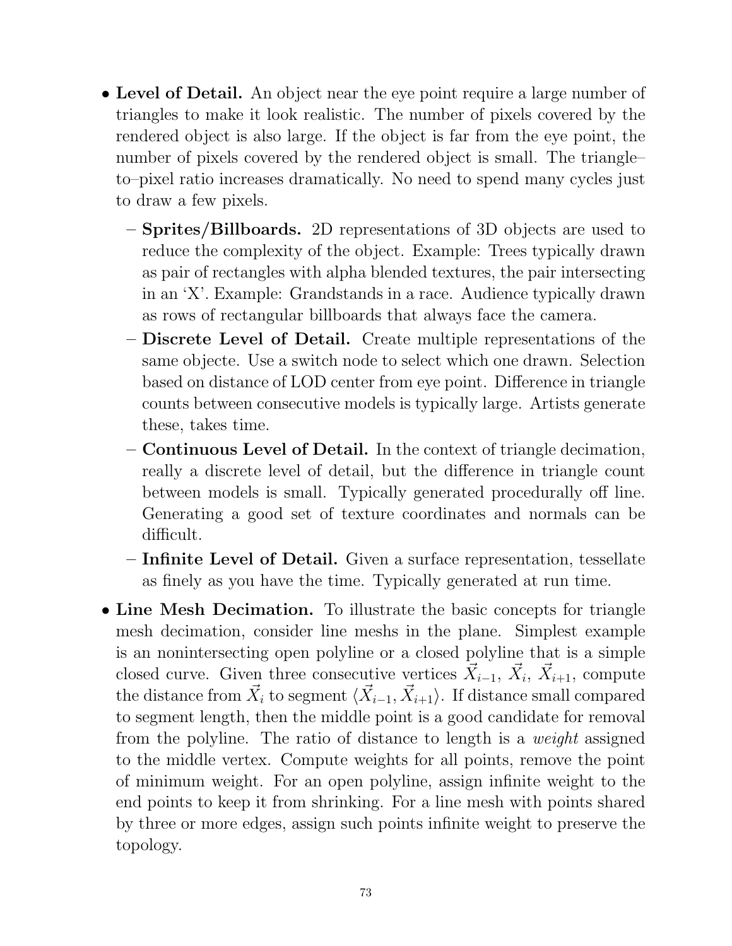- Level of Detail. An object near the eye point require a large number of triangles to make it look realistic. The number of pixels covered by the rendered object is also large. If the object is far from the eye point, the number of pixels covered by the rendered object is small. The triangle– to–pixel ratio increases dramatically. No need to spend many cycles just to draw a few pixels.
	- Sprites/Billboards. 2D representations of 3D objects are used to reduce the complexity of the object. Example: Trees typically drawn as pair of rectangles with alpha blended textures, the pair intersecting in an 'X'. Example: Grandstands in a race. Audience typically drawn as rows of rectangular billboards that always face the camera.
	- Discrete Level of Detail. Create multiple representations of the same objecte. Use a switch node to select which one drawn. Selection based on distance of LOD center from eye point. Difference in triangle counts between consecutive models is typically large. Artists generate these, takes time.
	- Continuous Level of Detail. In the context of triangle decimation, really a discrete level of detail, but the difference in triangle count between models is small. Typically generated procedurally off line. Generating a good set of texture coordinates and normals can be difficult.
	- Infinite Level of Detail. Given a surface representation, tessellate as finely as you have the time. Typically generated at run time.
- Line Mesh Decimation. To illustrate the basic concepts for triangle mesh decimation, consider line meshs in the plane. Simplest example is an nonintersecting open polyline or a closed polyline that is a simple closed curve. Given three consecutive vertices  $\vec{X}_{i-1}$ ,  $\vec{X}_i$ ,  $\vec{X}_{i+1}$ , compute the distance from  $\vec{X}_i$  to segment  $\langle \vec{X}_{i-1}, \vec{X}_{i+1} \rangle$ . If distance small compared to segment length, then the middle point is a good candidate for removal from the polyline. The ratio of distance to length is a weight assigned to the middle vertex. Compute weights for all points, remove the point of minimum weight. For an open polyline, assign infinite weight to the end points to keep it from shrinking. For a line mesh with points shared by three or more edges, assign such points infinite weight to preserve the topology.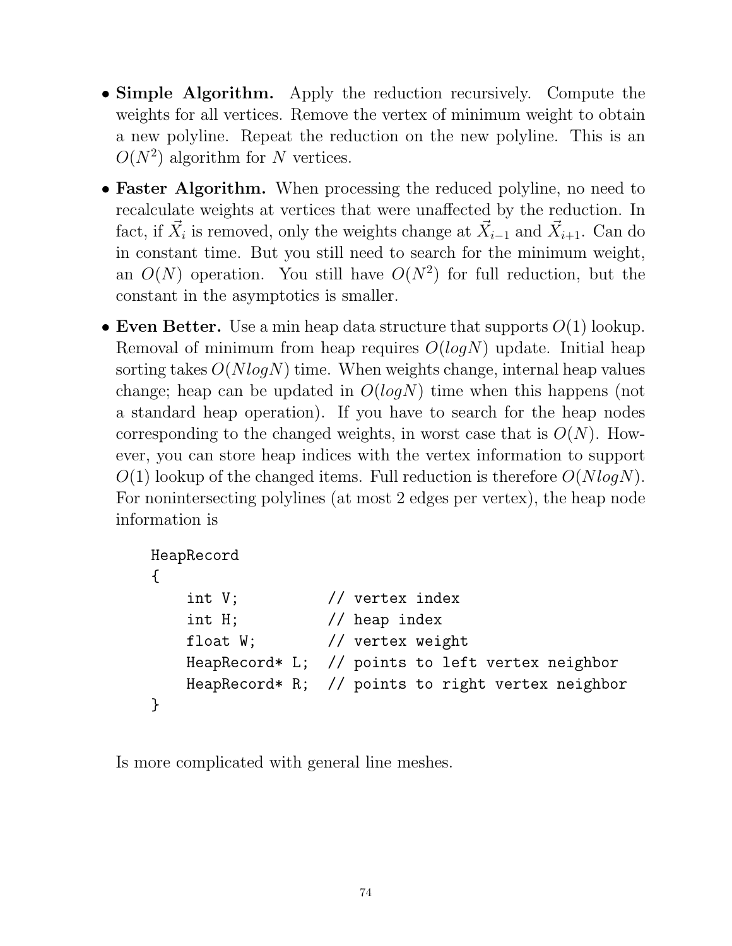- Simple Algorithm. Apply the reduction recursively. Compute the weights for all vertices. Remove the vertex of minimum weight to obtain a new polyline. Repeat the reduction on the new polyline. This is an  $O(N^2)$  algorithm for N vertices.
- Faster Algorithm. When processing the reduced polyline, no need to recalculate weights at vertices that were unaffected by the reduction. In fact, if  $\vec{X}_i$  is removed, only the weights change at  $\vec{X}_{i-1}$  and  $\vec{X}_{i+1}$ . Can do in constant time. But you still need to search for the minimum weight, an  $O(N)$  operation. You still have  $O(N^2)$  for full reduction, but the constant in the asymptotics is smaller.
- Even Better. Use a min heap data structure that supports  $O(1)$  lookup. Removal of minimum from heap requires  $O(logN)$  update. Initial heap sorting takes  $O(N \log N)$  time. When weights change, internal heap values change; heap can be updated in  $O(logN)$  time when this happens (not a standard heap operation). If you have to search for the heap nodes corresponding to the changed weights, in worst case that is  $O(N)$ . However, you can store heap indices with the vertex information to support  $O(1)$  lookup of the changed items. Full reduction is therefore  $O(NlogN)$ . For nonintersecting polylines (at most 2 edges per vertex), the heap node information is

```
HeapRecord
{
   int V; // vertex index
   int H; // heap index
   float W; // vertex weight
   HeapRecord* L; // points to left vertex neighbor
   HeapRecord* R; // points to right vertex neighbor
}
```
Is more complicated with general line meshes.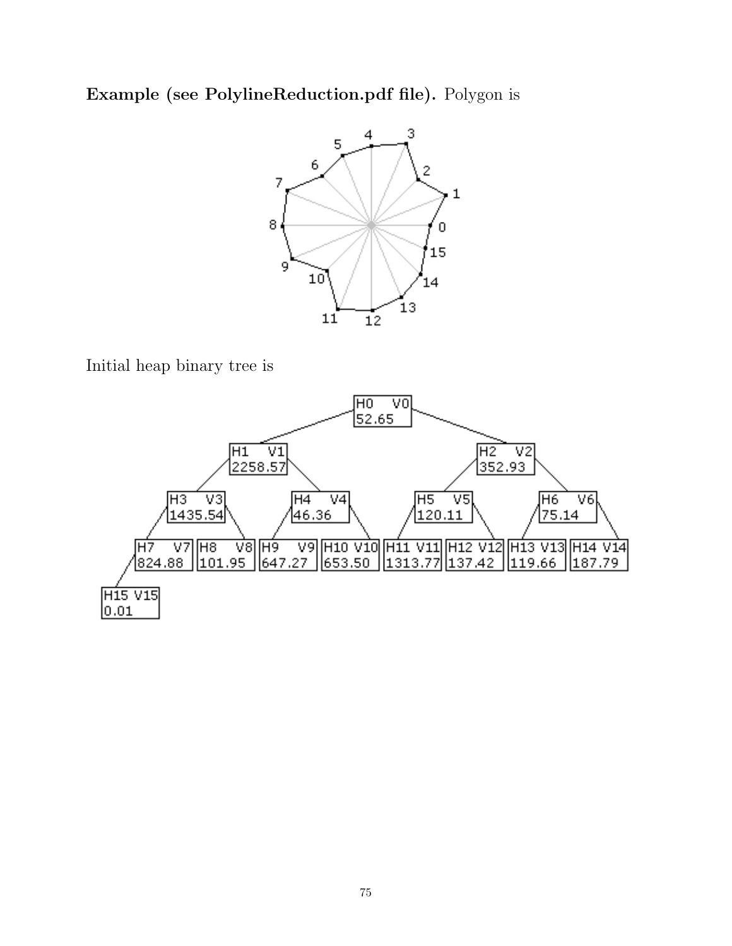Example (see PolylineReduction.pdf file). Polygon is



Initial heap binary tree is

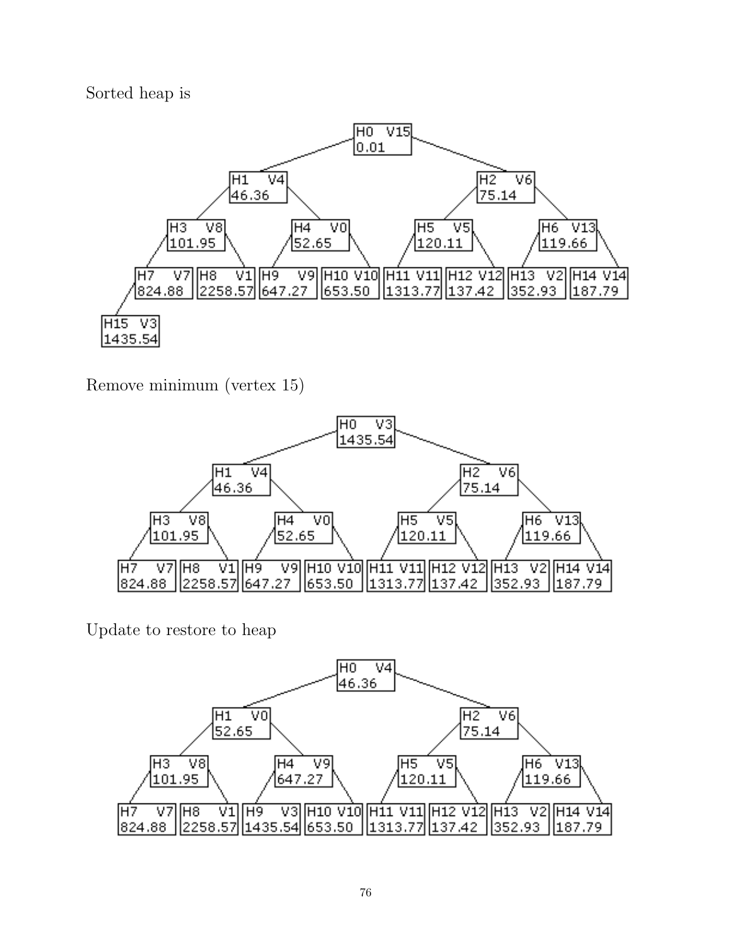Sorted heap is



Remove minimum (vertex 15)



Update to restore to heap

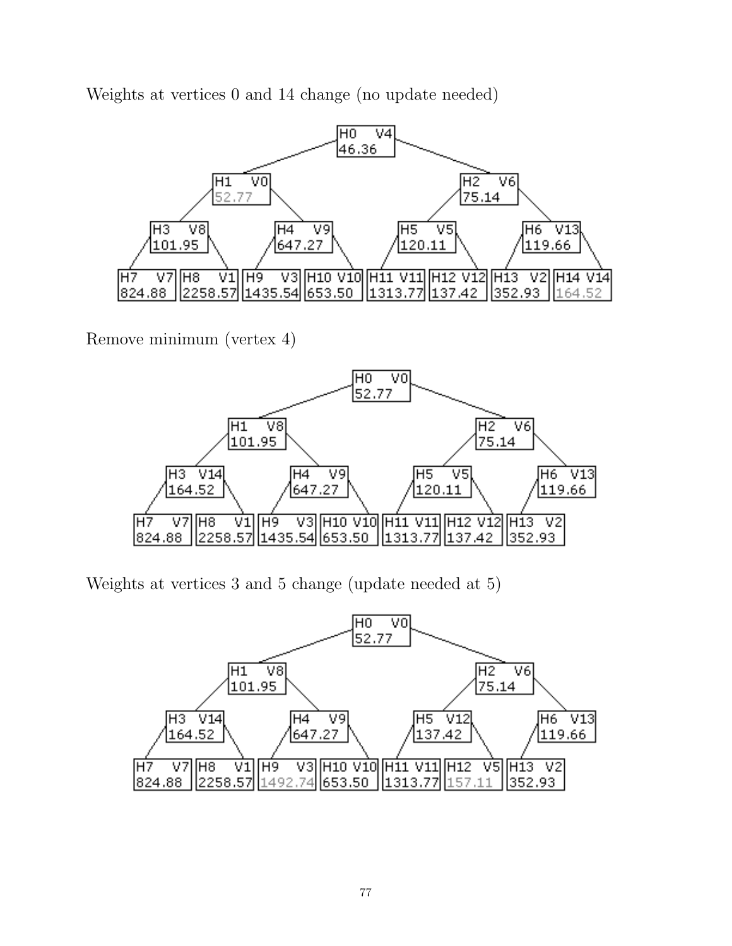Weights at vertices 0 and 14 change (no update needed)



Remove minimum (vertex 4)



Weights at vertices 3 and 5 change (update needed at 5)

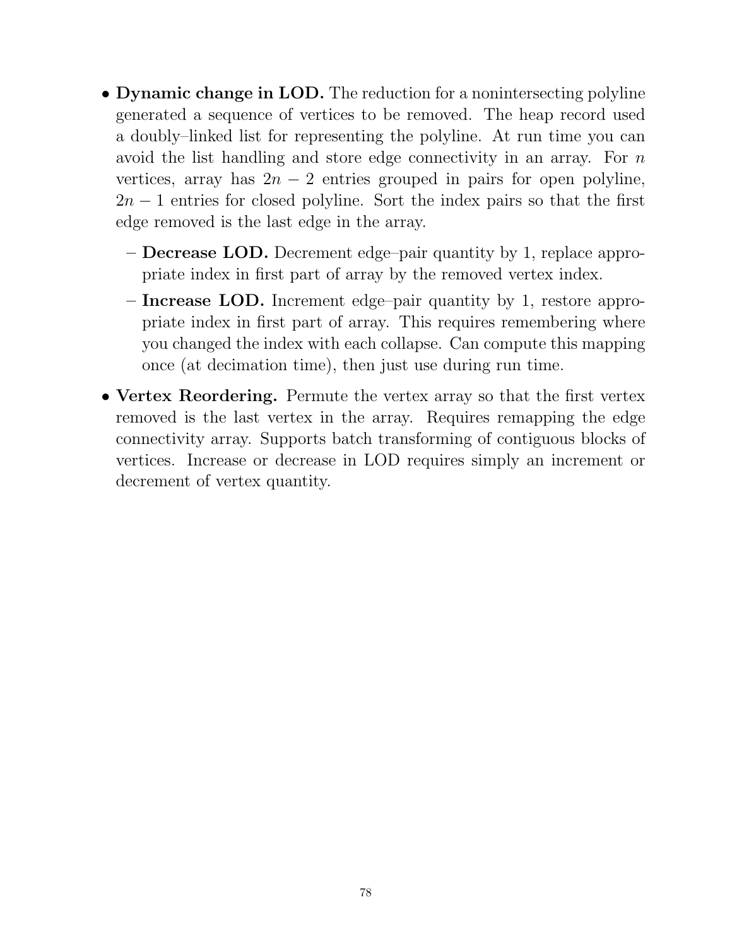- Dynamic change in LOD. The reduction for a nonintersecting polyline generated a sequence of vertices to be removed. The heap record used a doubly–linked list for representing the polyline. At run time you can avoid the list handling and store edge connectivity in an array. For n vertices, array has  $2n - 2$  entries grouped in pairs for open polyline,  $2n - 1$  entries for closed polyline. Sort the index pairs so that the first edge removed is the last edge in the array.
	- Decrease LOD. Decrement edge–pair quantity by 1, replace appropriate index in first part of array by the removed vertex index.
	- Increase LOD. Increment edge–pair quantity by 1, restore appropriate index in first part of array. This requires remembering where you changed the index with each collapse. Can compute this mapping once (at decimation time), then just use during run time.
- Vertex Reordering. Permute the vertex array so that the first vertex removed is the last vertex in the array. Requires remapping the edge connectivity array. Supports batch transforming of contiguous blocks of vertices. Increase or decrease in LOD requires simply an increment or decrement of vertex quantity.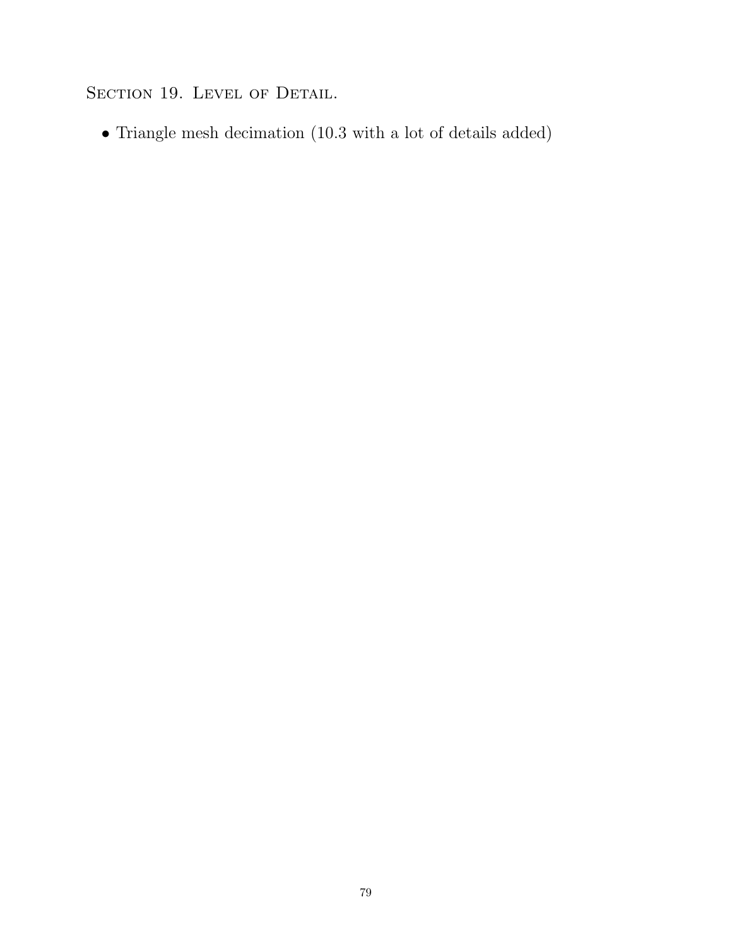SECTION 19. LEVEL OF DETAIL.

• Triangle mesh decimation (10.3 with a lot of details added)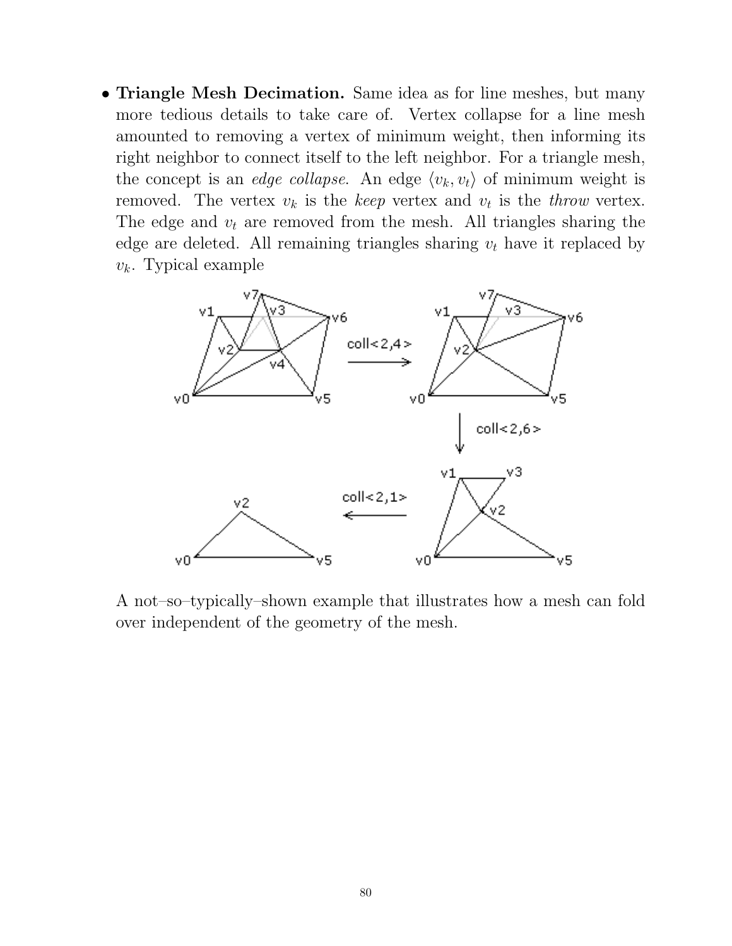• Triangle Mesh Decimation. Same idea as for line meshes, but many more tedious details to take care of. Vertex collapse for a line mesh amounted to removing a vertex of minimum weight, then informing its right neighbor to connect itself to the left neighbor. For a triangle mesh, the concept is an *edge collapse*. An edge  $\langle v_k, v_t \rangle$  of minimum weight is removed. The vertex  $v_k$  is the keep vertex and  $v_t$  is the throw vertex. The edge and  $v_t$  are removed from the mesh. All triangles sharing the edge are deleted. All remaining triangles sharing  $v_t$  have it replaced by  $v_k$ . Typical example



A not–so–typically–shown example that illustrates how a mesh can fold over independent of the geometry of the mesh.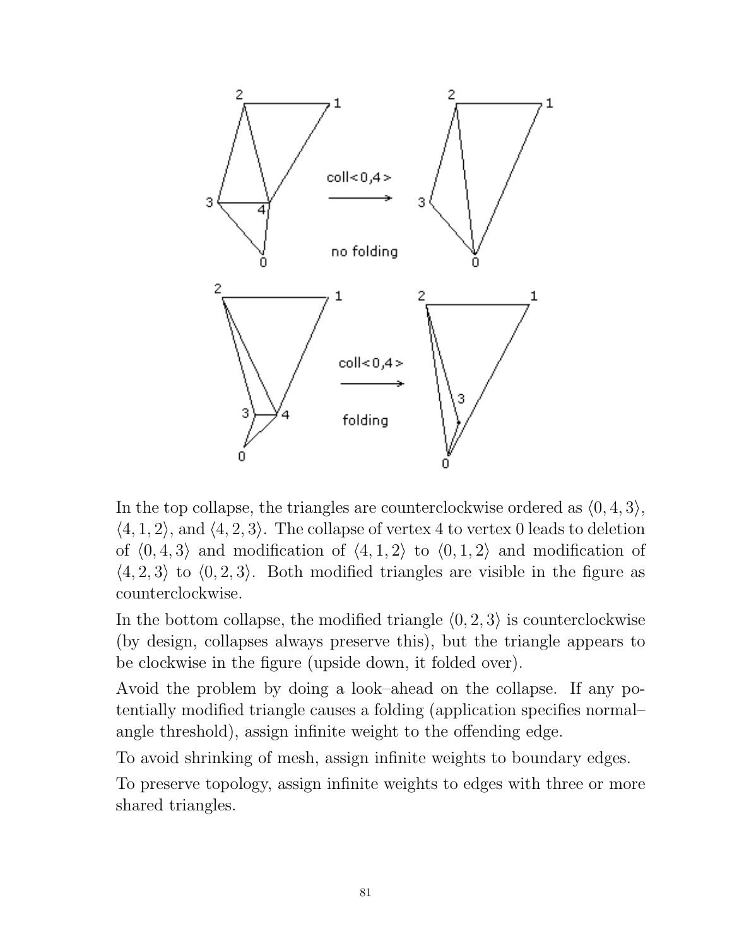

In the top collapse, the triangles are counterclockwise ordered as  $(0, 4, 3)$ ,  $\langle 4, 1, 2 \rangle$ , and  $\langle 4, 2, 3 \rangle$ . The collapse of vertex 4 to vertex 0 leads to deletion of  $\langle 0, 4, 3 \rangle$  and modification of  $\langle 4, 1, 2 \rangle$  to  $\langle 0, 1, 2 \rangle$  and modification of  $\langle 4, 2, 3 \rangle$  to  $\langle 0, 2, 3 \rangle$ . Both modified triangles are visible in the figure as counterclockwise.

In the bottom collapse, the modified triangle  $(0, 2, 3)$  is counterclockwise (by design, collapses always preserve this), but the triangle appears to be clockwise in the figure (upside down, it folded over).

Avoid the problem by doing a look–ahead on the collapse. If any potentially modified triangle causes a folding (application specifies normal– angle threshold), assign infinite weight to the offending edge.

To avoid shrinking of mesh, assign infinite weights to boundary edges.

To preserve topology, assign infinite weights to edges with three or more shared triangles.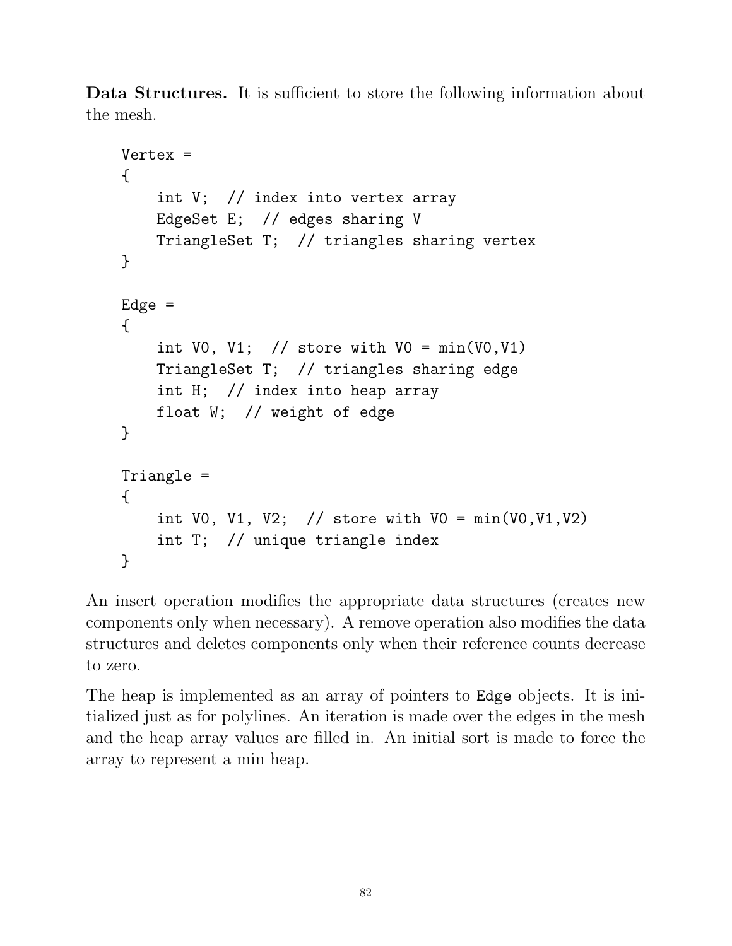Data Structures. It is sufficient to store the following information about the mesh.

```
Vertex =
{
    int V; // index into vertex array
    EdgeSet E; // edges sharing V
    TriangleSet T; // triangles sharing vertex
}
Edge ={
    int V0, V1; // store with V0 = min(V0, V1)TriangleSet T; // triangles sharing edge
    int H; // index into heap array
    float W; // weight of edge
}
Triangle =
{
    int V0, V1, V2; // store with V0 = min(V0, V1, V2)int T; // unique triangle index
}
```
An insert operation modifies the appropriate data structures (creates new components only when necessary). A remove operation also modifies the data structures and deletes components only when their reference counts decrease to zero.

The heap is implemented as an array of pointers to Edge objects. It is initialized just as for polylines. An iteration is made over the edges in the mesh and the heap array values are filled in. An initial sort is made to force the array to represent a min heap.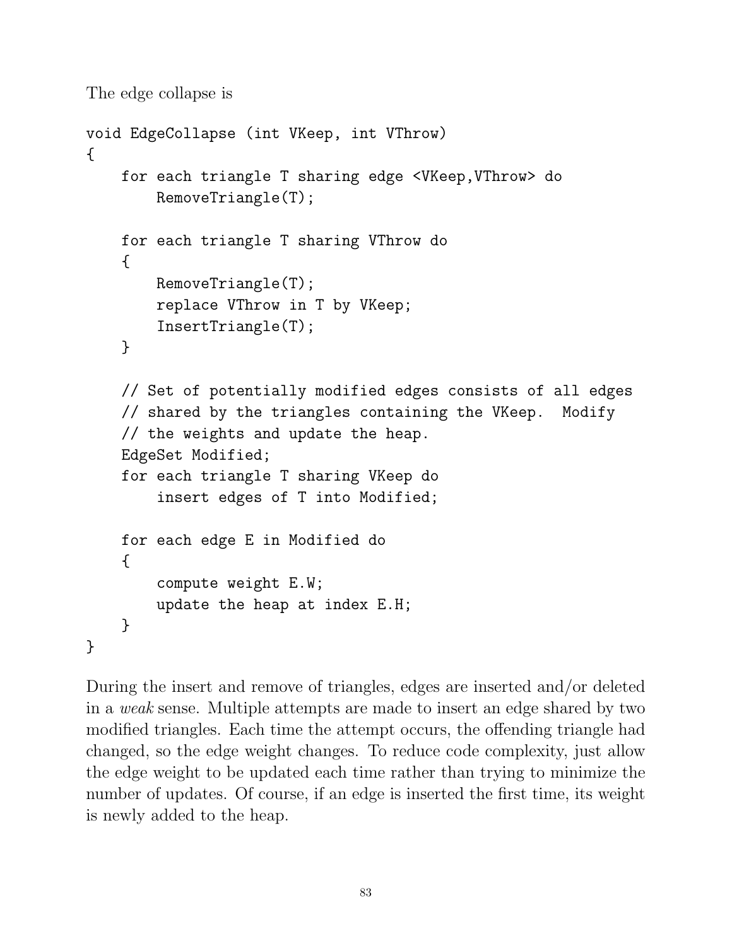The edge collapse is

```
void EdgeCollapse (int VKeep, int VThrow)
{
    for each triangle T sharing edge <VKeep,VThrow> do
        RemoveTriangle(T);
    for each triangle T sharing VThrow do
    {
        RemoveTriangle(T);
        replace VThrow in T by VKeep;
        InsertTriangle(T);
    }
    // Set of potentially modified edges consists of all edges
    // shared by the triangles containing the VKeep. Modify
    // the weights and update the heap.
    EdgeSet Modified;
    for each triangle T sharing VKeep do
        insert edges of T into Modified;
    for each edge E in Modified do
    {
        compute weight E.W;
        update the heap at index E.H;
    }
}
```
During the insert and remove of triangles, edges are inserted and/or deleted in a weak sense. Multiple attempts are made to insert an edge shared by two modified triangles. Each time the attempt occurs, the offending triangle had changed, so the edge weight changes. To reduce code complexity, just allow the edge weight to be updated each time rather than trying to minimize the number of updates. Of course, if an edge is inserted the first time, its weight is newly added to the heap.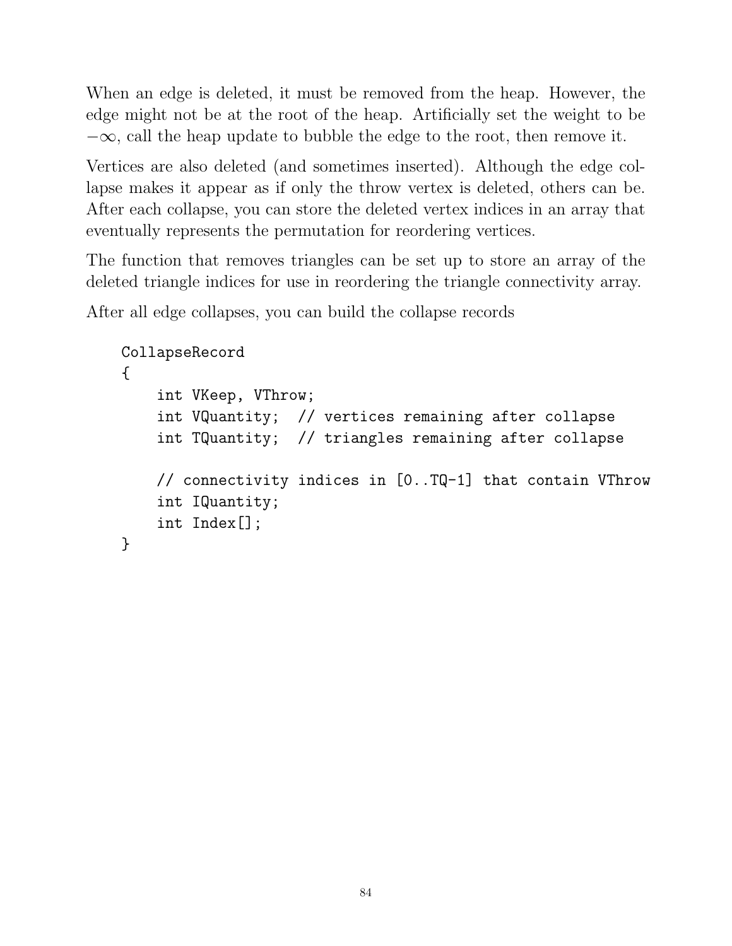When an edge is deleted, it must be removed from the heap. However, the edge might not be at the root of the heap. Artificially set the weight to be  $-\infty$ , call the heap update to bubble the edge to the root, then remove it.

Vertices are also deleted (and sometimes inserted). Although the edge collapse makes it appear as if only the throw vertex is deleted, others can be. After each collapse, you can store the deleted vertex indices in an array that eventually represents the permutation for reordering vertices.

The function that removes triangles can be set up to store an array of the deleted triangle indices for use in reordering the triangle connectivity array.

After all edge collapses, you can build the collapse records

```
CollapseRecord
{
    int VKeep, VThrow;
    int VQuantity; // vertices remaining after collapse
    int TQuantity; // triangles remaining after collapse
    // connectivity indices in [0..TQ-1] that contain VThrow
    int IQuantity;
    int Index[];
}
```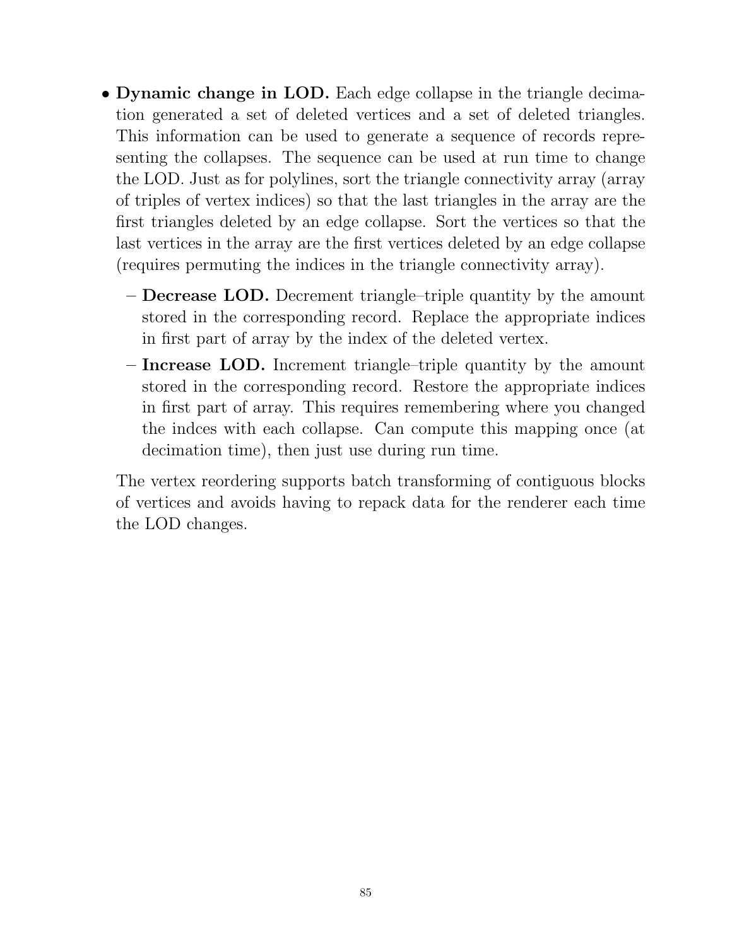- Dynamic change in LOD. Each edge collapse in the triangle decimation generated a set of deleted vertices and a set of deleted triangles. This information can be used to generate a sequence of records representing the collapses. The sequence can be used at run time to change the LOD. Just as for polylines, sort the triangle connectivity array (array of triples of vertex indices) so that the last triangles in the array are the first triangles deleted by an edge collapse. Sort the vertices so that the last vertices in the array are the first vertices deleted by an edge collapse (requires permuting the indices in the triangle connectivity array).
	- Decrease LOD. Decrement triangle–triple quantity by the amount stored in the corresponding record. Replace the appropriate indices in first part of array by the index of the deleted vertex.
	- Increase LOD. Increment triangle–triple quantity by the amount stored in the corresponding record. Restore the appropriate indices in first part of array. This requires remembering where you changed the indces with each collapse. Can compute this mapping once (at decimation time), then just use during run time.

The vertex reordering supports batch transforming of contiguous blocks of vertices and avoids having to repack data for the renderer each time the LOD changes.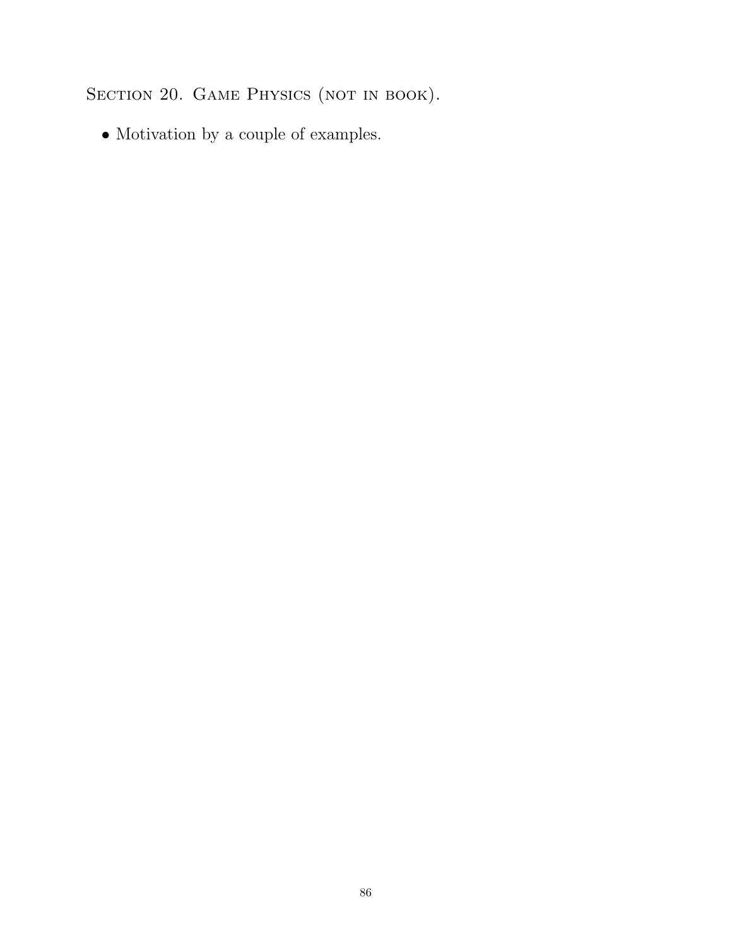SECTION 20. GAME PHYSICS (NOT IN BOOK).

 $\bullet$  Motivation by a couple of examples.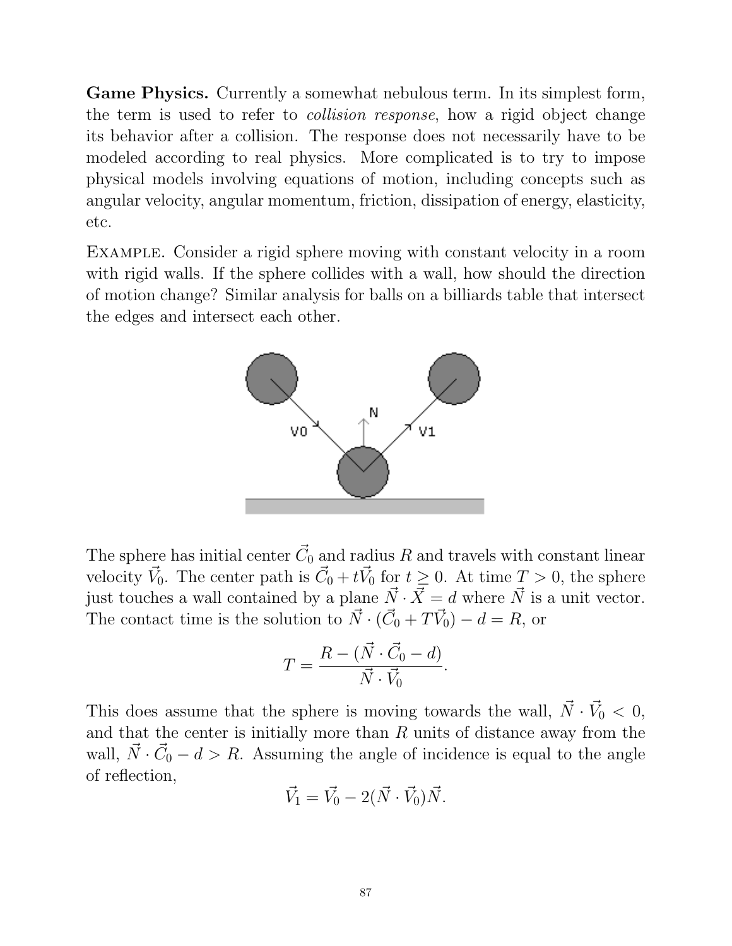Game Physics. Currently a somewhat nebulous term. In its simplest form, the term is used to refer to collision response, how a rigid object change its behavior after a collision. The response does not necessarily have to be modeled according to real physics. More complicated is to try to impose physical models involving equations of motion, including concepts such as angular velocity, angular momentum, friction, dissipation of energy, elasticity, etc.

Example. Consider a rigid sphere moving with constant velocity in a room with rigid walls. If the sphere collides with a wall, how should the direction of motion change? Similar analysis for balls on a billiards table that intersect the edges and intersect each other.



The sphere has initial center  $\vec{C}_0$  and radius  $R$  and travels with constant linear velocity  $\vec{V}_0$ . The center path is  $\vec{C}_0 + t\vec{V}_0$  for  $t \geq 0$ . At time  $T > 0$ , the sphere just touches a wall contained by a plane  $\vec{N} \cdot \vec{X} = d$  where  $\vec{N}$  is a unit vector. The contact time is the solution to  $\vec{N} \cdot (\vec{C}_0 + T\vec{V}_0) - d = R$ , or

$$
T = \frac{R - (\vec{N} \cdot \vec{C_0} - d)}{\vec{N} \cdot \vec{V_0}}.
$$

This does assume that the sphere is moving towards the wall,  $\vec{N} \cdot \vec{V}_0 < 0$ , and that the center is initially more than  $R$  units of distance away from the wall,  $\vec{N} \cdot \vec{C_0} - d > R$ . Assuming the angle of incidence is equal to the angle of reflection,

$$
\vec{V}_1 = \vec{V}_0 - 2(\vec{N} \cdot \vec{V}_0)\vec{N}.
$$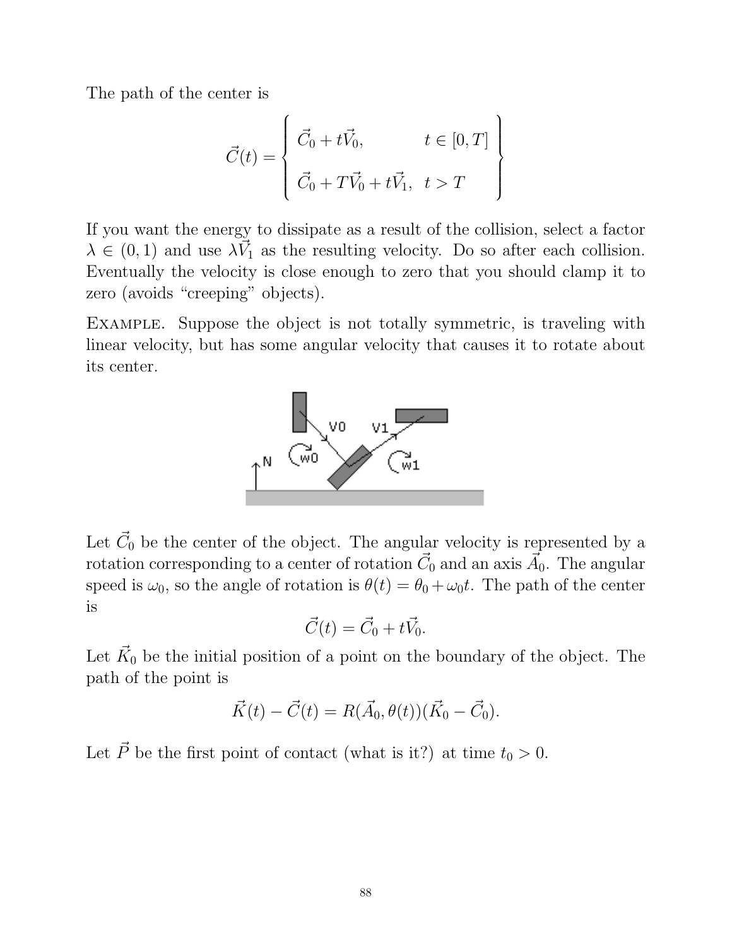The path of the center is

$$
\vec{C}(t) = \begin{cases}\n\vec{C}_0 + t\vec{V}_0, & t \in [0, T] \\
\vec{C}_0 + T\vec{V}_0 + t\vec{V}_1, & t > T\n\end{cases}
$$

If you want the energy to dissipate as a result of the collision, select a factor  $\lambda \in (0,1)$  and use  $\lambda \vec{V}_1$  as the resulting velocity. Do so after each collision. Eventually the velocity is close enough to zero that you should clamp it to zero (avoids "creeping" objects).

Example. Suppose the object is not totally symmetric, is traveling with linear velocity, but has some angular velocity that causes it to rotate about its center.



Let  $\vec{C}_0$  be the center of the object. The angular velocity is represented by a rotation corresponding to a center of rotation  $\vec{C_0}$  and an axis  $\vec{A_0}$ . The angular speed is  $\omega_0$ , so the angle of rotation is  $\theta(t) = \theta_0 + \omega_0 t$ . The path of the center is

$$
\vec{C}(t) = \vec{C}_0 + t\vec{V}_0.
$$

Let  $\vec{K}_0$  be the initial position of a point on the boundary of the object. The path of the point is

$$
\vec{K}(t) - \vec{C}(t) = R(\vec{A}_0, \theta(t)) (\vec{K}_0 - \vec{C}_0).
$$

Let  $\vec{P}$  be the first point of contact (what is it?) at time  $t_0 > 0$ .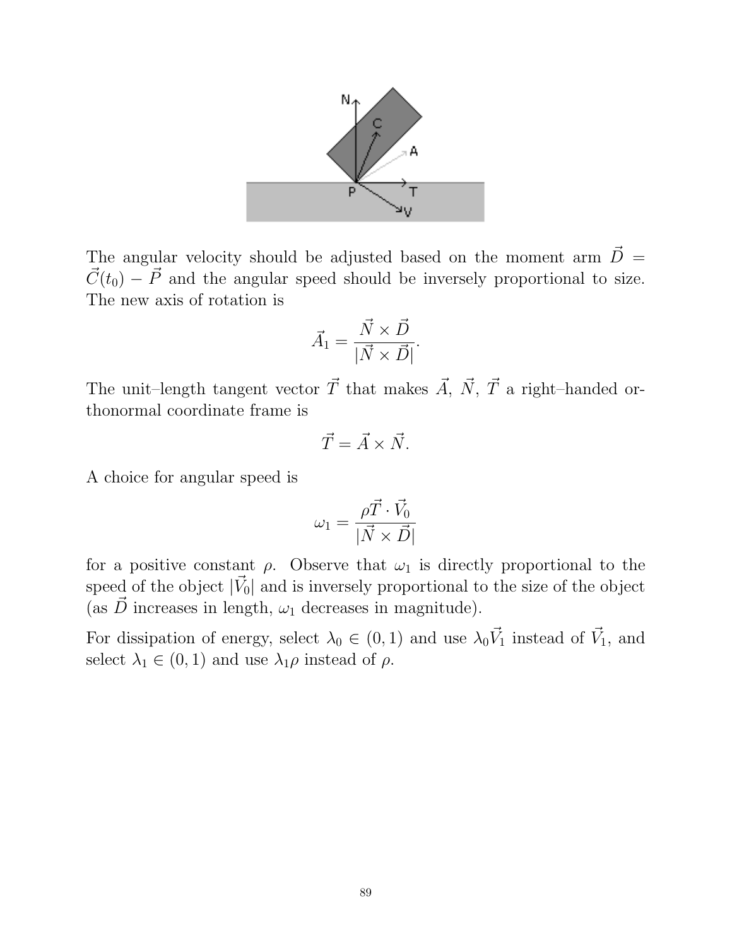

The angular velocity should be adjusted based on the moment arm  $\vec{D}$  =  $\vec{C}(t_0) - \vec{P}$  and the angular speed should be inversely proportional to size. The new axis of rotation is

$$
\vec{A}_1 = \frac{\vec{N} \times \vec{D}}{|\vec{N} \times \vec{D}|}.
$$

The unit–length tangent vector  $\vec{T}$  that makes  $\vec{A}$ ,  $\vec{N}$ ,  $\vec{T}$  a right–handed orthonormal coordinate frame is

$$
\vec{T} = \vec{A} \times \vec{N}.
$$

A choice for angular speed is

$$
\omega_1 = \frac{\rho \vec{T} \cdot \vec{V}_0}{|\vec{N} \times \vec{D}|}
$$

for a positive constant  $\rho$ . Observe that  $\omega_1$  is directly proportional to the speed of the object  $|\vec{V}_0|$  and is inversely proportional to the size of the object (as  $\vec{D}$  increases in length,  $\omega_1$  decreases in magnitude).

For dissipation of energy, select  $\lambda_0 \in (0,1)$  and use  $\lambda_0 \vec{V}_1$  instead of  $\vec{V}_1$ , and select  $\lambda_1 \in (0,1)$  and use  $\lambda_1 \rho$  instead of  $\rho$ .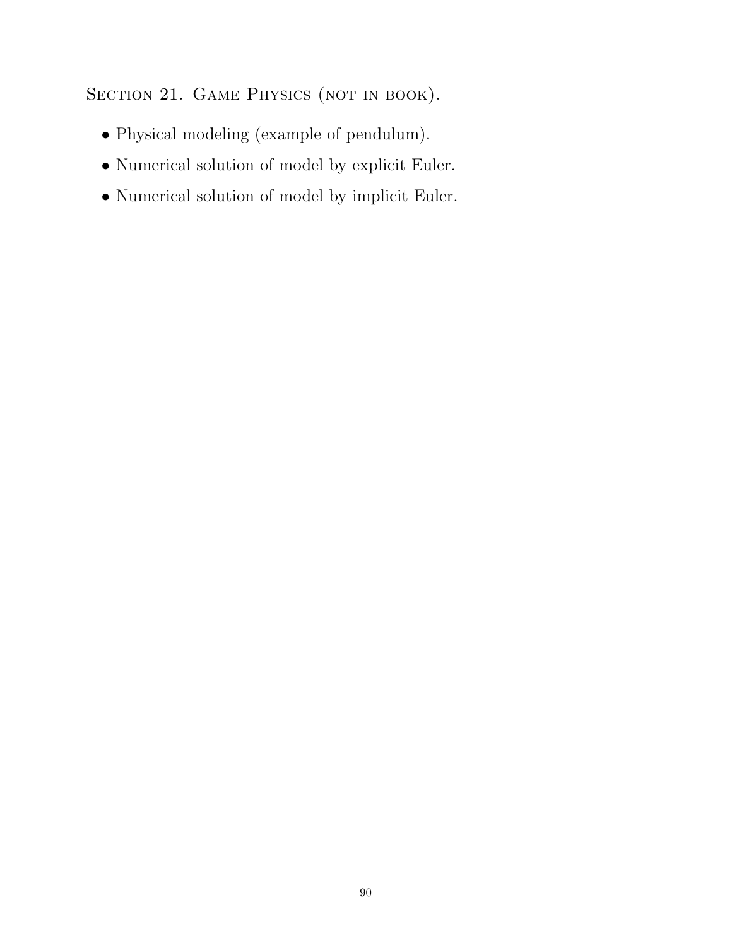SECTION 21. GAME PHYSICS (NOT IN BOOK).

- Physical modeling (example of pendulum).
- Numerical solution of model by explicit Euler.
- Numerical solution of model by implicit Euler.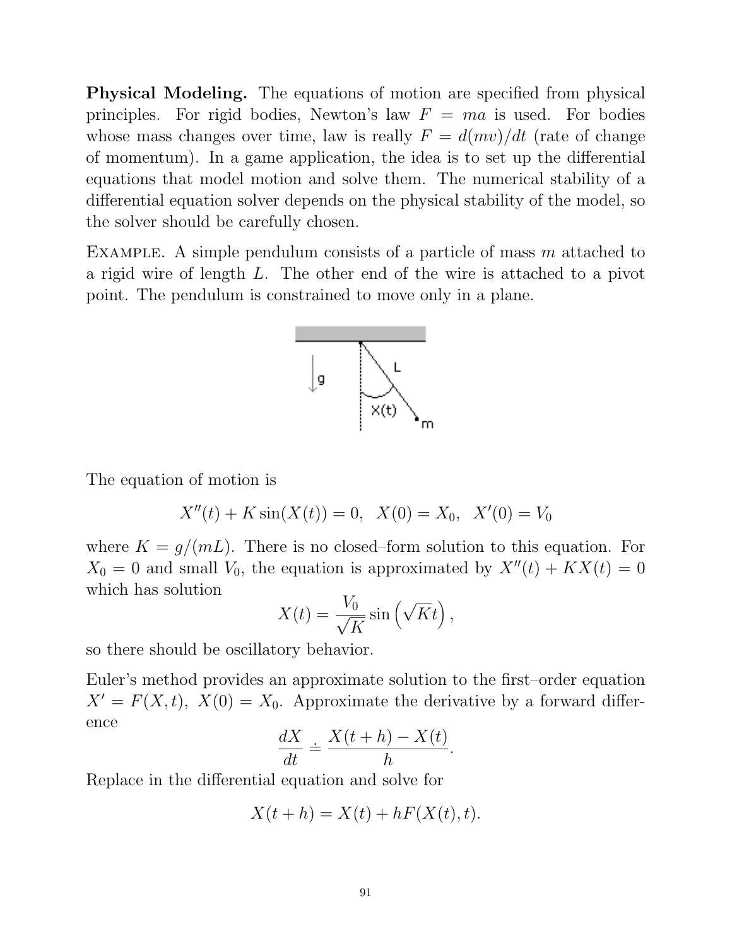Physical Modeling. The equations of motion are specified from physical principles. For rigid bodies, Newton's law  $F = ma$  is used. For bodies whose mass changes over time, law is really  $F = d(mv)/dt$  (rate of change of momentum). In a game application, the idea is to set up the differential equations that model motion and solve them. The numerical stability of a differential equation solver depends on the physical stability of the model, so the solver should be carefully chosen.

EXAMPLE. A simple pendulum consists of a particle of mass  $m$  attached to a rigid wire of length L. The other end of the wire is attached to a pivot point. The pendulum is constrained to move only in a plane.



The equation of motion is

$$
X''(t) + K \sin(X(t)) = 0, \ \ X(0) = X_0, \ \ X'(0) = V_0
$$

where  $K = g/(mL)$ . There is no closed–form solution to this equation. For  $X_0 = 0$  and small  $V_0$ , the equation is approximated by  $X''(t) + KX(t) = 0$ which has solution

$$
X(t) = \frac{V_0}{\sqrt{K}} \sin\left(\sqrt{K}t\right),\,
$$

so there should be oscillatory behavior.

Euler's method provides an approximate solution to the first–order equation  $X' = F(X, t)$ ,  $X(0) = X_0$ . Approximate the derivative by a forward difference

$$
\frac{dX}{dt} \doteq \frac{X(t+h) - X(t)}{h}
$$

.

Replace in the differential equation and solve for

$$
X(t+h) = X(t) + hF(X(t), t).
$$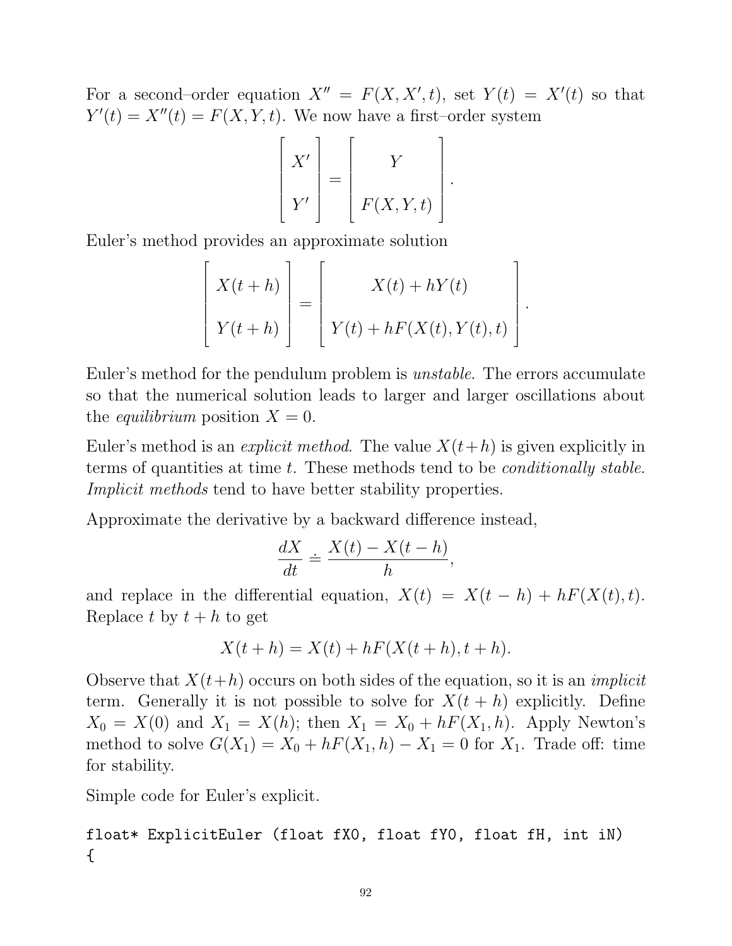For a second-order equation  $X'' = F(X, X', t)$ , set  $Y(t) = X'(t)$  so that  $Y'(t) = X''(t) = F(X, Y, t)$ . We now have a first-order system

$$
\begin{bmatrix} X' \\ Y' \end{bmatrix} = \begin{bmatrix} Y \\ F(X,Y,t) \end{bmatrix}.
$$

Euler's method provides an approximate solution

$$
\begin{bmatrix} X(t+h) \\ Y(t+h) \end{bmatrix} = \begin{bmatrix} X(t) + hY(t) \\ Y(t) + hF(X(t), Y(t), t) \end{bmatrix}
$$

.

Euler's method for the pendulum problem is unstable. The errors accumulate so that the numerical solution leads to larger and larger oscillations about the *equilibrium* position  $X = 0$ .

Euler's method is an *explicit method*. The value  $X(t+h)$  is given explicitly in terms of quantities at time t. These methods tend to be *conditionally stable*. Implicit methods tend to have better stability properties.

Approximate the derivative by a backward difference instead,

$$
\frac{dX}{dt} \doteq \frac{X(t) - X(t-h)}{h},
$$

and replace in the differential equation,  $X(t) = X(t - h) + hF(X(t), t)$ . Replace t by  $t + h$  to get

$$
X(t+h) = X(t) + hF(X(t+h), t+h).
$$

Observe that  $X(t+h)$  occurs on both sides of the equation, so it is an *implicit* term. Generally it is not possible to solve for  $X(t+h)$  explicitly. Define  $X_0 = X(0)$  and  $X_1 = X(h)$ ; then  $X_1 = X_0 + hF(X_1, h)$ . Apply Newton's method to solve  $G(X_1) = X_0 + hF(X_1, h) - X_1 = 0$  for  $X_1$ . Trade off: time for stability.

Simple code for Euler's explicit.

float\* ExplicitEuler (float fX0, float fY0, float fH, int iN) {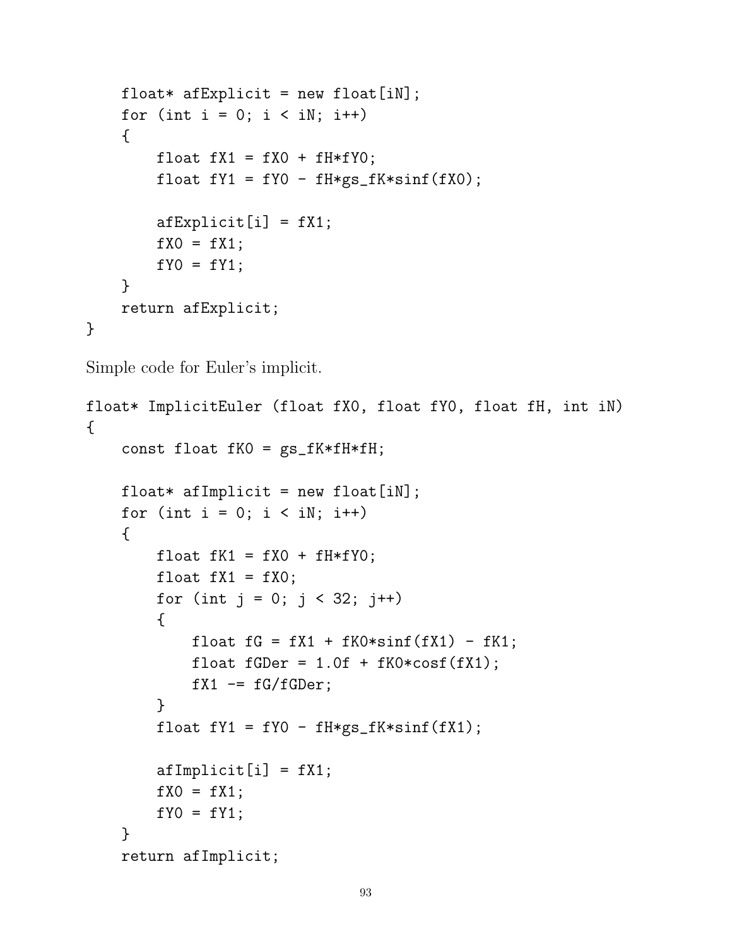```
float* afExplicit = new float[iN];
    for (int i = 0; i < iN; i++){
        float fX1 = fX0 + fH*fY0;float fY1 = fY0 - fH*gs_fK*sinf(fX0);
        afExplicit[i] = fX1;
        fX0 = fX1;fY0 = fY1;}
    return afExplicit;
}
```
Simple code for Euler's implicit.

```
float* ImplicitEuler (float fX0, float fY0, float fH, int iN)
{
    const float fK0 = gs_fK*fH*fH;float* afImplicit = new float [iN];
    for (int i = 0; i < iN; i++){
        float fK1 = fX0 + fH*fY0;
        float fX1 = fX0;
        for (int j = 0; j < 32; j++){
            float fG = fX1 + fK0*sinf(fX1) - fK1;float fGDer = 1.0f + fK0*cost(fX1);fX1 -= fG/fGDer;}
        float fY1 = fY0 - fH*gs_fK*sinf(fX1);afImplicit[i] = fX1;
        fX0 = fX1;fYO = fY1;}
    return afImplicit;
```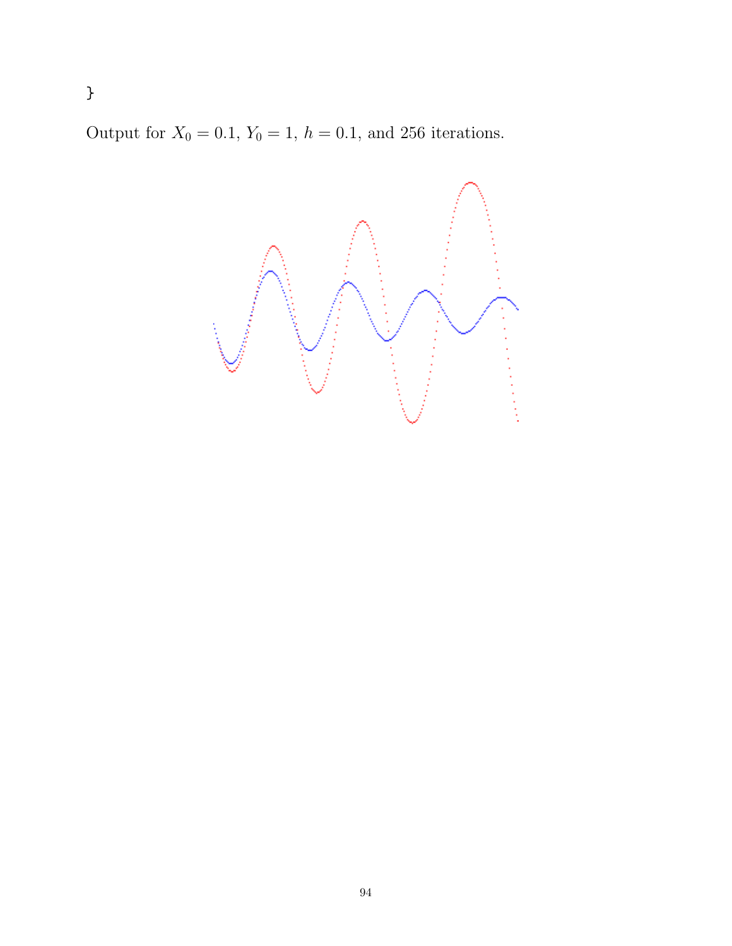Output for  $X_0 = 0.1$ ,  $Y_0 = 1$ ,  $h = 0.1$ , and 256 iterations.

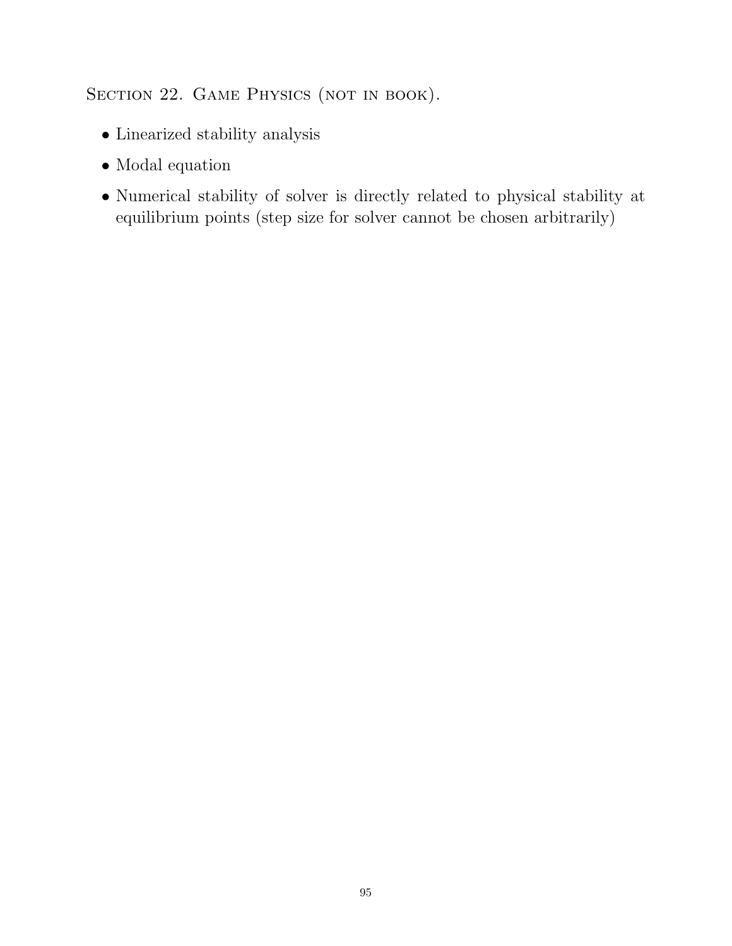## SECTION 22. GAME PHYSICS (NOT IN BOOK).

- $\bullet$  Linearized stability analysis
- Modal equation
- Numerical stability of solver is directly related to physical stability at equilibrium points (step size for solver cannot be chosen arbitrarily)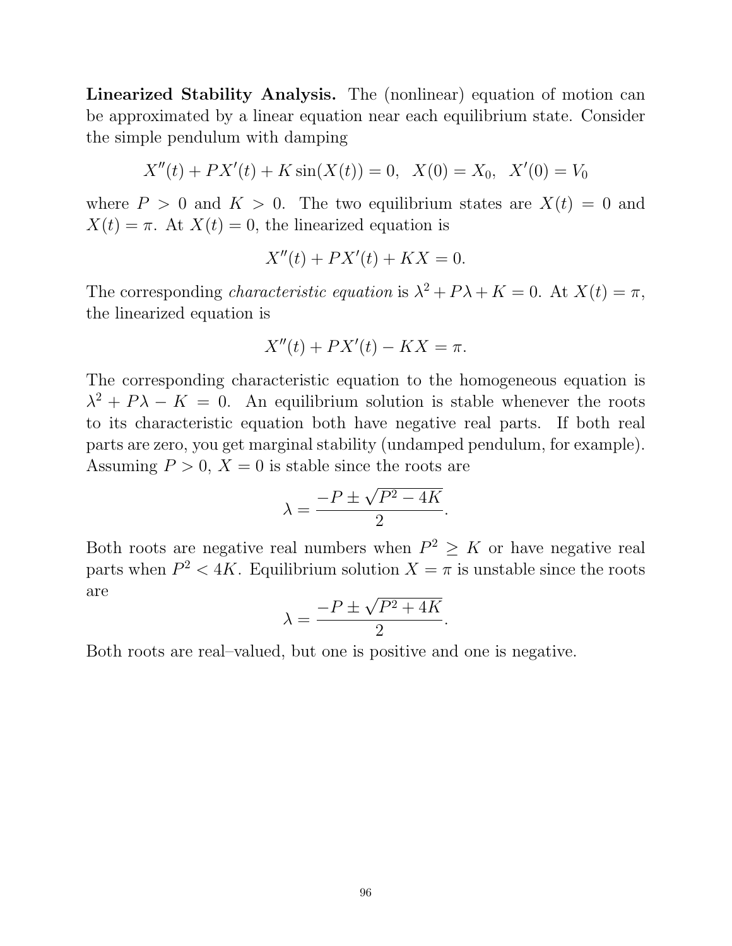Linearized Stability Analysis. The (nonlinear) equation of motion can be approximated by a linear equation near each equilibrium state. Consider the simple pendulum with damping

$$
X''(t) + PX'(t) + K\sin(X(t)) = 0, \ \ X(0) = X_0, \ \ X'(0) = V_0
$$

where  $P > 0$  and  $K > 0$ . The two equilibrium states are  $X(t) = 0$  and  $X(t) = \pi$ . At  $X(t) = 0$ , the linearized equation is

$$
X''(t) + PX'(t) + KX = 0.
$$

The corresponding *characteristic equation* is  $\lambda^2 + P\lambda + K = 0$ . At  $X(t) = \pi$ , the linearized equation is

$$
X''(t) + PX'(t) - KX = \pi.
$$

The corresponding characteristic equation to the homogeneous equation is  $\lambda^2 + P\lambda - K = 0$ . An equilibrium solution is stable whenever the roots to its characteristic equation both have negative real parts. If both real parts are zero, you get marginal stability (undamped pendulum, for example). Assuming  $P > 0$ ,  $X = 0$  is stable since the roots are √

$$
\lambda = \frac{-P \pm \sqrt{P^2 - 4K}}{2}.
$$

Both roots are negative real numbers when  $P^2 \geq K$  or have negative real parts when  $P^2 < 4K$ . Equilibrium solution  $X = \pi$  is unstable since the roots are √

$$
\lambda = \frac{-P \pm \sqrt{P^2 + 4K}}{2}.
$$

Both roots are real–valued, but one is positive and one is negative.